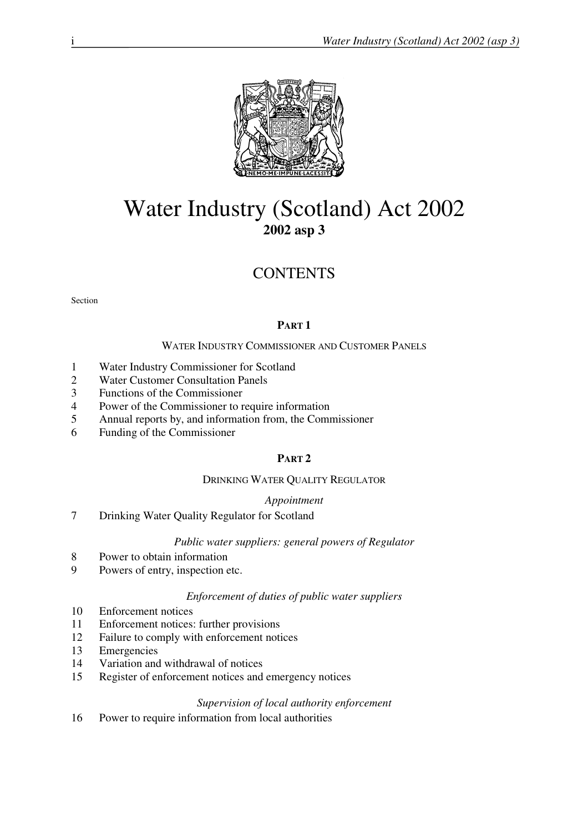

# Water Industry (Scotland) Act 2002 **2002 asp 3**

# **CONTENTS**

Section

## **PART 1**

## WATER INDUSTRY COMMISSIONER AND CUSTOMER PANELS

- 1 Water Industry Commissioner for Scotland
- 2 Water Customer Consultation Panels
- 3 Functions of the Commissioner
- 4 Power of the Commissioner to require information
- 5 Annual reports by, and information from, the Commissioner
- 6 Funding of the Commissioner

## **PART 2**

#### DRINKING WATER QUALITY REGULATOR

#### *Appointment*

7 Drinking Water Quality Regulator for Scotland

## *Public water suppliers: general powers of Regulator*

- 8 Power to obtain information
- 9 Powers of entry, inspection etc.

#### *Enforcement of duties of public water suppliers*

- 10 Enforcement notices
- 11 Enforcement notices: further provisions
- 12 Failure to comply with enforcement notices
- 13 Emergencies
- 14 Variation and withdrawal of notices
- 15 Register of enforcement notices and emergency notices

#### *Supervision of local authority enforcement*

16 Power to require information from local authorities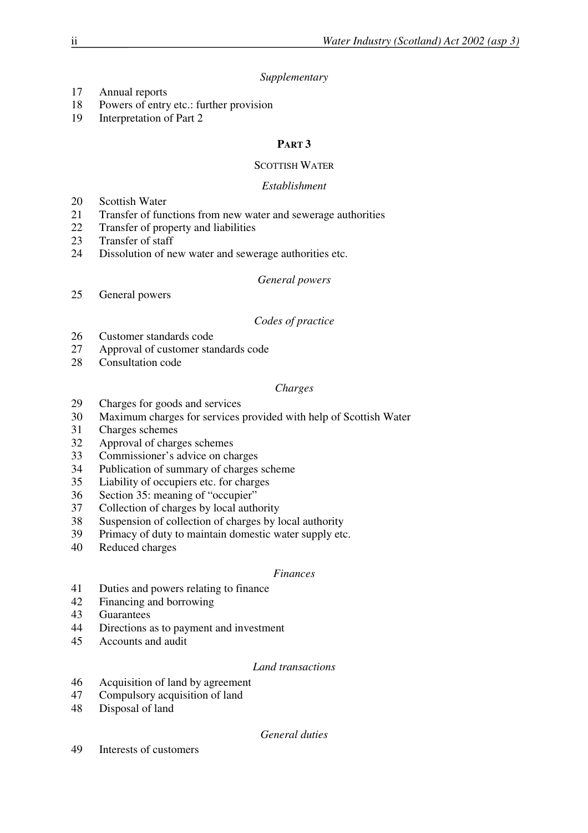## *Supplementary*

- 17 Annual reports
- 18 Powers of entry etc.: further provision
- 19 Interpretation of Part 2

# **PART 3**

## SCOTTISH WATER

## *Establishment*

- 20 Scottish Water
- 21 Transfer of functions from new water and sewerage authorities
- 22 Transfer of property and liabilities
- 23 Transfer of staff
- 24 Dissolution of new water and sewerage authorities etc.

## *General powers*

25 General powers

## *Codes of practice*

- 26 Customer standards code
- 27 Approval of customer standards code
- 28 Consultation code

## *Charges*

- 29 Charges for goods and services
- 30 Maximum charges for services provided with help of Scottish Water
- 31 Charges schemes
- 32 Approval of charges schemes
- 33 Commissioner's advice on charges
- 34 Publication of summary of charges scheme
- 35 Liability of occupiers etc. for charges
- 36 Section 35: meaning of "occupier"
- 37 Collection of charges by local authority
- 38 Suspension of collection of charges by local authority
- 39 Primacy of duty to maintain domestic water supply etc.
- 40 Reduced charges

## *Finances*

- 41 Duties and powers relating to finance<br>42 Financing and borrowing
- Financing and borrowing
- 43 Guarantees
- 44 Directions as to payment and investment
- 45 Accounts and audit

## *Land transactions*

- 46 Acquisition of land by agreement
- 47 Compulsory acquisition of land
- 48 Disposal of land

## *General duties*

49 Interests of customers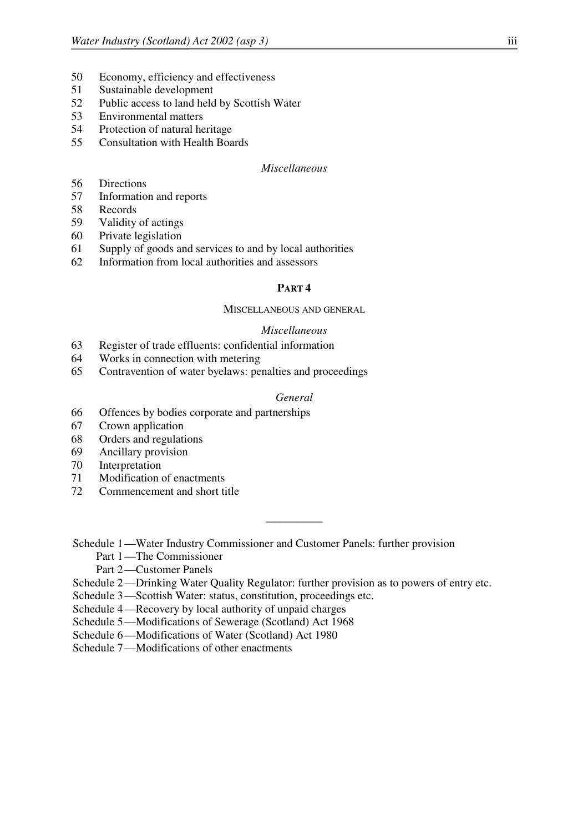- 50 Economy, efficiency and effectiveness
- 51 Sustainable development
- 52 Public access to land held by Scottish Water
- 53 Environmental matters
- 54 Protection of natural heritage
- 55 Consultation with Health Boards

## *Miscellaneous*

- 56 Directions
- 57 Information and reports
- 58 Records
- 59 Validity of actings
- 60 Private legislation
- 61 Supply of goods and services to and by local authorities
- 62 Information from local authorities and assessors

#### **PART 4**

#### MISCELLANEOUS AND GENERAL

#### *Miscellaneous*

- 63 Register of trade effluents: confidential information
- 64 Works in connection with metering
- 65 Contravention of water byelaws: penalties and proceedings

## *General*

\_\_\_\_\_\_\_\_\_\_

- 66 Offences by bodies corporate and partnerships
- 67 Crown application
- 68 Orders and regulations
- 69 Ancillary provision
- 70 Interpretation
- 71 Modification of enactments
- 72 Commencement and short title

Schedule 1 —Water Industry Commissioner and Customer Panels: further provision

- Part 1—The Commissioner
- Part 2—Customer Panels
- Schedule 2—Drinking Water Quality Regulator: further provision as to powers of entry etc.
- Schedule 3—Scottish Water: status, constitution, proceedings etc.
- Schedule 4—Recovery by local authority of unpaid charges
- Schedule 5—Modifications of Sewerage (Scotland) Act 1968
- Schedule 6—Modifications of Water (Scotland) Act 1980
- Schedule 7—Modifications of other enactments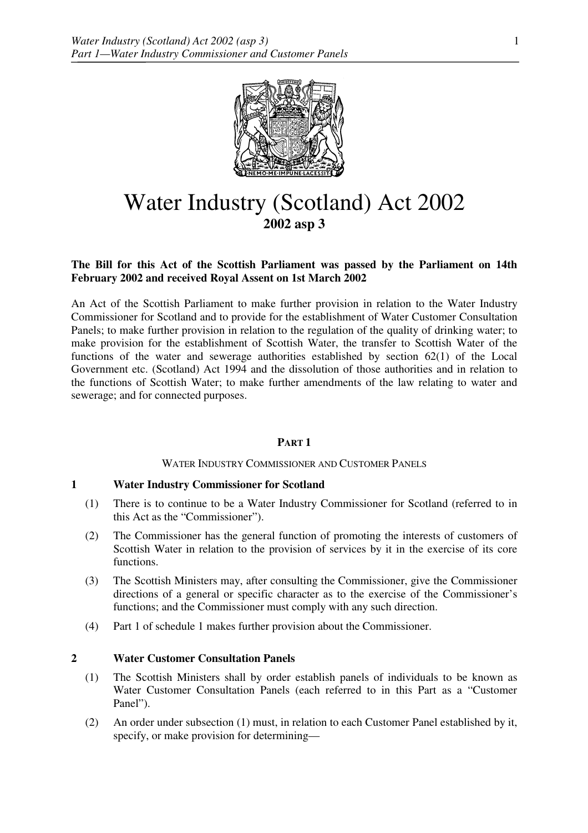

# Water Industry (Scotland) Act 2002 **2002 asp 3**

## **The Bill for this Act of the Scottish Parliament was passed by the Parliament on 14th February 2002 and received Royal Assent on 1st March 2002**

An Act of the Scottish Parliament to make further provision in relation to the Water Industry Commissioner for Scotland and to provide for the establishment of Water Customer Consultation Panels; to make further provision in relation to the regulation of the quality of drinking water; to make provision for the establishment of Scottish Water, the transfer to Scottish Water of the functions of the water and sewerage authorities established by section 62(1) of the Local Government etc. (Scotland) Act 1994 and the dissolution of those authorities and in relation to the functions of Scottish Water; to make further amendments of the law relating to water and sewerage; and for connected purposes.

## **PART 1**

## WATER INDUSTRY COMMISSIONER AND CUSTOMER PANELS

## **1 Water Industry Commissioner for Scotland**

- (1) There is to continue to be a Water Industry Commissioner for Scotland (referred to in this Act as the "Commissioner").
- (2) The Commissioner has the general function of promoting the interests of customers of Scottish Water in relation to the provision of services by it in the exercise of its core functions.
- (3) The Scottish Ministers may, after consulting the Commissioner, give the Commissioner directions of a general or specific character as to the exercise of the Commissioner's functions; and the Commissioner must comply with any such direction.
- (4) Part 1 of schedule 1 makes further provision about the Commissioner.

## **2 Water Customer Consultation Panels**

- (1) The Scottish Ministers shall by order establish panels of individuals to be known as Water Customer Consultation Panels (each referred to in this Part as a "Customer Panel").
- (2) An order under subsection (1) must, in relation to each Customer Panel established by it, specify, or make provision for determining—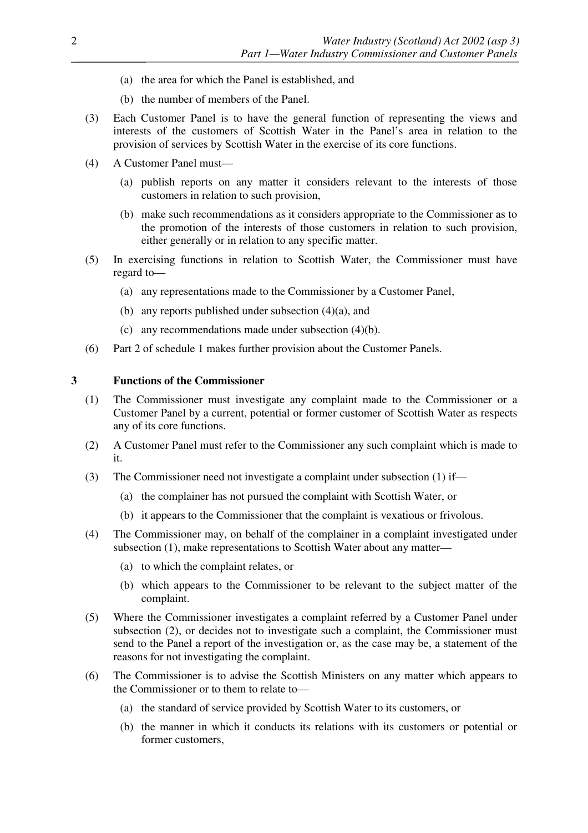- (a) the area for which the Panel is established, and
- (b) the number of members of the Panel.
- (3) Each Customer Panel is to have the general function of representing the views and interests of the customers of Scottish Water in the Panel's area in relation to the provision of services by Scottish Water in the exercise of its core functions.
- (4) A Customer Panel must—
	- (a) publish reports on any matter it considers relevant to the interests of those customers in relation to such provision,
	- (b) make such recommendations as it considers appropriate to the Commissioner as to the promotion of the interests of those customers in relation to such provision, either generally or in relation to any specific matter.
- (5) In exercising functions in relation to Scottish Water, the Commissioner must have regard to—
	- (a) any representations made to the Commissioner by a Customer Panel,
	- (b) any reports published under subsection  $(4)(a)$ , and
	- (c) any recommendations made under subsection (4)(b).
- (6) Part 2 of schedule 1 makes further provision about the Customer Panels.

#### **3 Functions of the Commissioner**

- (1) The Commissioner must investigate any complaint made to the Commissioner or a Customer Panel by a current, potential or former customer of Scottish Water as respects any of its core functions.
- (2) A Customer Panel must refer to the Commissioner any such complaint which is made to it.
- (3) The Commissioner need not investigate a complaint under subsection (1) if—
	- (a) the complainer has not pursued the complaint with Scottish Water, or
	- (b) it appears to the Commissioner that the complaint is vexatious or frivolous.
- (4) The Commissioner may, on behalf of the complainer in a complaint investigated under subsection (1), make representations to Scottish Water about any matter—
	- (a) to which the complaint relates, or
	- (b) which appears to the Commissioner to be relevant to the subject matter of the complaint.
- (5) Where the Commissioner investigates a complaint referred by a Customer Panel under subsection (2), or decides not to investigate such a complaint, the Commissioner must send to the Panel a report of the investigation or, as the case may be, a statement of the reasons for not investigating the complaint.
- (6) The Commissioner is to advise the Scottish Ministers on any matter which appears to the Commissioner or to them to relate to—
	- (a) the standard of service provided by Scottish Water to its customers, or
	- (b) the manner in which it conducts its relations with its customers or potential or former customers,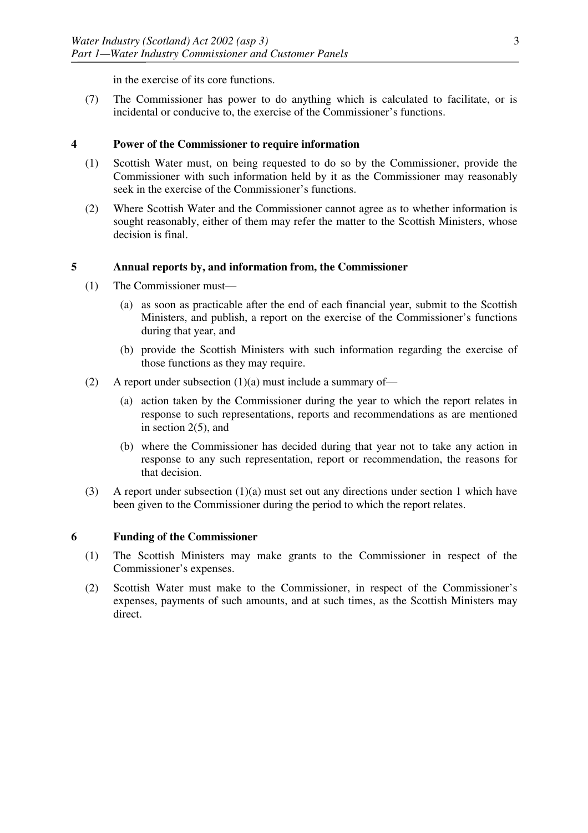in the exercise of its core functions.

(7) The Commissioner has power to do anything which is calculated to facilitate, or is incidental or conducive to, the exercise of the Commissioner's functions.

#### **4 Power of the Commissioner to require information**

- (1) Scottish Water must, on being requested to do so by the Commissioner, provide the Commissioner with such information held by it as the Commissioner may reasonably seek in the exercise of the Commissioner's functions.
- (2) Where Scottish Water and the Commissioner cannot agree as to whether information is sought reasonably, either of them may refer the matter to the Scottish Ministers, whose decision is final.

## **5 Annual reports by, and information from, the Commissioner**

- (1) The Commissioner must—
	- (a) as soon as practicable after the end of each financial year, submit to the Scottish Ministers, and publish, a report on the exercise of the Commissioner's functions during that year, and
	- (b) provide the Scottish Ministers with such information regarding the exercise of those functions as they may require.
- (2) A report under subsection  $(1)(a)$  must include a summary of—
	- (a) action taken by the Commissioner during the year to which the report relates in response to such representations, reports and recommendations as are mentioned in section 2(5), and
	- (b) where the Commissioner has decided during that year not to take any action in response to any such representation, report or recommendation, the reasons for that decision.
- (3) A report under subsection  $(1)(a)$  must set out any directions under section 1 which have been given to the Commissioner during the period to which the report relates.

## **6 Funding of the Commissioner**

- (1) The Scottish Ministers may make grants to the Commissioner in respect of the Commissioner's expenses.
- (2) Scottish Water must make to the Commissioner, in respect of the Commissioner's expenses, payments of such amounts, and at such times, as the Scottish Ministers may direct.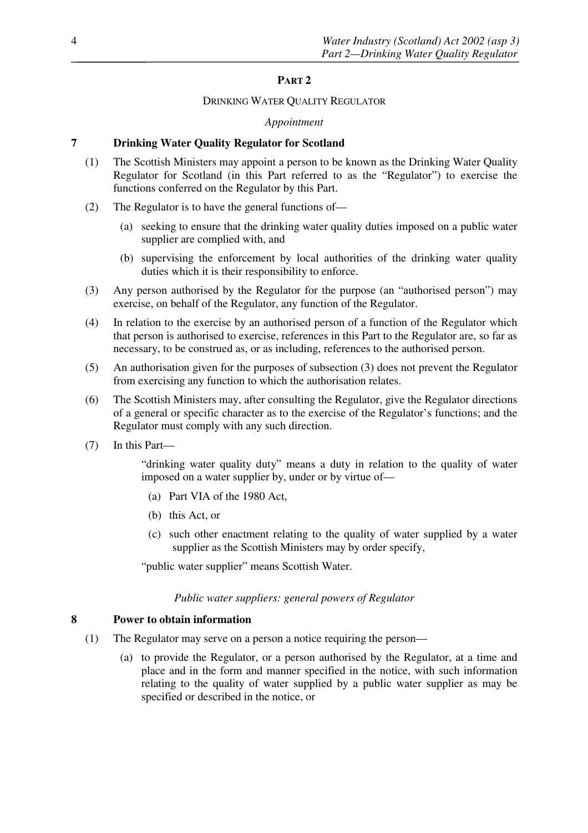## **PART 2**

#### DRINKING WATER QUALITY REGULATOR

#### *Appointment*

### **7 Drinking Water Quality Regulator for Scotland**

- (1) The Scottish Ministers may appoint a person to be known as the Drinking Water Quality Regulator for Scotland (in this Part referred to as the "Regulator") to exercise the functions conferred on the Regulator by this Part.
- (2) The Regulator is to have the general functions of—
	- (a) seeking to ensure that the drinking water quality duties imposed on a public water supplier are complied with, and
	- (b) supervising the enforcement by local authorities of the drinking water quality duties which it is their responsibility to enforce.
- (3) Any person authorised by the Regulator for the purpose (an "authorised person") may exercise, on behalf of the Regulator, any function of the Regulator.
- (4) In relation to the exercise by an authorised person of a function of the Regulator which that person is authorised to exercise, references in this Part to the Regulator are, so far as necessary, to be construed as, or as including, references to the authorised person.
- (5) An authorisation given for the purposes of subsection (3) does not prevent the Regulator from exercising any function to which the authorisation relates.
- (6) The Scottish Ministers may, after consulting the Regulator, give the Regulator directions of a general or specific character as to the exercise of the Regulator's functions; and the Regulator must comply with any such direction.
- (7) In this Part—

"drinking water quality duty" means a duty in relation to the quality of water imposed on a water supplier by, under or by virtue of—

- (a) Part VIA of the 1980 Act,
- (b) this Act, or
- (c) such other enactment relating to the quality of water supplied by a water supplier as the Scottish Ministers may by order specify,

"public water supplier" means Scottish Water.

#### *Public water suppliers: general powers of Regulator*

#### **8 Power to obtain information**

- (1) The Regulator may serve on a person a notice requiring the person—
	- (a) to provide the Regulator, or a person authorised by the Regulator, at a time and place and in the form and manner specified in the notice, with such information relating to the quality of water supplied by a public water supplier as may be specified or described in the notice, or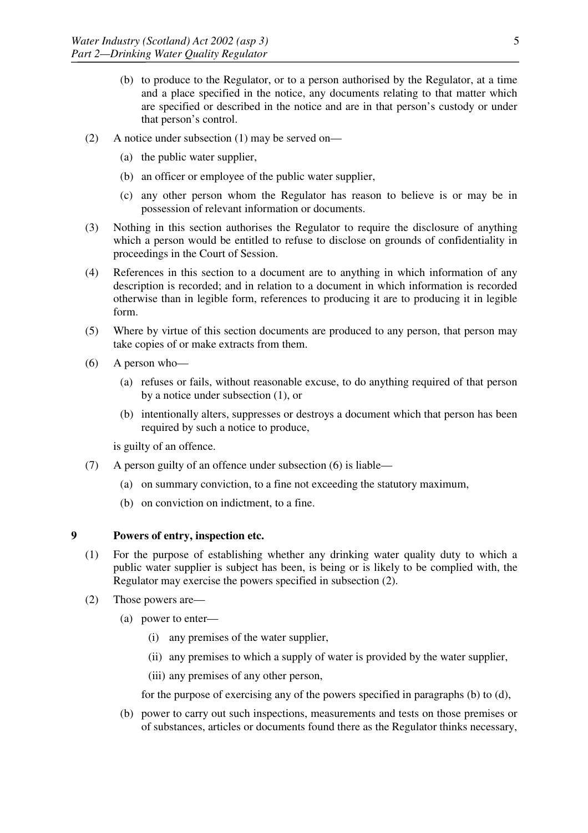- (b) to produce to the Regulator, or to a person authorised by the Regulator, at a time and a place specified in the notice, any documents relating to that matter which are specified or described in the notice and are in that person's custody or under that person's control.
- (2) A notice under subsection (1) may be served on—
	- (a) the public water supplier,
	- (b) an officer or employee of the public water supplier,
	- (c) any other person whom the Regulator has reason to believe is or may be in possession of relevant information or documents.
- (3) Nothing in this section authorises the Regulator to require the disclosure of anything which a person would be entitled to refuse to disclose on grounds of confidentiality in proceedings in the Court of Session.
- (4) References in this section to a document are to anything in which information of any description is recorded; and in relation to a document in which information is recorded otherwise than in legible form, references to producing it are to producing it in legible form.
- (5) Where by virtue of this section documents are produced to any person, that person may take copies of or make extracts from them.
- (6) A person who—
	- (a) refuses or fails, without reasonable excuse, to do anything required of that person by a notice under subsection (1), or
	- (b) intentionally alters, suppresses or destroys a document which that person has been required by such a notice to produce,

is guilty of an offence.

- (7) A person guilty of an offence under subsection (6) is liable—
	- (a) on summary conviction, to a fine not exceeding the statutory maximum,
	- (b) on conviction on indictment, to a fine.

## **9 Powers of entry, inspection etc.**

- (1) For the purpose of establishing whether any drinking water quality duty to which a public water supplier is subject has been, is being or is likely to be complied with, the Regulator may exercise the powers specified in subsection (2).
- (2) Those powers are—
	- (a) power to enter—
		- (i) any premises of the water supplier,
		- (ii) any premises to which a supply of water is provided by the water supplier,
		- (iii) any premises of any other person,

for the purpose of exercising any of the powers specified in paragraphs (b) to (d),

(b) power to carry out such inspections, measurements and tests on those premises or of substances, articles or documents found there as the Regulator thinks necessary,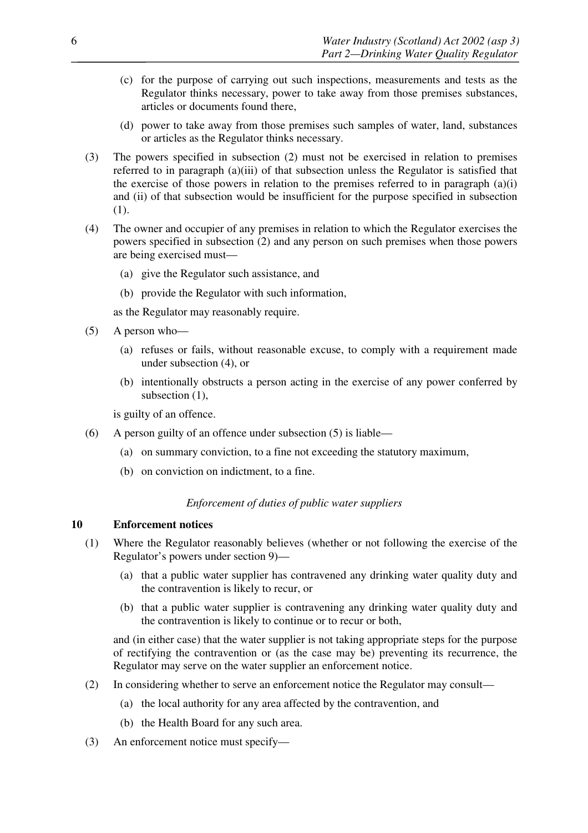- (c) for the purpose of carrying out such inspections, measurements and tests as the Regulator thinks necessary, power to take away from those premises substances, articles or documents found there,
- (d) power to take away from those premises such samples of water, land, substances or articles as the Regulator thinks necessary.
- (3) The powers specified in subsection (2) must not be exercised in relation to premises referred to in paragraph (a)(iii) of that subsection unless the Regulator is satisfied that the exercise of those powers in relation to the premises referred to in paragraph  $(a)(i)$ and (ii) of that subsection would be insufficient for the purpose specified in subsection (1).
- (4) The owner and occupier of any premises in relation to which the Regulator exercises the powers specified in subsection (2) and any person on such premises when those powers are being exercised must—
	- (a) give the Regulator such assistance, and
	- (b) provide the Regulator with such information,

as the Regulator may reasonably require.

- (5) A person who—
	- (a) refuses or fails, without reasonable excuse, to comply with a requirement made under subsection (4), or
	- (b) intentionally obstructs a person acting in the exercise of any power conferred by subsection  $(1)$ ,

is guilty of an offence.

- (6) A person guilty of an offence under subsection (5) is liable—
	- (a) on summary conviction, to a fine not exceeding the statutory maximum,
	- (b) on conviction on indictment, to a fine.

## *Enforcement of duties of public water suppliers*

#### **10 Enforcement notices**

- (1) Where the Regulator reasonably believes (whether or not following the exercise of the Regulator's powers under section 9)—
	- (a) that a public water supplier has contravened any drinking water quality duty and the contravention is likely to recur, or
	- (b) that a public water supplier is contravening any drinking water quality duty and the contravention is likely to continue or to recur or both,

and (in either case) that the water supplier is not taking appropriate steps for the purpose of rectifying the contravention or (as the case may be) preventing its recurrence, the Regulator may serve on the water supplier an enforcement notice.

- (2) In considering whether to serve an enforcement notice the Regulator may consult—
	- (a) the local authority for any area affected by the contravention, and
	- (b) the Health Board for any such area.
- (3) An enforcement notice must specify—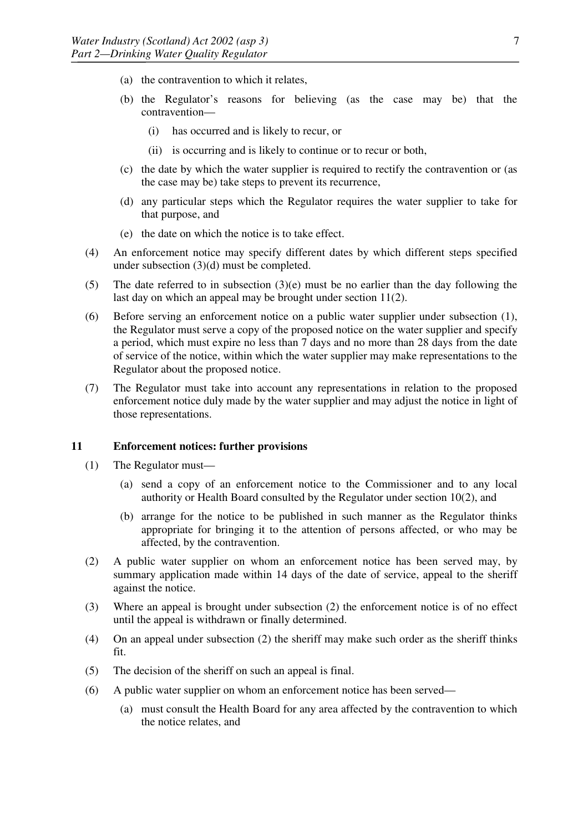- (a) the contravention to which it relates,
- (b) the Regulator's reasons for believing (as the case may be) that the contravention—
	- (i) has occurred and is likely to recur, or
	- (ii) is occurring and is likely to continue or to recur or both,
- (c) the date by which the water supplier is required to rectify the contravention or (as the case may be) take steps to prevent its recurrence,
- (d) any particular steps which the Regulator requires the water supplier to take for that purpose, and
- (e) the date on which the notice is to take effect.
- (4) An enforcement notice may specify different dates by which different steps specified under subsection (3)(d) must be completed.
- (5) The date referred to in subsection  $(3)(e)$  must be no earlier than the day following the last day on which an appeal may be brought under section 11(2).
- (6) Before serving an enforcement notice on a public water supplier under subsection (1), the Regulator must serve a copy of the proposed notice on the water supplier and specify a period, which must expire no less than 7 days and no more than 28 days from the date of service of the notice, within which the water supplier may make representations to the Regulator about the proposed notice.
- (7) The Regulator must take into account any representations in relation to the proposed enforcement notice duly made by the water supplier and may adjust the notice in light of those representations.

#### **11 Enforcement notices: further provisions**

- (1) The Regulator must—
	- (a) send a copy of an enforcement notice to the Commissioner and to any local authority or Health Board consulted by the Regulator under section 10(2), and
	- (b) arrange for the notice to be published in such manner as the Regulator thinks appropriate for bringing it to the attention of persons affected, or who may be affected, by the contravention.
- (2) A public water supplier on whom an enforcement notice has been served may, by summary application made within 14 days of the date of service, appeal to the sheriff against the notice.
- (3) Where an appeal is brought under subsection (2) the enforcement notice is of no effect until the appeal is withdrawn or finally determined.
- (4) On an appeal under subsection (2) the sheriff may make such order as the sheriff thinks fit.
- (5) The decision of the sheriff on such an appeal is final.
- (6) A public water supplier on whom an enforcement notice has been served—
	- (a) must consult the Health Board for any area affected by the contravention to which the notice relates, and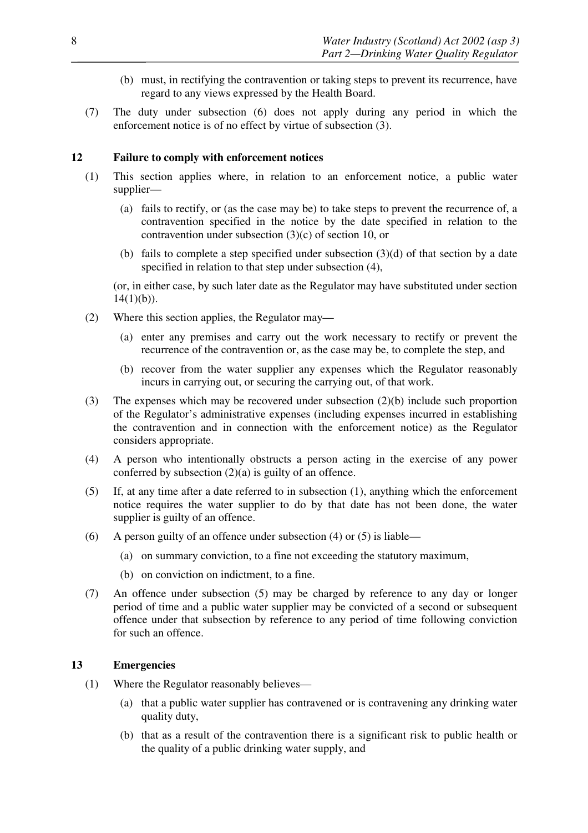- (b) must, in rectifying the contravention or taking steps to prevent its recurrence, have regard to any views expressed by the Health Board.
- (7) The duty under subsection (6) does not apply during any period in which the enforcement notice is of no effect by virtue of subsection (3).

### **12 Failure to comply with enforcement notices**

- (1) This section applies where, in relation to an enforcement notice, a public water supplier—
	- (a) fails to rectify, or (as the case may be) to take steps to prevent the recurrence of, a contravention specified in the notice by the date specified in relation to the contravention under subsection (3)(c) of section 10, or
	- (b) fails to complete a step specified under subsection (3)(d) of that section by a date specified in relation to that step under subsection (4),

(or, in either case, by such later date as the Regulator may have substituted under section  $14(1)(b)$ ).

- (2) Where this section applies, the Regulator may—
	- (a) enter any premises and carry out the work necessary to rectify or prevent the recurrence of the contravention or, as the case may be, to complete the step, and
	- (b) recover from the water supplier any expenses which the Regulator reasonably incurs in carrying out, or securing the carrying out, of that work.
- (3) The expenses which may be recovered under subsection (2)(b) include such proportion of the Regulator's administrative expenses (including expenses incurred in establishing the contravention and in connection with the enforcement notice) as the Regulator considers appropriate.
- (4) A person who intentionally obstructs a person acting in the exercise of any power conferred by subsection  $(2)(a)$  is guilty of an offence.
- (5) If, at any time after a date referred to in subsection (1), anything which the enforcement notice requires the water supplier to do by that date has not been done, the water supplier is guilty of an offence.
- (6) A person guilty of an offence under subsection (4) or (5) is liable—
	- (a) on summary conviction, to a fine not exceeding the statutory maximum,
	- (b) on conviction on indictment, to a fine.
- (7) An offence under subsection (5) may be charged by reference to any day or longer period of time and a public water supplier may be convicted of a second or subsequent offence under that subsection by reference to any period of time following conviction for such an offence.

## **13 Emergencies**

- (1) Where the Regulator reasonably believes—
	- (a) that a public water supplier has contravened or is contravening any drinking water quality duty,
	- (b) that as a result of the contravention there is a significant risk to public health or the quality of a public drinking water supply, and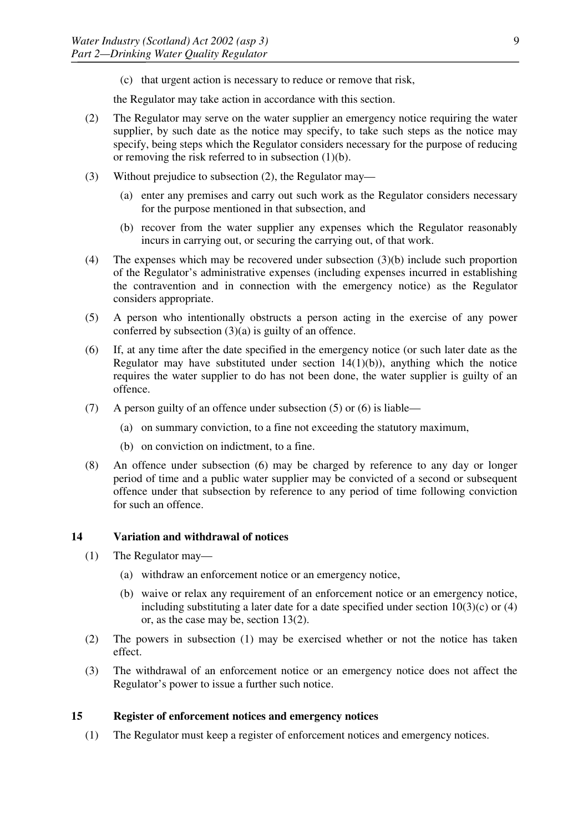(c) that urgent action is necessary to reduce or remove that risk,

the Regulator may take action in accordance with this section.

- (2) The Regulator may serve on the water supplier an emergency notice requiring the water supplier, by such date as the notice may specify, to take such steps as the notice may specify, being steps which the Regulator considers necessary for the purpose of reducing or removing the risk referred to in subsection  $(1)(b)$ .
- (3) Without prejudice to subsection (2), the Regulator may—
	- (a) enter any premises and carry out such work as the Regulator considers necessary for the purpose mentioned in that subsection, and
	- (b) recover from the water supplier any expenses which the Regulator reasonably incurs in carrying out, or securing the carrying out, of that work.
- (4) The expenses which may be recovered under subsection (3)(b) include such proportion of the Regulator's administrative expenses (including expenses incurred in establishing the contravention and in connection with the emergency notice) as the Regulator considers appropriate.
- (5) A person who intentionally obstructs a person acting in the exercise of any power conferred by subsection  $(3)(a)$  is guilty of an offence.
- (6) If, at any time after the date specified in the emergency notice (or such later date as the Regulator may have substituted under section  $14(1)(b)$ ), anything which the notice requires the water supplier to do has not been done, the water supplier is guilty of an offence.
- (7) A person guilty of an offence under subsection (5) or (6) is liable—
	- (a) on summary conviction, to a fine not exceeding the statutory maximum,
	- (b) on conviction on indictment, to a fine.
- (8) An offence under subsection (6) may be charged by reference to any day or longer period of time and a public water supplier may be convicted of a second or subsequent offence under that subsection by reference to any period of time following conviction for such an offence.

## **14 Variation and withdrawal of notices**

- (1) The Regulator may—
	- (a) withdraw an enforcement notice or an emergency notice,
	- (b) waive or relax any requirement of an enforcement notice or an emergency notice, including substituting a later date for a date specified under section  $10(3)(c)$  or  $(4)$ or, as the case may be, section 13(2).
- (2) The powers in subsection (1) may be exercised whether or not the notice has taken effect.
- (3) The withdrawal of an enforcement notice or an emergency notice does not affect the Regulator's power to issue a further such notice.

#### **15 Register of enforcement notices and emergency notices**

(1) The Regulator must keep a register of enforcement notices and emergency notices.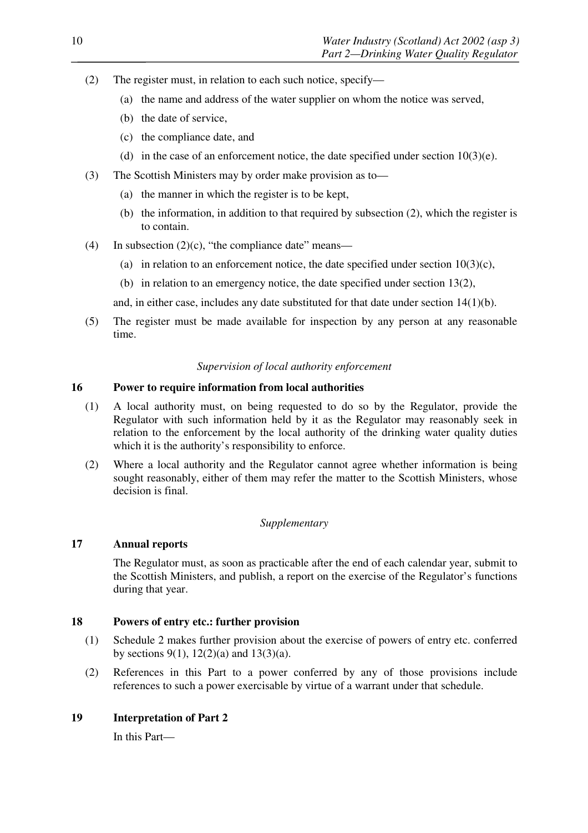- (2) The register must, in relation to each such notice, specify—
	- (a) the name and address of the water supplier on whom the notice was served,
	- (b) the date of service,
	- (c) the compliance date, and
	- (d) in the case of an enforcement notice, the date specified under section  $10(3)(e)$ .
- (3) The Scottish Ministers may by order make provision as to—
	- (a) the manner in which the register is to be kept,
	- (b) the information, in addition to that required by subsection (2), which the register is to contain.
- (4) In subsection  $(2)(c)$ , "the compliance date" means—
	- (a) in relation to an enforcement notice, the date specified under section  $10(3)(c)$ ,
	- (b) in relation to an emergency notice, the date specified under section 13(2),

and, in either case, includes any date substituted for that date under section  $14(1)(b)$ .

(5) The register must be made available for inspection by any person at any reasonable time.

## *Supervision of local authority enforcement*

## **16 Power to require information from local authorities**

- (1) A local authority must, on being requested to do so by the Regulator, provide the Regulator with such information held by it as the Regulator may reasonably seek in relation to the enforcement by the local authority of the drinking water quality duties which it is the authority's responsibility to enforce.
- (2) Where a local authority and the Regulator cannot agree whether information is being sought reasonably, either of them may refer the matter to the Scottish Ministers, whose decision is final.

## *Supplementary*

## **17 Annual reports**

The Regulator must, as soon as practicable after the end of each calendar year, submit to the Scottish Ministers, and publish, a report on the exercise of the Regulator's functions during that year.

## **18 Powers of entry etc.: further provision**

- (1) Schedule 2 makes further provision about the exercise of powers of entry etc. conferred by sections 9(1),  $12(2)(a)$  and  $13(3)(a)$ .
- (2) References in this Part to a power conferred by any of those provisions include references to such a power exercisable by virtue of a warrant under that schedule.

## **19 Interpretation of Part 2**

In this Part—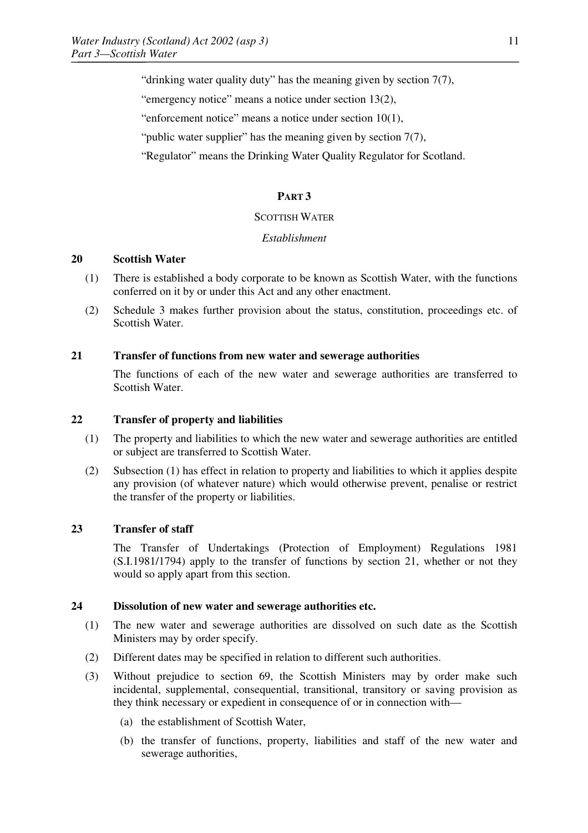"drinking water quality duty" has the meaning given by section 7(7),

"emergency notice" means a notice under section 13(2),

"enforcement notice" means a notice under section 10(1),

"public water supplier" has the meaning given by section  $7(7)$ ,

"Regulator" means the Drinking Water Quality Regulator for Scotland.

## **PART 3**

#### SCOTTISH WATER

#### *Establishment*

#### **20 Scottish Water**

- (1) There is established a body corporate to be known as Scottish Water, with the functions conferred on it by or under this Act and any other enactment.
- (2) Schedule 3 makes further provision about the status, constitution, proceedings etc. of Scottish Water.

#### **21 Transfer of functions from new water and sewerage authorities**

The functions of each of the new water and sewerage authorities are transferred to Scottish Water.

#### **22 Transfer of property and liabilities**

- (1) The property and liabilities to which the new water and sewerage authorities are entitled or subject are transferred to Scottish Water.
- (2) Subsection (1) has effect in relation to property and liabilities to which it applies despite any provision (of whatever nature) which would otherwise prevent, penalise or restrict the transfer of the property or liabilities.

## **23 Transfer of staff**

The Transfer of Undertakings (Protection of Employment) Regulations 1981 (S.I.1981/1794) apply to the transfer of functions by section 21, whether or not they would so apply apart from this section.

#### **24 Dissolution of new water and sewerage authorities etc.**

- (1) The new water and sewerage authorities are dissolved on such date as the Scottish Ministers may by order specify.
- (2) Different dates may be specified in relation to different such authorities.
- (3) Without prejudice to section 69, the Scottish Ministers may by order make such incidental, supplemental, consequential, transitional, transitory or saving provision as they think necessary or expedient in consequence of or in connection with—
	- (a) the establishment of Scottish Water,
	- (b) the transfer of functions, property, liabilities and staff of the new water and sewerage authorities,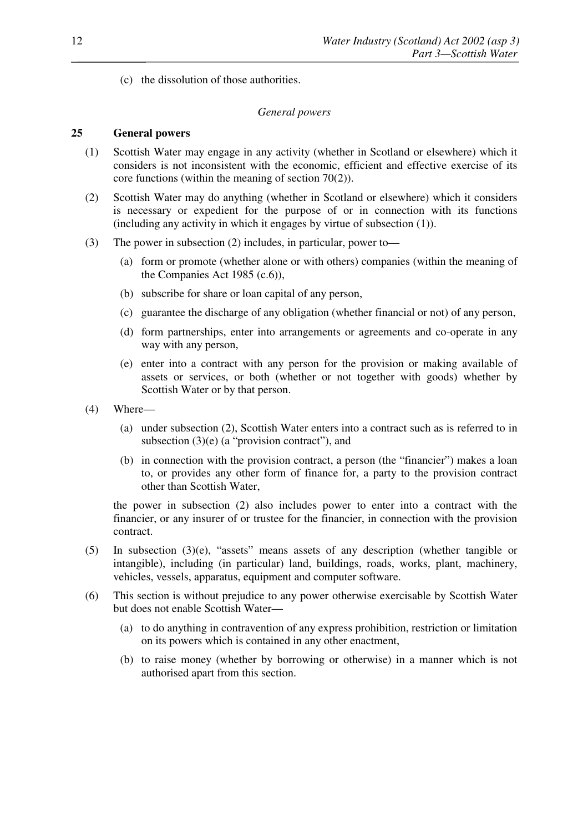(c) the dissolution of those authorities.

#### *General powers*

### **25 General powers**

- (1) Scottish Water may engage in any activity (whether in Scotland or elsewhere) which it considers is not inconsistent with the economic, efficient and effective exercise of its core functions (within the meaning of section 70(2)).
- (2) Scottish Water may do anything (whether in Scotland or elsewhere) which it considers is necessary or expedient for the purpose of or in connection with its functions (including any activity in which it engages by virtue of subsection (1)).
- (3) The power in subsection (2) includes, in particular, power to—
	- (a) form or promote (whether alone or with others) companies (within the meaning of the Companies Act 1985 (c.6)),
	- (b) subscribe for share or loan capital of any person,
	- (c) guarantee the discharge of any obligation (whether financial or not) of any person,
	- (d) form partnerships, enter into arrangements or agreements and co-operate in any way with any person,
	- (e) enter into a contract with any person for the provision or making available of assets or services, or both (whether or not together with goods) whether by Scottish Water or by that person.
- (4) Where—
	- (a) under subsection (2), Scottish Water enters into a contract such as is referred to in subsection (3)(e) (a "provision contract"), and
	- (b) in connection with the provision contract, a person (the "financier") makes a loan to, or provides any other form of finance for, a party to the provision contract other than Scottish Water,

the power in subsection (2) also includes power to enter into a contract with the financier, or any insurer of or trustee for the financier, in connection with the provision contract.

- (5) In subsection (3)(e), "assets" means assets of any description (whether tangible or intangible), including (in particular) land, buildings, roads, works, plant, machinery, vehicles, vessels, apparatus, equipment and computer software.
- (6) This section is without prejudice to any power otherwise exercisable by Scottish Water but does not enable Scottish Water—
	- (a) to do anything in contravention of any express prohibition, restriction or limitation on its powers which is contained in any other enactment,
	- (b) to raise money (whether by borrowing or otherwise) in a manner which is not authorised apart from this section.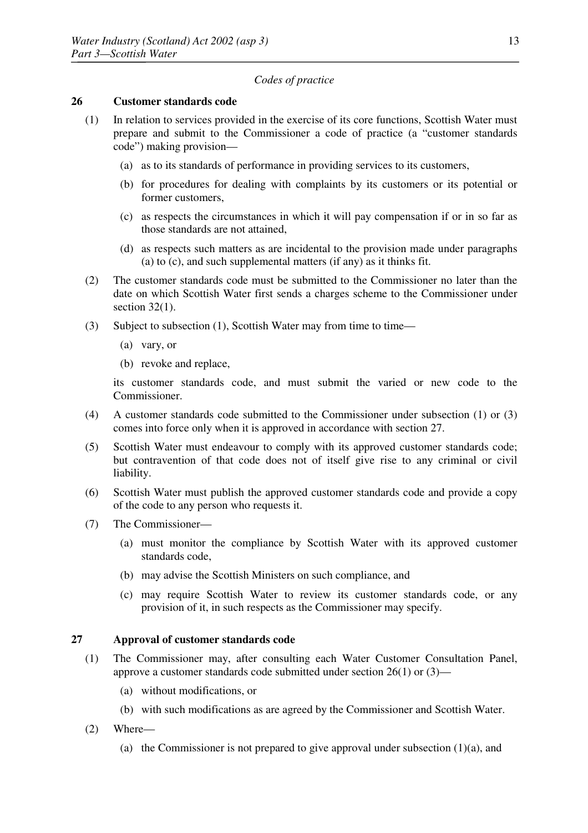#### *Codes of practice*

#### **26 Customer standards code**

- (1) In relation to services provided in the exercise of its core functions, Scottish Water must prepare and submit to the Commissioner a code of practice (a "customer standards code") making provision—
	- (a) as to its standards of performance in providing services to its customers,
	- (b) for procedures for dealing with complaints by its customers or its potential or former customers,
	- (c) as respects the circumstances in which it will pay compensation if or in so far as those standards are not attained,
	- (d) as respects such matters as are incidental to the provision made under paragraphs (a) to (c), and such supplemental matters (if any) as it thinks fit.
- (2) The customer standards code must be submitted to the Commissioner no later than the date on which Scottish Water first sends a charges scheme to the Commissioner under section  $32(1)$ .
- (3) Subject to subsection (1), Scottish Water may from time to time—
	- (a) vary, or
	- (b) revoke and replace,

its customer standards code, and must submit the varied or new code to the Commissioner.

- (4) A customer standards code submitted to the Commissioner under subsection (1) or (3) comes into force only when it is approved in accordance with section 27.
- (5) Scottish Water must endeavour to comply with its approved customer standards code; but contravention of that code does not of itself give rise to any criminal or civil liability.
- (6) Scottish Water must publish the approved customer standards code and provide a copy of the code to any person who requests it.
- (7) The Commissioner—
	- (a) must monitor the compliance by Scottish Water with its approved customer standards code,
	- (b) may advise the Scottish Ministers on such compliance, and
	- (c) may require Scottish Water to review its customer standards code, or any provision of it, in such respects as the Commissioner may specify.

## **27 Approval of customer standards code**

- (1) The Commissioner may, after consulting each Water Customer Consultation Panel, approve a customer standards code submitted under section 26(1) or (3)—
	- (a) without modifications, or
	- (b) with such modifications as are agreed by the Commissioner and Scottish Water.
- (2) Where—
	- (a) the Commissioner is not prepared to give approval under subsection  $(1)(a)$ , and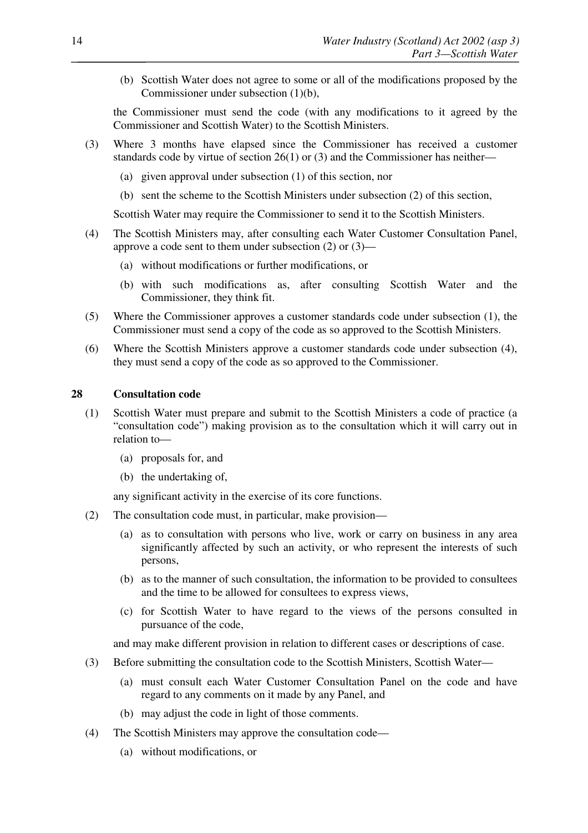(b) Scottish Water does not agree to some or all of the modifications proposed by the Commissioner under subsection (1)(b),

the Commissioner must send the code (with any modifications to it agreed by the Commissioner and Scottish Water) to the Scottish Ministers.

- (3) Where 3 months have elapsed since the Commissioner has received a customer standards code by virtue of section 26(1) or (3) and the Commissioner has neither—
	- (a) given approval under subsection (1) of this section, nor
	- (b) sent the scheme to the Scottish Ministers under subsection (2) of this section,

Scottish Water may require the Commissioner to send it to the Scottish Ministers.

- (4) The Scottish Ministers may, after consulting each Water Customer Consultation Panel, approve a code sent to them under subsection (2) or (3)—
	- (a) without modifications or further modifications, or
	- (b) with such modifications as, after consulting Scottish Water and the Commissioner, they think fit.
- (5) Where the Commissioner approves a customer standards code under subsection (1), the Commissioner must send a copy of the code as so approved to the Scottish Ministers.
- (6) Where the Scottish Ministers approve a customer standards code under subsection (4), they must send a copy of the code as so approved to the Commissioner.

## **28 Consultation code**

- (1) Scottish Water must prepare and submit to the Scottish Ministers a code of practice (a "consultation code") making provision as to the consultation which it will carry out in relation to—
	- (a) proposals for, and
	- (b) the undertaking of,

any significant activity in the exercise of its core functions.

- (2) The consultation code must, in particular, make provision—
	- (a) as to consultation with persons who live, work or carry on business in any area significantly affected by such an activity, or who represent the interests of such persons,
	- (b) as to the manner of such consultation, the information to be provided to consultees and the time to be allowed for consultees to express views,
	- (c) for Scottish Water to have regard to the views of the persons consulted in pursuance of the code,

and may make different provision in relation to different cases or descriptions of case.

- (3) Before submitting the consultation code to the Scottish Ministers, Scottish Water—
	- (a) must consult each Water Customer Consultation Panel on the code and have regard to any comments on it made by any Panel, and
	- (b) may adjust the code in light of those comments.
- (4) The Scottish Ministers may approve the consultation code—
	- (a) without modifications, or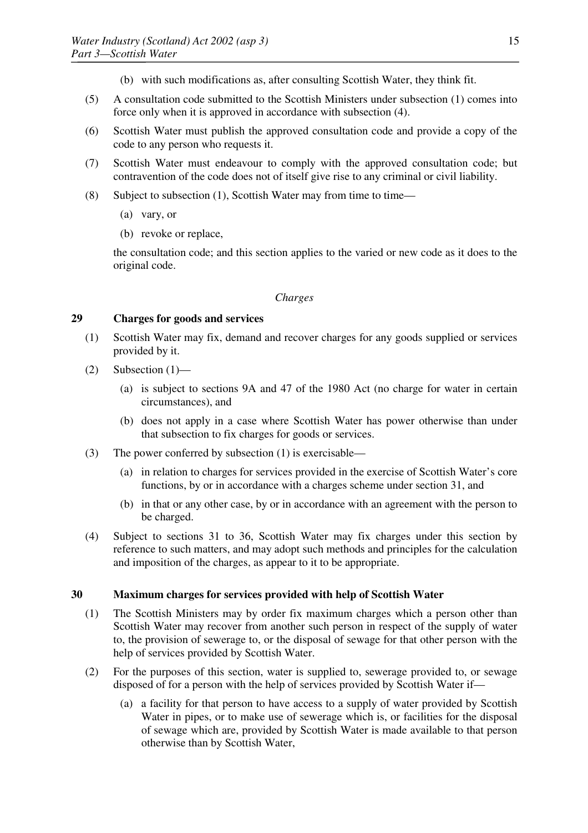- (b) with such modifications as, after consulting Scottish Water, they think fit.
- (5) A consultation code submitted to the Scottish Ministers under subsection (1) comes into force only when it is approved in accordance with subsection (4).
- (6) Scottish Water must publish the approved consultation code and provide a copy of the code to any person who requests it.
- (7) Scottish Water must endeavour to comply with the approved consultation code; but contravention of the code does not of itself give rise to any criminal or civil liability.
- (8) Subject to subsection (1), Scottish Water may from time to time—
	- (a) vary, or
	- (b) revoke or replace,

the consultation code; and this section applies to the varied or new code as it does to the original code.

#### *Charges*

## **29 Charges for goods and services**

- (1) Scottish Water may fix, demand and recover charges for any goods supplied or services provided by it.
- (2) Subsection (1)—
	- (a) is subject to sections 9A and 47 of the 1980 Act (no charge for water in certain circumstances), and
	- (b) does not apply in a case where Scottish Water has power otherwise than under that subsection to fix charges for goods or services.
- (3) The power conferred by subsection (1) is exercisable—
	- (a) in relation to charges for services provided in the exercise of Scottish Water's core functions, by or in accordance with a charges scheme under section 31, and
	- (b) in that or any other case, by or in accordance with an agreement with the person to be charged.
- (4) Subject to sections 31 to 36, Scottish Water may fix charges under this section by reference to such matters, and may adopt such methods and principles for the calculation and imposition of the charges, as appear to it to be appropriate.

#### **30 Maximum charges for services provided with help of Scottish Water**

- (1) The Scottish Ministers may by order fix maximum charges which a person other than Scottish Water may recover from another such person in respect of the supply of water to, the provision of sewerage to, or the disposal of sewage for that other person with the help of services provided by Scottish Water.
- (2) For the purposes of this section, water is supplied to, sewerage provided to, or sewage disposed of for a person with the help of services provided by Scottish Water if—
	- (a) a facility for that person to have access to a supply of water provided by Scottish Water in pipes, or to make use of sewerage which is, or facilities for the disposal of sewage which are, provided by Scottish Water is made available to that person otherwise than by Scottish Water,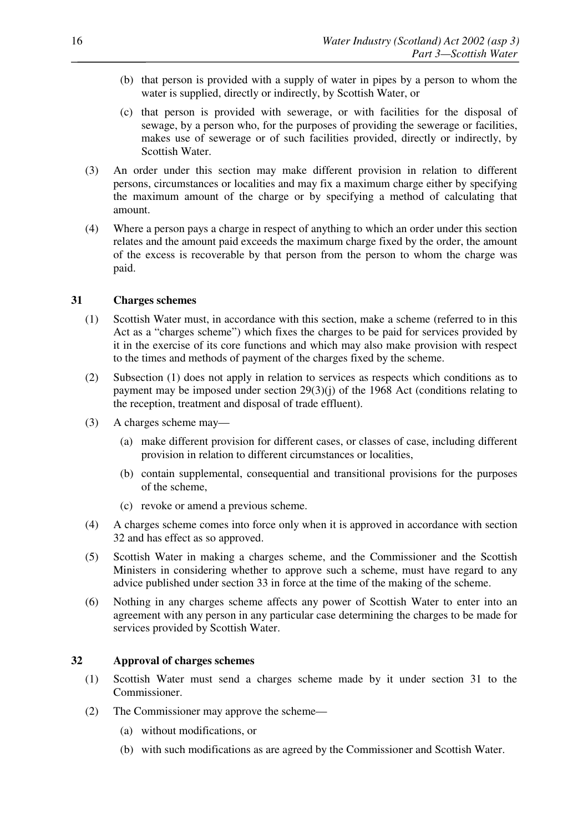- (b) that person is provided with a supply of water in pipes by a person to whom the water is supplied, directly or indirectly, by Scottish Water, or
- (c) that person is provided with sewerage, or with facilities for the disposal of sewage, by a person who, for the purposes of providing the sewerage or facilities, makes use of sewerage or of such facilities provided, directly or indirectly, by Scottish Water.
- (3) An order under this section may make different provision in relation to different persons, circumstances or localities and may fix a maximum charge either by specifying the maximum amount of the charge or by specifying a method of calculating that amount.
- (4) Where a person pays a charge in respect of anything to which an order under this section relates and the amount paid exceeds the maximum charge fixed by the order, the amount of the excess is recoverable by that person from the person to whom the charge was paid.

## **31 Charges schemes**

- (1) Scottish Water must, in accordance with this section, make a scheme (referred to in this Act as a "charges scheme") which fixes the charges to be paid for services provided by it in the exercise of its core functions and which may also make provision with respect to the times and methods of payment of the charges fixed by the scheme.
- (2) Subsection (1) does not apply in relation to services as respects which conditions as to payment may be imposed under section 29(3)(j) of the 1968 Act (conditions relating to the reception, treatment and disposal of trade effluent).
- (3) A charges scheme may—
	- (a) make different provision for different cases, or classes of case, including different provision in relation to different circumstances or localities,
	- (b) contain supplemental, consequential and transitional provisions for the purposes of the scheme,
	- (c) revoke or amend a previous scheme.
- (4) A charges scheme comes into force only when it is approved in accordance with section 32 and has effect as so approved.
- (5) Scottish Water in making a charges scheme, and the Commissioner and the Scottish Ministers in considering whether to approve such a scheme, must have regard to any advice published under section 33 in force at the time of the making of the scheme.
- (6) Nothing in any charges scheme affects any power of Scottish Water to enter into an agreement with any person in any particular case determining the charges to be made for services provided by Scottish Water.

#### **32 Approval of charges schemes**

- (1) Scottish Water must send a charges scheme made by it under section 31 to the Commissioner.
- (2) The Commissioner may approve the scheme—
	- (a) without modifications, or
	- (b) with such modifications as are agreed by the Commissioner and Scottish Water.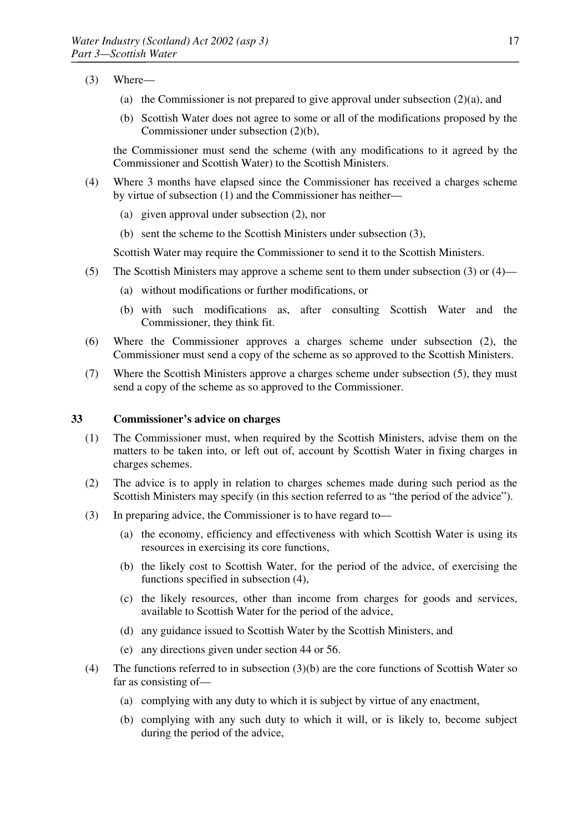- (3) Where—
	- (a) the Commissioner is not prepared to give approval under subsection (2)(a), and
	- (b) Scottish Water does not agree to some or all of the modifications proposed by the Commissioner under subsection (2)(b),

the Commissioner must send the scheme (with any modifications to it agreed by the Commissioner and Scottish Water) to the Scottish Ministers.

- (4) Where 3 months have elapsed since the Commissioner has received a charges scheme by virtue of subsection (1) and the Commissioner has neither—
	- (a) given approval under subsection (2), nor
	- (b) sent the scheme to the Scottish Ministers under subsection (3),

Scottish Water may require the Commissioner to send it to the Scottish Ministers.

- (5) The Scottish Ministers may approve a scheme sent to them under subsection (3) or (4)—
	- (a) without modifications or further modifications, or
	- (b) with such modifications as, after consulting Scottish Water and the Commissioner, they think fit.
- (6) Where the Commissioner approves a charges scheme under subsection (2), the Commissioner must send a copy of the scheme as so approved to the Scottish Ministers.
- (7) Where the Scottish Ministers approve a charges scheme under subsection (5), they must send a copy of the scheme as so approved to the Commissioner.

#### **33 Commissioner's advice on charges**

- (1) The Commissioner must, when required by the Scottish Ministers, advise them on the matters to be taken into, or left out of, account by Scottish Water in fixing charges in charges schemes.
- (2) The advice is to apply in relation to charges schemes made during such period as the Scottish Ministers may specify (in this section referred to as "the period of the advice").
- (3) In preparing advice, the Commissioner is to have regard to—
	- (a) the economy, efficiency and effectiveness with which Scottish Water is using its resources in exercising its core functions,
	- (b) the likely cost to Scottish Water, for the period of the advice, of exercising the functions specified in subsection (4),
	- (c) the likely resources, other than income from charges for goods and services, available to Scottish Water for the period of the advice,
	- (d) any guidance issued to Scottish Water by the Scottish Ministers, and
	- (e) any directions given under section 44 or 56.
- (4) The functions referred to in subsection (3)(b) are the core functions of Scottish Water so far as consisting of—
	- (a) complying with any duty to which it is subject by virtue of any enactment,
	- (b) complying with any such duty to which it will, or is likely to, become subject during the period of the advice,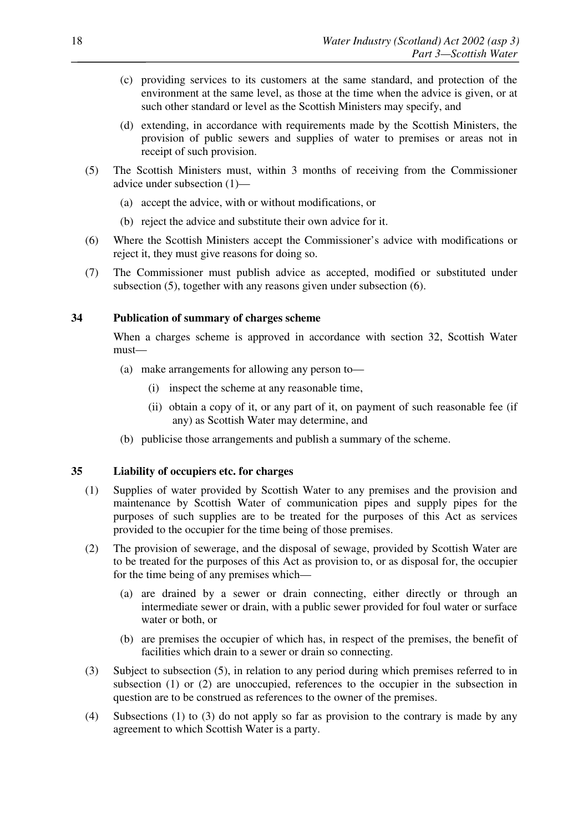- (c) providing services to its customers at the same standard, and protection of the environment at the same level, as those at the time when the advice is given, or at such other standard or level as the Scottish Ministers may specify, and
- (d) extending, in accordance with requirements made by the Scottish Ministers, the provision of public sewers and supplies of water to premises or areas not in receipt of such provision.
- (5) The Scottish Ministers must, within 3 months of receiving from the Commissioner advice under subsection (1)—
	- (a) accept the advice, with or without modifications, or
	- (b) reject the advice and substitute their own advice for it.
- (6) Where the Scottish Ministers accept the Commissioner's advice with modifications or reject it, they must give reasons for doing so.
- (7) The Commissioner must publish advice as accepted, modified or substituted under subsection (5), together with any reasons given under subsection (6).

## **34 Publication of summary of charges scheme**

When a charges scheme is approved in accordance with section 32, Scottish Water must—

- (a) make arrangements for allowing any person to—
	- (i) inspect the scheme at any reasonable time,
	- (ii) obtain a copy of it, or any part of it, on payment of such reasonable fee (if any) as Scottish Water may determine, and
- (b) publicise those arrangements and publish a summary of the scheme.

### **35 Liability of occupiers etc. for charges**

- (1) Supplies of water provided by Scottish Water to any premises and the provision and maintenance by Scottish Water of communication pipes and supply pipes for the purposes of such supplies are to be treated for the purposes of this Act as services provided to the occupier for the time being of those premises.
- (2) The provision of sewerage, and the disposal of sewage, provided by Scottish Water are to be treated for the purposes of this Act as provision to, or as disposal for, the occupier for the time being of any premises which—
	- (a) are drained by a sewer or drain connecting, either directly or through an intermediate sewer or drain, with a public sewer provided for foul water or surface water or both, or
	- (b) are premises the occupier of which has, in respect of the premises, the benefit of facilities which drain to a sewer or drain so connecting.
- (3) Subject to subsection (5), in relation to any period during which premises referred to in subsection (1) or (2) are unoccupied, references to the occupier in the subsection in question are to be construed as references to the owner of the premises.
- (4) Subsections (1) to (3) do not apply so far as provision to the contrary is made by any agreement to which Scottish Water is a party.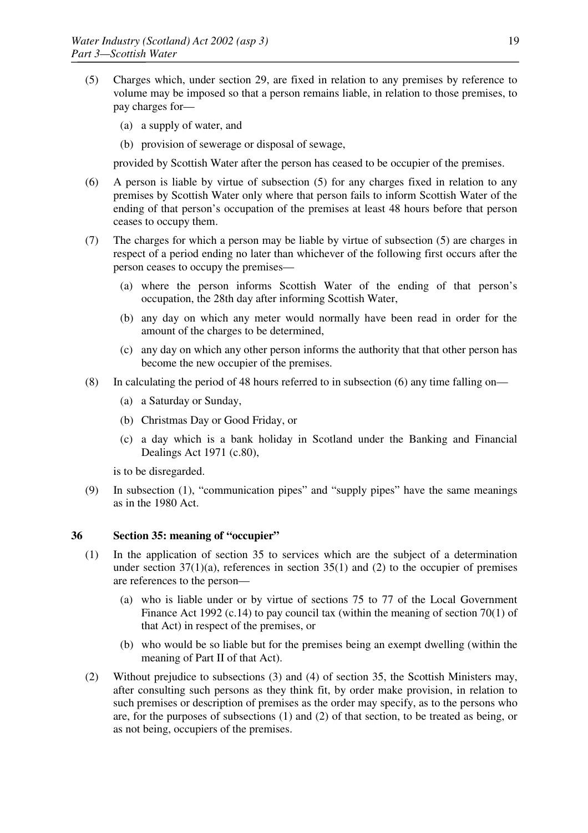- (5) Charges which, under section 29, are fixed in relation to any premises by reference to volume may be imposed so that a person remains liable, in relation to those premises, to pay charges for—
	- (a) a supply of water, and
	- (b) provision of sewerage or disposal of sewage,

provided by Scottish Water after the person has ceased to be occupier of the premises.

- (6) A person is liable by virtue of subsection (5) for any charges fixed in relation to any premises by Scottish Water only where that person fails to inform Scottish Water of the ending of that person's occupation of the premises at least 48 hours before that person ceases to occupy them.
- (7) The charges for which a person may be liable by virtue of subsection (5) are charges in respect of a period ending no later than whichever of the following first occurs after the person ceases to occupy the premises—
	- (a) where the person informs Scottish Water of the ending of that person's occupation, the 28th day after informing Scottish Water,
	- (b) any day on which any meter would normally have been read in order for the amount of the charges to be determined,
	- (c) any day on which any other person informs the authority that that other person has become the new occupier of the premises.
- (8) In calculating the period of 48 hours referred to in subsection (6) any time falling on—
	- (a) a Saturday or Sunday,
	- (b) Christmas Day or Good Friday, or
	- (c) a day which is a bank holiday in Scotland under the Banking and Financial Dealings Act 1971 (c.80),

is to be disregarded.

(9) In subsection (1), "communication pipes" and "supply pipes" have the same meanings as in the 1980 Act.

## **36 Section 35: meaning of "occupier"**

- (1) In the application of section 35 to services which are the subject of a determination under section  $37(1)(a)$ , references in section  $35(1)$  and (2) to the occupier of premises are references to the person—
	- (a) who is liable under or by virtue of sections 75 to 77 of the Local Government Finance Act 1992 (c.14) to pay council tax (within the meaning of section 70(1) of that Act) in respect of the premises, or
	- (b) who would be so liable but for the premises being an exempt dwelling (within the meaning of Part II of that Act).
- (2) Without prejudice to subsections (3) and (4) of section 35, the Scottish Ministers may, after consulting such persons as they think fit, by order make provision, in relation to such premises or description of premises as the order may specify, as to the persons who are, for the purposes of subsections (1) and (2) of that section, to be treated as being, or as not being, occupiers of the premises.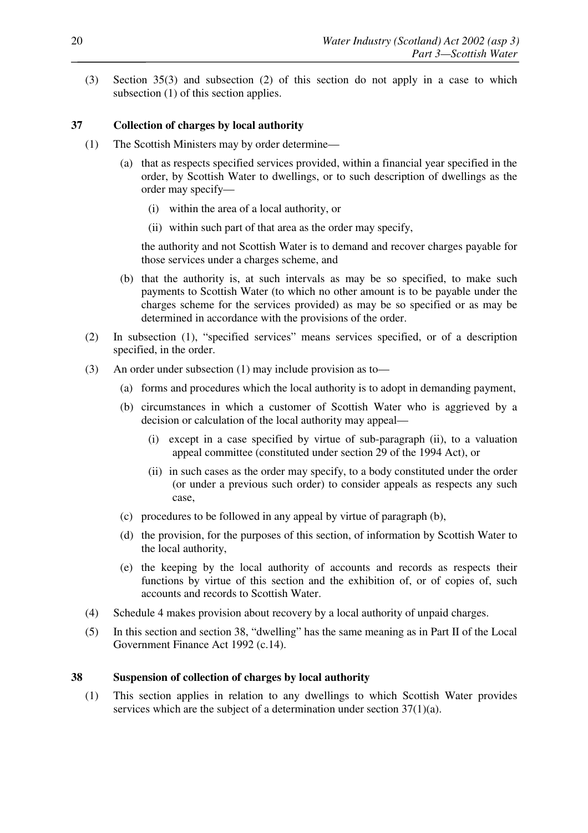(3) Section 35(3) and subsection (2) of this section do not apply in a case to which subsection (1) of this section applies.

## **37 Collection of charges by local authority**

- (1) The Scottish Ministers may by order determine—
	- (a) that as respects specified services provided, within a financial year specified in the order, by Scottish Water to dwellings, or to such description of dwellings as the order may specify—
		- (i) within the area of a local authority, or
		- (ii) within such part of that area as the order may specify,

the authority and not Scottish Water is to demand and recover charges payable for those services under a charges scheme, and

- (b) that the authority is, at such intervals as may be so specified, to make such payments to Scottish Water (to which no other amount is to be payable under the charges scheme for the services provided) as may be so specified or as may be determined in accordance with the provisions of the order.
- (2) In subsection (1), "specified services" means services specified, or of a description specified, in the order.
- (3) An order under subsection (1) may include provision as to—
	- (a) forms and procedures which the local authority is to adopt in demanding payment,
	- (b) circumstances in which a customer of Scottish Water who is aggrieved by a decision or calculation of the local authority may appeal—
		- (i) except in a case specified by virtue of sub-paragraph (ii), to a valuation appeal committee (constituted under section 29 of the 1994 Act), or
		- (ii) in such cases as the order may specify, to a body constituted under the order (or under a previous such order) to consider appeals as respects any such case,
	- (c) procedures to be followed in any appeal by virtue of paragraph (b),
	- (d) the provision, for the purposes of this section, of information by Scottish Water to the local authority,
	- (e) the keeping by the local authority of accounts and records as respects their functions by virtue of this section and the exhibition of, or of copies of, such accounts and records to Scottish Water.
- (4) Schedule 4 makes provision about recovery by a local authority of unpaid charges.
- (5) In this section and section 38, "dwelling" has the same meaning as in Part II of the Local Government Finance Act 1992 (c.14).

#### **38 Suspension of collection of charges by local authority**

(1) This section applies in relation to any dwellings to which Scottish Water provides services which are the subject of a determination under section 37(1)(a).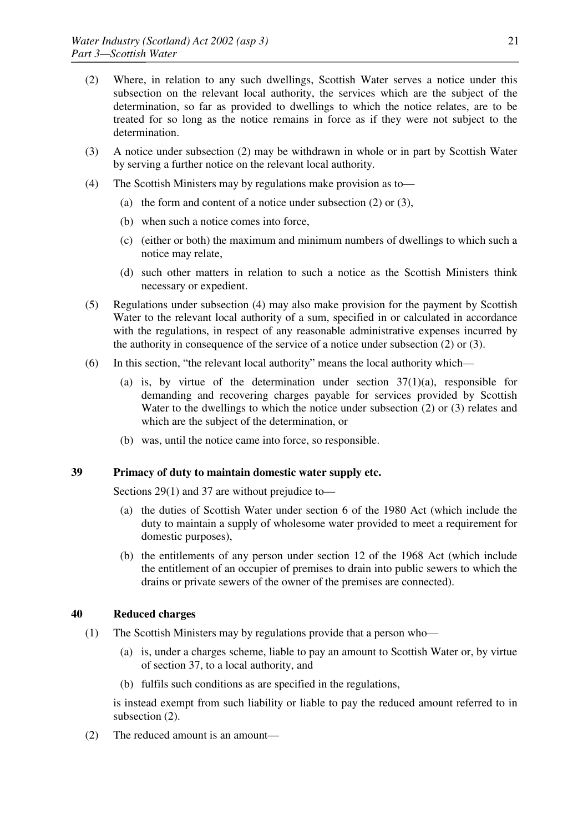- (2) Where, in relation to any such dwellings, Scottish Water serves a notice under this subsection on the relevant local authority, the services which are the subject of the determination, so far as provided to dwellings to which the notice relates, are to be treated for so long as the notice remains in force as if they were not subject to the determination.
- (3) A notice under subsection (2) may be withdrawn in whole or in part by Scottish Water by serving a further notice on the relevant local authority.
- (4) The Scottish Ministers may by regulations make provision as to—
	- (a) the form and content of a notice under subsection (2) or (3),
	- (b) when such a notice comes into force,
	- (c) (either or both) the maximum and minimum numbers of dwellings to which such a notice may relate,
	- (d) such other matters in relation to such a notice as the Scottish Ministers think necessary or expedient.
- (5) Regulations under subsection (4) may also make provision for the payment by Scottish Water to the relevant local authority of a sum, specified in or calculated in accordance with the regulations, in respect of any reasonable administrative expenses incurred by the authority in consequence of the service of a notice under subsection (2) or (3).
- (6) In this section, "the relevant local authority" means the local authority which—
	- (a) is, by virtue of the determination under section  $37(1)(a)$ , responsible for demanding and recovering charges payable for services provided by Scottish Water to the dwellings to which the notice under subsection (2) or (3) relates and which are the subject of the determination, or
	- (b) was, until the notice came into force, so responsible.

#### **39 Primacy of duty to maintain domestic water supply etc.**

Sections 29(1) and 37 are without prejudice to—

- (a) the duties of Scottish Water under section 6 of the 1980 Act (which include the duty to maintain a supply of wholesome water provided to meet a requirement for domestic purposes),
- (b) the entitlements of any person under section 12 of the 1968 Act (which include the entitlement of an occupier of premises to drain into public sewers to which the drains or private sewers of the owner of the premises are connected).

### **40 Reduced charges**

- (1) The Scottish Ministers may by regulations provide that a person who—
	- (a) is, under a charges scheme, liable to pay an amount to Scottish Water or, by virtue of section 37, to a local authority, and
	- (b) fulfils such conditions as are specified in the regulations,

is instead exempt from such liability or liable to pay the reduced amount referred to in subsection  $(2)$ .

(2) The reduced amount is an amount—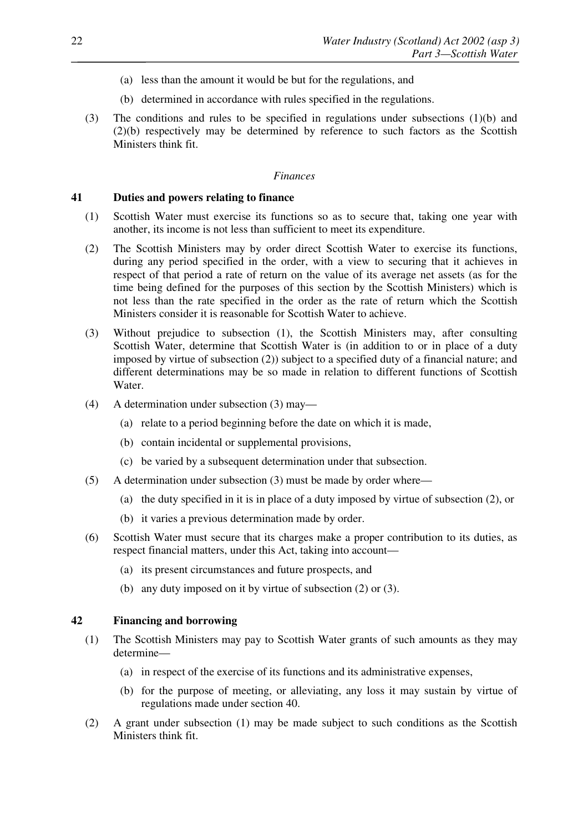- (a) less than the amount it would be but for the regulations, and
- (b) determined in accordance with rules specified in the regulations.
- (3) The conditions and rules to be specified in regulations under subsections (1)(b) and (2)(b) respectively may be determined by reference to such factors as the Scottish Ministers think fit.

#### *Finances*

#### **41 Duties and powers relating to finance**

- (1) Scottish Water must exercise its functions so as to secure that, taking one year with another, its income is not less than sufficient to meet its expenditure.
- (2) The Scottish Ministers may by order direct Scottish Water to exercise its functions, during any period specified in the order, with a view to securing that it achieves in respect of that period a rate of return on the value of its average net assets (as for the time being defined for the purposes of this section by the Scottish Ministers) which is not less than the rate specified in the order as the rate of return which the Scottish Ministers consider it is reasonable for Scottish Water to achieve.
- (3) Without prejudice to subsection (1), the Scottish Ministers may, after consulting Scottish Water, determine that Scottish Water is (in addition to or in place of a duty imposed by virtue of subsection (2)) subject to a specified duty of a financial nature; and different determinations may be so made in relation to different functions of Scottish Water.
- (4) A determination under subsection (3) may—
	- (a) relate to a period beginning before the date on which it is made,
	- (b) contain incidental or supplemental provisions,
	- (c) be varied by a subsequent determination under that subsection.
- (5) A determination under subsection (3) must be made by order where—
	- (a) the duty specified in it is in place of a duty imposed by virtue of subsection (2), or
	- (b) it varies a previous determination made by order.
- (6) Scottish Water must secure that its charges make a proper contribution to its duties, as respect financial matters, under this Act, taking into account—
	- (a) its present circumstances and future prospects, and
	- (b) any duty imposed on it by virtue of subsection (2) or (3).

#### **42 Financing and borrowing**

- (1) The Scottish Ministers may pay to Scottish Water grants of such amounts as they may determine—
	- (a) in respect of the exercise of its functions and its administrative expenses,
	- (b) for the purpose of meeting, or alleviating, any loss it may sustain by virtue of regulations made under section 40.
- (2) A grant under subsection (1) may be made subject to such conditions as the Scottish Ministers think fit.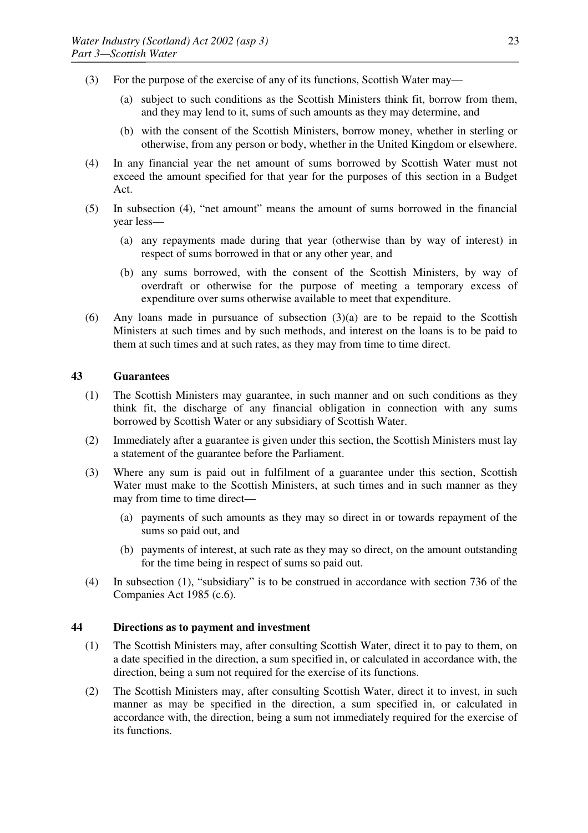- (3) For the purpose of the exercise of any of its functions, Scottish Water may—
	- (a) subject to such conditions as the Scottish Ministers think fit, borrow from them, and they may lend to it, sums of such amounts as they may determine, and
	- (b) with the consent of the Scottish Ministers, borrow money, whether in sterling or otherwise, from any person or body, whether in the United Kingdom or elsewhere.
- (4) In any financial year the net amount of sums borrowed by Scottish Water must not exceed the amount specified for that year for the purposes of this section in a Budget Act.
- (5) In subsection (4), "net amount" means the amount of sums borrowed in the financial year less—
	- (a) any repayments made during that year (otherwise than by way of interest) in respect of sums borrowed in that or any other year, and
	- (b) any sums borrowed, with the consent of the Scottish Ministers, by way of overdraft or otherwise for the purpose of meeting a temporary excess of expenditure over sums otherwise available to meet that expenditure.
- (6) Any loans made in pursuance of subsection (3)(a) are to be repaid to the Scottish Ministers at such times and by such methods, and interest on the loans is to be paid to them at such times and at such rates, as they may from time to time direct.

#### **43 Guarantees**

- (1) The Scottish Ministers may guarantee, in such manner and on such conditions as they think fit, the discharge of any financial obligation in connection with any sums borrowed by Scottish Water or any subsidiary of Scottish Water.
- (2) Immediately after a guarantee is given under this section, the Scottish Ministers must lay a statement of the guarantee before the Parliament.
- (3) Where any sum is paid out in fulfilment of a guarantee under this section, Scottish Water must make to the Scottish Ministers, at such times and in such manner as they may from time to time direct—
	- (a) payments of such amounts as they may so direct in or towards repayment of the sums so paid out, and
	- (b) payments of interest, at such rate as they may so direct, on the amount outstanding for the time being in respect of sums so paid out.
- (4) In subsection (1), "subsidiary" is to be construed in accordance with section 736 of the Companies Act 1985 (c.6).

#### **44 Directions as to payment and investment**

- (1) The Scottish Ministers may, after consulting Scottish Water, direct it to pay to them, on a date specified in the direction, a sum specified in, or calculated in accordance with, the direction, being a sum not required for the exercise of its functions.
- (2) The Scottish Ministers may, after consulting Scottish Water, direct it to invest, in such manner as may be specified in the direction, a sum specified in, or calculated in accordance with, the direction, being a sum not immediately required for the exercise of its functions.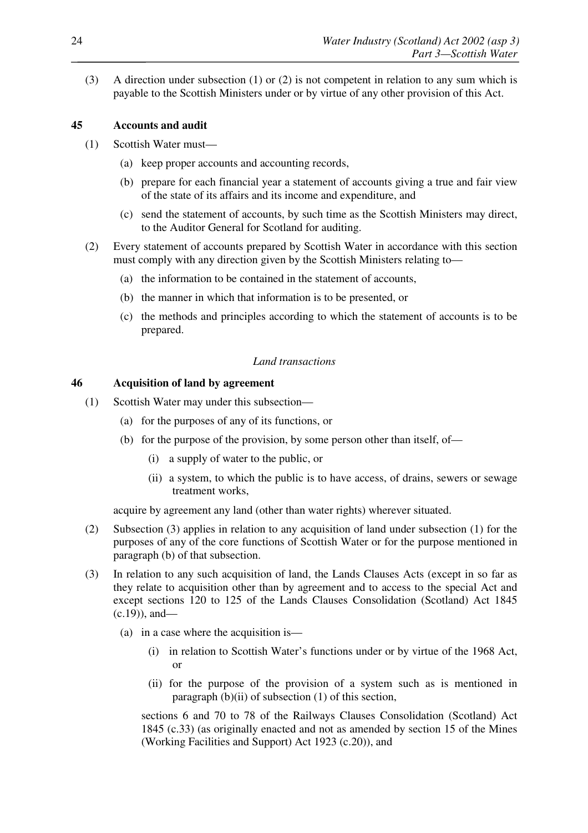(3) A direction under subsection (1) or (2) is not competent in relation to any sum which is payable to the Scottish Ministers under or by virtue of any other provision of this Act.

## **45 Accounts and audit**

- (1) Scottish Water must—
	- (a) keep proper accounts and accounting records,
	- (b) prepare for each financial year a statement of accounts giving a true and fair view of the state of its affairs and its income and expenditure, and
	- (c) send the statement of accounts, by such time as the Scottish Ministers may direct, to the Auditor General for Scotland for auditing.
- (2) Every statement of accounts prepared by Scottish Water in accordance with this section must comply with any direction given by the Scottish Ministers relating to—
	- (a) the information to be contained in the statement of accounts,
	- (b) the manner in which that information is to be presented, or
	- (c) the methods and principles according to which the statement of accounts is to be prepared.

#### *Land transactions*

#### **46 Acquisition of land by agreement**

- (1) Scottish Water may under this subsection—
	- (a) for the purposes of any of its functions, or
	- (b) for the purpose of the provision, by some person other than itself, of—
		- (i) a supply of water to the public, or
		- (ii) a system, to which the public is to have access, of drains, sewers or sewage treatment works,

acquire by agreement any land (other than water rights) wherever situated.

- (2) Subsection (3) applies in relation to any acquisition of land under subsection (1) for the purposes of any of the core functions of Scottish Water or for the purpose mentioned in paragraph (b) of that subsection.
- (3) In relation to any such acquisition of land, the Lands Clauses Acts (except in so far as they relate to acquisition other than by agreement and to access to the special Act and except sections 120 to 125 of the Lands Clauses Consolidation (Scotland) Act 1845 (c.19)), and—
	- (a) in a case where the acquisition is—
		- (i) in relation to Scottish Water's functions under or by virtue of the 1968 Act, or
		- (ii) for the purpose of the provision of a system such as is mentioned in paragraph (b)(ii) of subsection (1) of this section,

sections 6 and 70 to 78 of the Railways Clauses Consolidation (Scotland) Act 1845 (c.33) (as originally enacted and not as amended by section 15 of the Mines (Working Facilities and Support) Act 1923 (c.20)), and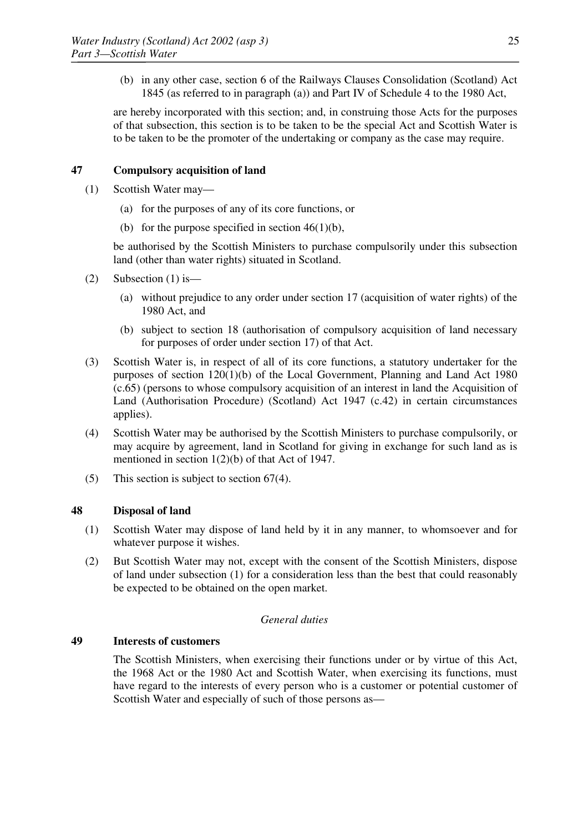(b) in any other case, section 6 of the Railways Clauses Consolidation (Scotland) Act 1845 (as referred to in paragraph (a)) and Part IV of Schedule 4 to the 1980 Act,

are hereby incorporated with this section; and, in construing those Acts for the purposes of that subsection, this section is to be taken to be the special Act and Scottish Water is to be taken to be the promoter of the undertaking or company as the case may require.

## **47 Compulsory acquisition of land**

- (1) Scottish Water may—
	- (a) for the purposes of any of its core functions, or
	- (b) for the purpose specified in section  $46(1)(b)$ ,

be authorised by the Scottish Ministers to purchase compulsorily under this subsection land (other than water rights) situated in Scotland.

- (2) Subsection (1) is  $-$ 
	- (a) without prejudice to any order under section 17 (acquisition of water rights) of the 1980 Act, and
	- (b) subject to section 18 (authorisation of compulsory acquisition of land necessary for purposes of order under section 17) of that Act.
- (3) Scottish Water is, in respect of all of its core functions, a statutory undertaker for the purposes of section 120(1)(b) of the Local Government, Planning and Land Act 1980 (c.65) (persons to whose compulsory acquisition of an interest in land the Acquisition of Land (Authorisation Procedure) (Scotland) Act 1947 (c.42) in certain circumstances applies).
- (4) Scottish Water may be authorised by the Scottish Ministers to purchase compulsorily, or may acquire by agreement, land in Scotland for giving in exchange for such land as is mentioned in section 1(2)(b) of that Act of 1947.
- (5) This section is subject to section 67(4).

#### **48 Disposal of land**

- (1) Scottish Water may dispose of land held by it in any manner, to whomsoever and for whatever purpose it wishes.
- (2) But Scottish Water may not, except with the consent of the Scottish Ministers, dispose of land under subsection (1) for a consideration less than the best that could reasonably be expected to be obtained on the open market.

#### *General duties*

#### **49 Interests of customers**

The Scottish Ministers, when exercising their functions under or by virtue of this Act, the 1968 Act or the 1980 Act and Scottish Water, when exercising its functions, must have regard to the interests of every person who is a customer or potential customer of Scottish Water and especially of such of those persons as—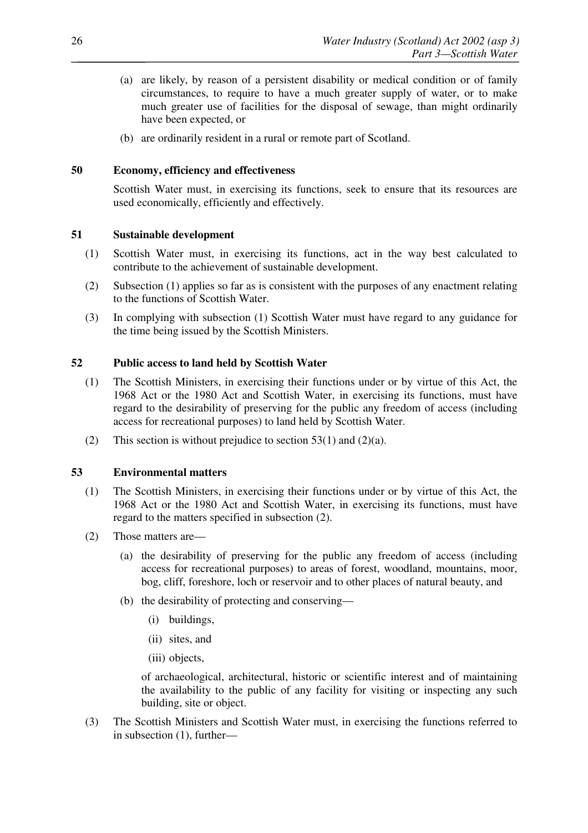- (a) are likely, by reason of a persistent disability or medical condition or of family circumstances, to require to have a much greater supply of water, or to make much greater use of facilities for the disposal of sewage, than might ordinarily have been expected, or
- (b) are ordinarily resident in a rural or remote part of Scotland.

## **50 Economy, efficiency and effectiveness**

Scottish Water must, in exercising its functions, seek to ensure that its resources are used economically, efficiently and effectively.

## **51 Sustainable development**

- (1) Scottish Water must, in exercising its functions, act in the way best calculated to contribute to the achievement of sustainable development.
- (2) Subsection (1) applies so far as is consistent with the purposes of any enactment relating to the functions of Scottish Water.
- (3) In complying with subsection (1) Scottish Water must have regard to any guidance for the time being issued by the Scottish Ministers.

## **52 Public access to land held by Scottish Water**

- (1) The Scottish Ministers, in exercising their functions under or by virtue of this Act, the 1968 Act or the 1980 Act and Scottish Water, in exercising its functions, must have regard to the desirability of preserving for the public any freedom of access (including access for recreational purposes) to land held by Scottish Water.
- (2) This section is without prejudice to section  $53(1)$  and  $(2)(a)$ .

#### **53 Environmental matters**

- (1) The Scottish Ministers, in exercising their functions under or by virtue of this Act, the 1968 Act or the 1980 Act and Scottish Water, in exercising its functions, must have regard to the matters specified in subsection (2).
- (2) Those matters are—
	- (a) the desirability of preserving for the public any freedom of access (including access for recreational purposes) to areas of forest, woodland, mountains, moor, bog, cliff, foreshore, loch or reservoir and to other places of natural beauty, and
	- (b) the desirability of protecting and conserving—
		- (i) buildings,
		- (ii) sites, and
		- (iii) objects,

of archaeological, architectural, historic or scientific interest and of maintaining the availability to the public of any facility for visiting or inspecting any such building, site or object.

(3) The Scottish Ministers and Scottish Water must, in exercising the functions referred to in subsection (1), further—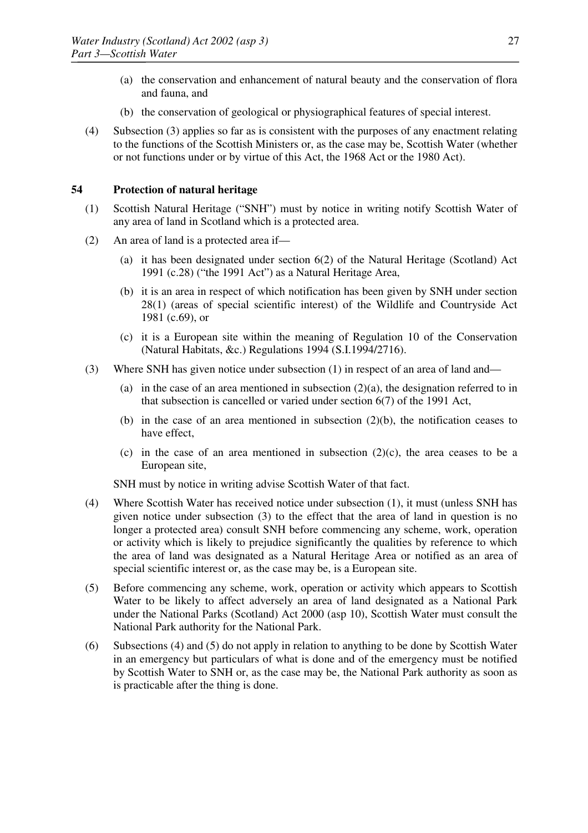- (a) the conservation and enhancement of natural beauty and the conservation of flora and fauna, and
- (b) the conservation of geological or physiographical features of special interest.
- (4) Subsection (3) applies so far as is consistent with the purposes of any enactment relating to the functions of the Scottish Ministers or, as the case may be, Scottish Water (whether or not functions under or by virtue of this Act, the 1968 Act or the 1980 Act).

## **54 Protection of natural heritage**

- (1) Scottish Natural Heritage ("SNH") must by notice in writing notify Scottish Water of any area of land in Scotland which is a protected area.
- (2) An area of land is a protected area if—
	- (a) it has been designated under section 6(2) of the Natural Heritage (Scotland) Act 1991 (c.28) ("the 1991 Act") as a Natural Heritage Area,
	- (b) it is an area in respect of which notification has been given by SNH under section 28(1) (areas of special scientific interest) of the Wildlife and Countryside Act 1981 (c.69), or
	- (c) it is a European site within the meaning of Regulation 10 of the Conservation (Natural Habitats, &c.) Regulations 1994 (S.I.1994/2716).
- (3) Where SNH has given notice under subsection (1) in respect of an area of land and—
	- (a) in the case of an area mentioned in subsection  $(2)(a)$ , the designation referred to in that subsection is cancelled or varied under section 6(7) of the 1991 Act,
	- (b) in the case of an area mentioned in subsection (2)(b), the notification ceases to have effect,
	- (c) in the case of an area mentioned in subsection  $(2)(c)$ , the area ceases to be a European site,

SNH must by notice in writing advise Scottish Water of that fact.

- (4) Where Scottish Water has received notice under subsection (1), it must (unless SNH has given notice under subsection (3) to the effect that the area of land in question is no longer a protected area) consult SNH before commencing any scheme, work, operation or activity which is likely to prejudice significantly the qualities by reference to which the area of land was designated as a Natural Heritage Area or notified as an area of special scientific interest or, as the case may be, is a European site.
- (5) Before commencing any scheme, work, operation or activity which appears to Scottish Water to be likely to affect adversely an area of land designated as a National Park under the National Parks (Scotland) Act 2000 (asp 10), Scottish Water must consult the National Park authority for the National Park.
- (6) Subsections (4) and (5) do not apply in relation to anything to be done by Scottish Water in an emergency but particulars of what is done and of the emergency must be notified by Scottish Water to SNH or, as the case may be, the National Park authority as soon as is practicable after the thing is done.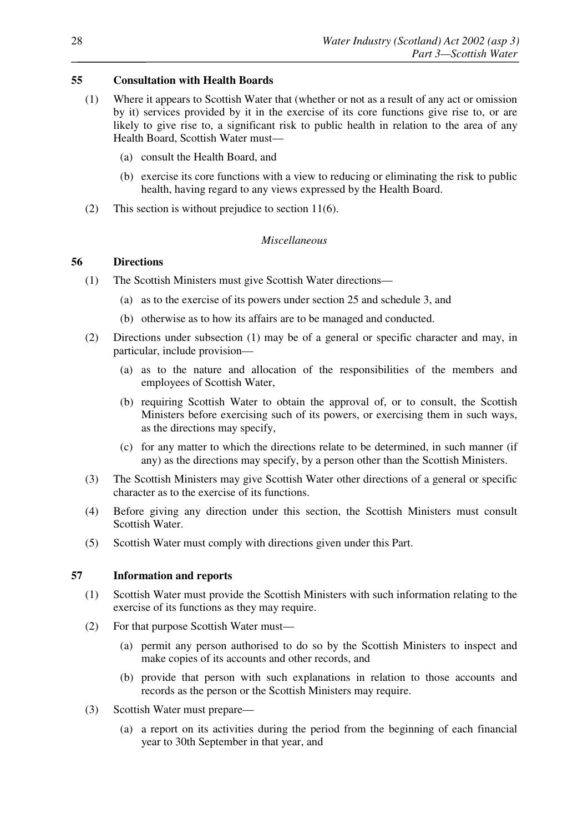## **55 Consultation with Health Boards**

- (1) Where it appears to Scottish Water that (whether or not as a result of any act or omission by it) services provided by it in the exercise of its core functions give rise to, or are likely to give rise to, a significant risk to public health in relation to the area of any Health Board, Scottish Water must—
	- (a) consult the Health Board, and
	- (b) exercise its core functions with a view to reducing or eliminating the risk to public health, having regard to any views expressed by the Health Board.
- (2) This section is without prejudice to section 11(6).

#### *Miscellaneous*

## **56 Directions**

- (1) The Scottish Ministers must give Scottish Water directions—
	- (a) as to the exercise of its powers under section 25 and schedule 3, and
	- (b) otherwise as to how its affairs are to be managed and conducted.
- (2) Directions under subsection (1) may be of a general or specific character and may, in particular, include provision—
	- (a) as to the nature and allocation of the responsibilities of the members and employees of Scottish Water,
	- (b) requiring Scottish Water to obtain the approval of, or to consult, the Scottish Ministers before exercising such of its powers, or exercising them in such ways, as the directions may specify,
	- (c) for any matter to which the directions relate to be determined, in such manner (if any) as the directions may specify, by a person other than the Scottish Ministers.
- (3) The Scottish Ministers may give Scottish Water other directions of a general or specific character as to the exercise of its functions.
- (4) Before giving any direction under this section, the Scottish Ministers must consult Scottish Water.
- (5) Scottish Water must comply with directions given under this Part.

#### **57 Information and reports**

- (1) Scottish Water must provide the Scottish Ministers with such information relating to the exercise of its functions as they may require.
- (2) For that purpose Scottish Water must—
	- (a) permit any person authorised to do so by the Scottish Ministers to inspect and make copies of its accounts and other records, and
	- (b) provide that person with such explanations in relation to those accounts and records as the person or the Scottish Ministers may require.
- (3) Scottish Water must prepare—
	- (a) a report on its activities during the period from the beginning of each financial year to 30th September in that year, and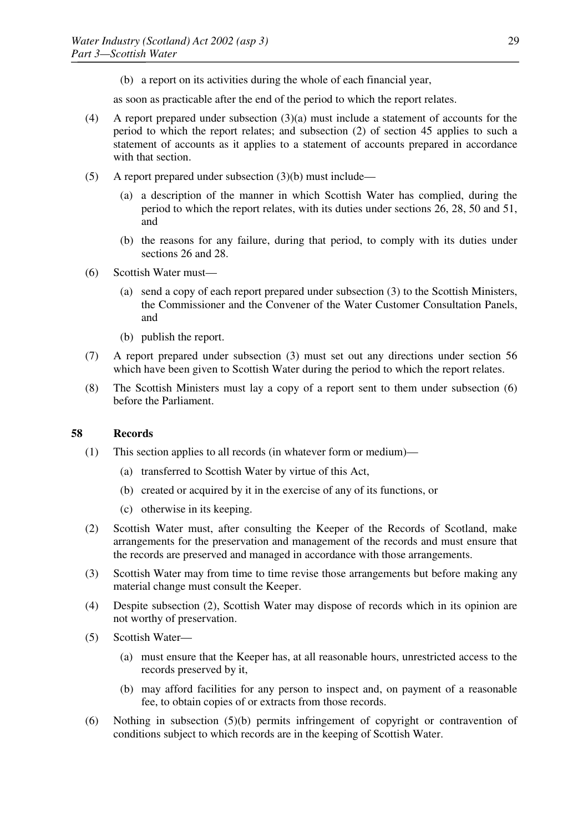(b) a report on its activities during the whole of each financial year,

as soon as practicable after the end of the period to which the report relates.

- (4) A report prepared under subsection (3)(a) must include a statement of accounts for the period to which the report relates; and subsection (2) of section 45 applies to such a statement of accounts as it applies to a statement of accounts prepared in accordance with that section.
- (5) A report prepared under subsection (3)(b) must include—
	- (a) a description of the manner in which Scottish Water has complied, during the period to which the report relates, with its duties under sections 26, 28, 50 and 51, and
	- (b) the reasons for any failure, during that period, to comply with its duties under sections 26 and 28.
- (6) Scottish Water must—
	- (a) send a copy of each report prepared under subsection (3) to the Scottish Ministers, the Commissioner and the Convener of the Water Customer Consultation Panels, and
	- (b) publish the report.
- (7) A report prepared under subsection (3) must set out any directions under section 56 which have been given to Scottish Water during the period to which the report relates.
- (8) The Scottish Ministers must lay a copy of a report sent to them under subsection (6) before the Parliament.

#### **58 Records**

- (1) This section applies to all records (in whatever form or medium)—
	- (a) transferred to Scottish Water by virtue of this Act,
	- (b) created or acquired by it in the exercise of any of its functions, or
	- (c) otherwise in its keeping.
- (2) Scottish Water must, after consulting the Keeper of the Records of Scotland, make arrangements for the preservation and management of the records and must ensure that the records are preserved and managed in accordance with those arrangements.
- (3) Scottish Water may from time to time revise those arrangements but before making any material change must consult the Keeper.
- (4) Despite subsection (2), Scottish Water may dispose of records which in its opinion are not worthy of preservation.
- (5) Scottish Water—
	- (a) must ensure that the Keeper has, at all reasonable hours, unrestricted access to the records preserved by it,
	- (b) may afford facilities for any person to inspect and, on payment of a reasonable fee, to obtain copies of or extracts from those records.
- (6) Nothing in subsection (5)(b) permits infringement of copyright or contravention of conditions subject to which records are in the keeping of Scottish Water.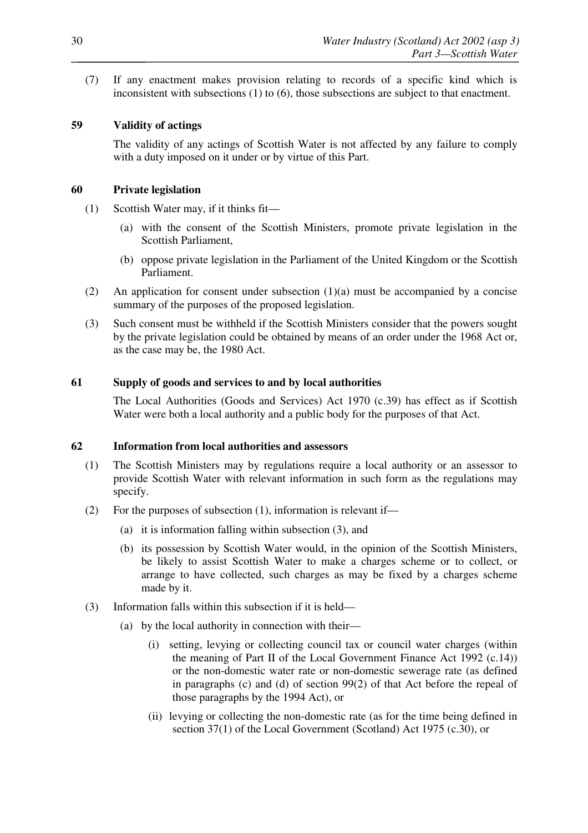(7) If any enactment makes provision relating to records of a specific kind which is inconsistent with subsections (1) to (6), those subsections are subject to that enactment.

## **59 Validity of actings**

The validity of any actings of Scottish Water is not affected by any failure to comply with a duty imposed on it under or by virtue of this Part.

## **60 Private legislation**

- (1) Scottish Water may, if it thinks fit—
	- (a) with the consent of the Scottish Ministers, promote private legislation in the Scottish Parliament,
	- (b) oppose private legislation in the Parliament of the United Kingdom or the Scottish Parliament.
- (2) An application for consent under subsection (1)(a) must be accompanied by a concise summary of the purposes of the proposed legislation.
- (3) Such consent must be withheld if the Scottish Ministers consider that the powers sought by the private legislation could be obtained by means of an order under the 1968 Act or, as the case may be, the 1980 Act.

## **61 Supply of goods and services to and by local authorities**

The Local Authorities (Goods and Services) Act 1970 (c.39) has effect as if Scottish Water were both a local authority and a public body for the purposes of that Act.

#### **62 Information from local authorities and assessors**

- (1) The Scottish Ministers may by regulations require a local authority or an assessor to provide Scottish Water with relevant information in such form as the regulations may specify.
- (2) For the purposes of subsection (1), information is relevant if—
	- (a) it is information falling within subsection (3), and
	- (b) its possession by Scottish Water would, in the opinion of the Scottish Ministers, be likely to assist Scottish Water to make a charges scheme or to collect, or arrange to have collected, such charges as may be fixed by a charges scheme made by it.
- (3) Information falls within this subsection if it is held—
	- (a) by the local authority in connection with their—
		- (i) setting, levying or collecting council tax or council water charges (within the meaning of Part II of the Local Government Finance Act 1992 (c.14)) or the non-domestic water rate or non-domestic sewerage rate (as defined in paragraphs (c) and (d) of section 99(2) of that Act before the repeal of those paragraphs by the 1994 Act), or
		- (ii) levying or collecting the non-domestic rate (as for the time being defined in section 37(1) of the Local Government (Scotland) Act 1975 (c.30), or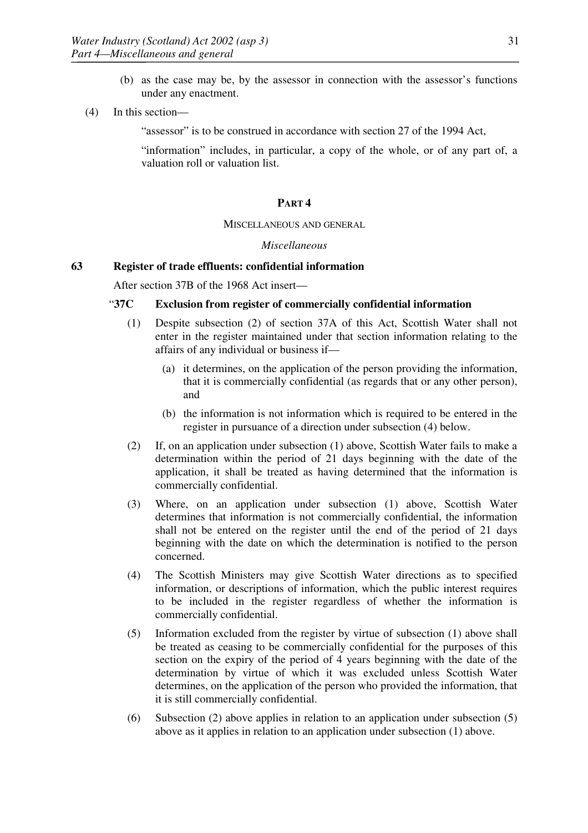- (b) as the case may be, by the assessor in connection with the assessor's functions under any enactment.
- (4) In this section—

"assessor" is to be construed in accordance with section 27 of the 1994 Act,

"information" includes, in particular, a copy of the whole, or of any part of, a valuation roll or valuation list.

#### **PART 4**

#### MISCELLANEOUS AND GENERAL

## *Miscellaneous*

#### **63 Register of trade effluents: confidential information**

After section 37B of the 1968 Act insert—

#### "**37C Exclusion from register of commercially confidential information**

- (1) Despite subsection (2) of section 37A of this Act, Scottish Water shall not enter in the register maintained under that section information relating to the affairs of any individual or business if—
	- (a) it determines, on the application of the person providing the information, that it is commercially confidential (as regards that or any other person), and
	- (b) the information is not information which is required to be entered in the register in pursuance of a direction under subsection (4) below.
- (2) If, on an application under subsection (1) above, Scottish Water fails to make a determination within the period of 21 days beginning with the date of the application, it shall be treated as having determined that the information is commercially confidential.
- (3) Where, on an application under subsection (1) above, Scottish Water determines that information is not commercially confidential, the information shall not be entered on the register until the end of the period of 21 days beginning with the date on which the determination is notified to the person concerned.
- (4) The Scottish Ministers may give Scottish Water directions as to specified information, or descriptions of information, which the public interest requires to be included in the register regardless of whether the information is commercially confidential.
- (5) Information excluded from the register by virtue of subsection (1) above shall be treated as ceasing to be commercially confidential for the purposes of this section on the expiry of the period of 4 years beginning with the date of the determination by virtue of which it was excluded unless Scottish Water determines, on the application of the person who provided the information, that it is still commercially confidential.
- (6) Subsection (2) above applies in relation to an application under subsection (5) above as it applies in relation to an application under subsection (1) above.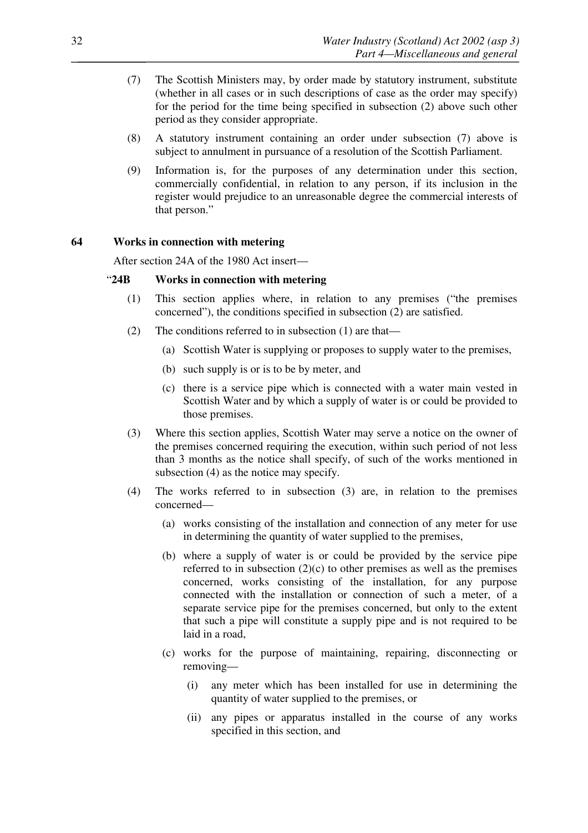- (7) The Scottish Ministers may, by order made by statutory instrument, substitute (whether in all cases or in such descriptions of case as the order may specify) for the period for the time being specified in subsection (2) above such other period as they consider appropriate.
- (8) A statutory instrument containing an order under subsection (7) above is subject to annulment in pursuance of a resolution of the Scottish Parliament.
- (9) Information is, for the purposes of any determination under this section, commercially confidential, in relation to any person, if its inclusion in the register would prejudice to an unreasonable degree the commercial interests of that person."

#### **64 Works in connection with metering**

After section 24A of the 1980 Act insert—

## "**24B Works in connection with metering**

- (1) This section applies where, in relation to any premises ("the premises concerned"), the conditions specified in subsection (2) are satisfied.
- (2) The conditions referred to in subsection (1) are that—
	- (a) Scottish Water is supplying or proposes to supply water to the premises,
	- (b) such supply is or is to be by meter, and
	- (c) there is a service pipe which is connected with a water main vested in Scottish Water and by which a supply of water is or could be provided to those premises.
- (3) Where this section applies, Scottish Water may serve a notice on the owner of the premises concerned requiring the execution, within such period of not less than 3 months as the notice shall specify, of such of the works mentioned in subsection (4) as the notice may specify.
- (4) The works referred to in subsection (3) are, in relation to the premises concerned—
	- (a) works consisting of the installation and connection of any meter for use in determining the quantity of water supplied to the premises,
	- (b) where a supply of water is or could be provided by the service pipe referred to in subsection  $(2)(c)$  to other premises as well as the premises concerned, works consisting of the installation, for any purpose connected with the installation or connection of such a meter, of a separate service pipe for the premises concerned, but only to the extent that such a pipe will constitute a supply pipe and is not required to be laid in a road,
	- (c) works for the purpose of maintaining, repairing, disconnecting or removing—
		- (i) any meter which has been installed for use in determining the quantity of water supplied to the premises, or
		- (ii) any pipes or apparatus installed in the course of any works specified in this section, and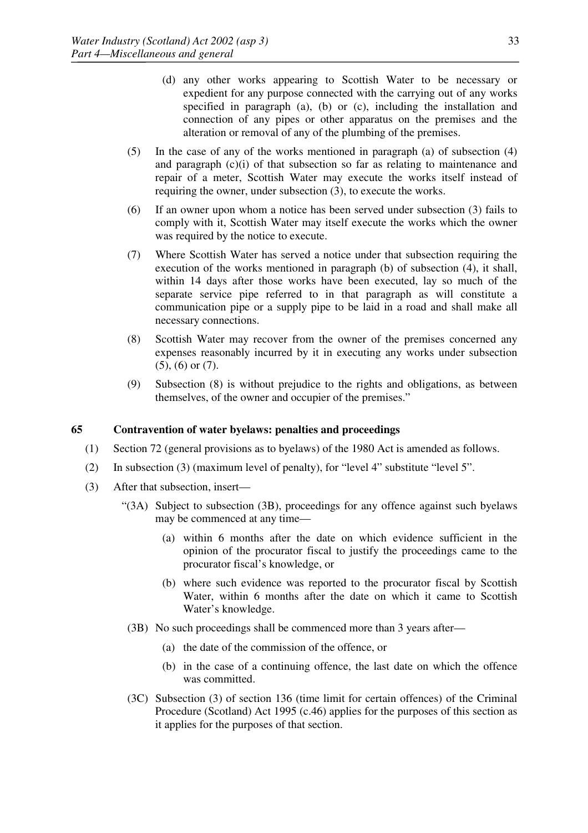- (d) any other works appearing to Scottish Water to be necessary or expedient for any purpose connected with the carrying out of any works specified in paragraph (a), (b) or (c), including the installation and connection of any pipes or other apparatus on the premises and the alteration or removal of any of the plumbing of the premises.
- (5) In the case of any of the works mentioned in paragraph (a) of subsection (4) and paragraph (c)(i) of that subsection so far as relating to maintenance and repair of a meter, Scottish Water may execute the works itself instead of requiring the owner, under subsection (3), to execute the works.
- (6) If an owner upon whom a notice has been served under subsection (3) fails to comply with it, Scottish Water may itself execute the works which the owner was required by the notice to execute.
- (7) Where Scottish Water has served a notice under that subsection requiring the execution of the works mentioned in paragraph (b) of subsection  $(4)$ , it shall, within 14 days after those works have been executed, lay so much of the separate service pipe referred to in that paragraph as will constitute a communication pipe or a supply pipe to be laid in a road and shall make all necessary connections.
- (8) Scottish Water may recover from the owner of the premises concerned any expenses reasonably incurred by it in executing any works under subsection (5), (6) or (7).
- (9) Subsection (8) is without prejudice to the rights and obligations, as between themselves, of the owner and occupier of the premises."

## **65 Contravention of water byelaws: penalties and proceedings**

- (1) Section 72 (general provisions as to byelaws) of the 1980 Act is amended as follows.
- (2) In subsection (3) (maximum level of penalty), for "level 4" substitute "level 5".
- (3) After that subsection, insert—
	- "(3A) Subject to subsection (3B), proceedings for any offence against such byelaws may be commenced at any time—
		- (a) within 6 months after the date on which evidence sufficient in the opinion of the procurator fiscal to justify the proceedings came to the procurator fiscal's knowledge, or
		- (b) where such evidence was reported to the procurator fiscal by Scottish Water, within 6 months after the date on which it came to Scottish Water's knowledge.
	- (3B) No such proceedings shall be commenced more than 3 years after—
		- (a) the date of the commission of the offence, or
		- (b) in the case of a continuing offence, the last date on which the offence was committed.
	- (3C) Subsection (3) of section 136 (time limit for certain offences) of the Criminal Procedure (Scotland) Act 1995 (c.46) applies for the purposes of this section as it applies for the purposes of that section.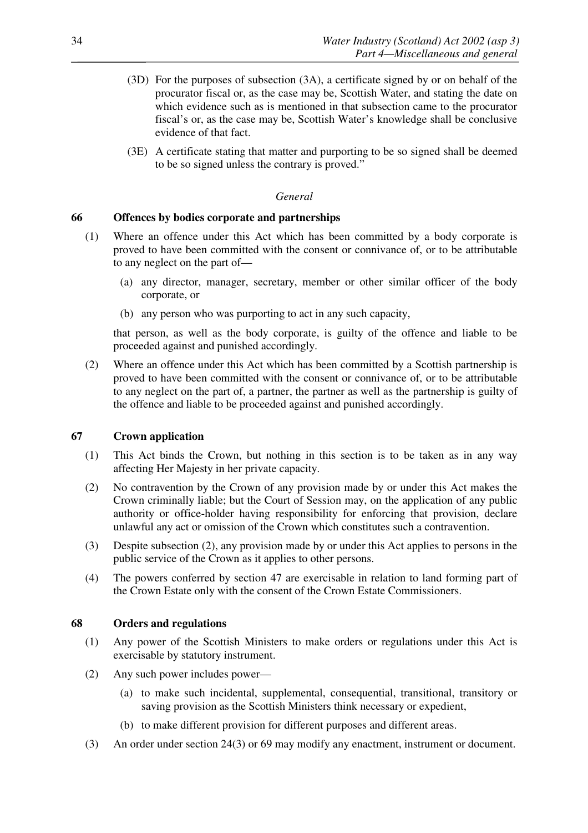- (3D) For the purposes of subsection (3A), a certificate signed by or on behalf of the procurator fiscal or, as the case may be, Scottish Water, and stating the date on which evidence such as is mentioned in that subsection came to the procurator fiscal's or, as the case may be, Scottish Water's knowledge shall be conclusive evidence of that fact.
- (3E) A certificate stating that matter and purporting to be so signed shall be deemed to be so signed unless the contrary is proved."

#### *General*

### **66 Offences by bodies corporate and partnerships**

- (1) Where an offence under this Act which has been committed by a body corporate is proved to have been committed with the consent or connivance of, or to be attributable to any neglect on the part of—
	- (a) any director, manager, secretary, member or other similar officer of the body corporate, or
	- (b) any person who was purporting to act in any such capacity,

that person, as well as the body corporate, is guilty of the offence and liable to be proceeded against and punished accordingly.

(2) Where an offence under this Act which has been committed by a Scottish partnership is proved to have been committed with the consent or connivance of, or to be attributable to any neglect on the part of, a partner, the partner as well as the partnership is guilty of the offence and liable to be proceeded against and punished accordingly.

### **67 Crown application**

- (1) This Act binds the Crown, but nothing in this section is to be taken as in any way affecting Her Majesty in her private capacity.
- (2) No contravention by the Crown of any provision made by or under this Act makes the Crown criminally liable; but the Court of Session may, on the application of any public authority or office-holder having responsibility for enforcing that provision, declare unlawful any act or omission of the Crown which constitutes such a contravention.
- (3) Despite subsection (2), any provision made by or under this Act applies to persons in the public service of the Crown as it applies to other persons.
- (4) The powers conferred by section 47 are exercisable in relation to land forming part of the Crown Estate only with the consent of the Crown Estate Commissioners.

### **68 Orders and regulations**

- (1) Any power of the Scottish Ministers to make orders or regulations under this Act is exercisable by statutory instrument.
- (2) Any such power includes power—
	- (a) to make such incidental, supplemental, consequential, transitional, transitory or saving provision as the Scottish Ministers think necessary or expedient,
	- (b) to make different provision for different purposes and different areas.
- (3) An order under section 24(3) or 69 may modify any enactment, instrument or document.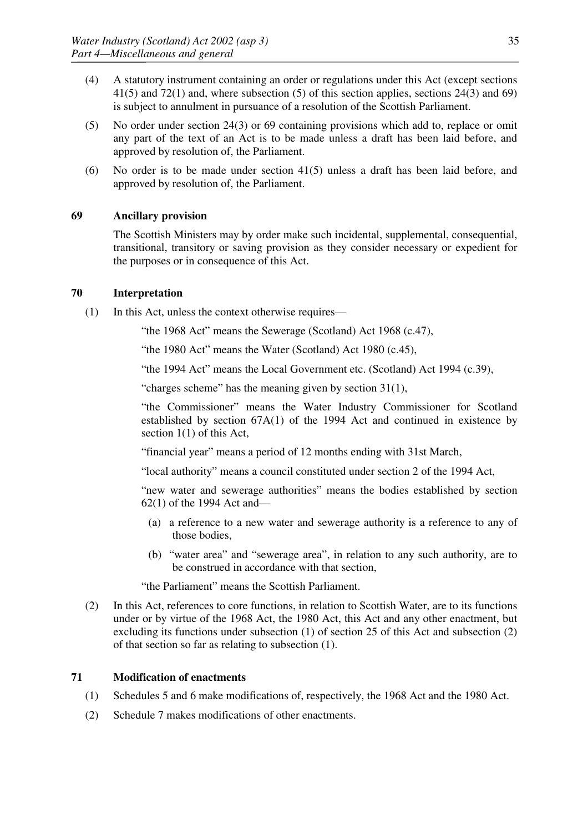- (4) A statutory instrument containing an order or regulations under this Act (except sections 41(5) and 72(1) and, where subsection (5) of this section applies, sections 24(3) and 69) is subject to annulment in pursuance of a resolution of the Scottish Parliament.
- (5) No order under section 24(3) or 69 containing provisions which add to, replace or omit any part of the text of an Act is to be made unless a draft has been laid before, and approved by resolution of, the Parliament.
- (6) No order is to be made under section 41(5) unless a draft has been laid before, and approved by resolution of, the Parliament.

## **69 Ancillary provision**

The Scottish Ministers may by order make such incidental, supplemental, consequential, transitional, transitory or saving provision as they consider necessary or expedient for the purposes or in consequence of this Act.

### **70 Interpretation**

(1) In this Act, unless the context otherwise requires—

"the 1968 Act" means the Sewerage (Scotland) Act 1968 (c.47),

"the 1980 Act" means the Water (Scotland) Act 1980 (c.45),

"the 1994 Act" means the Local Government etc. (Scotland) Act 1994 (c.39),

"charges scheme" has the meaning given by section 31(1),

"the Commissioner" means the Water Industry Commissioner for Scotland established by section 67A(1) of the 1994 Act and continued in existence by section 1(1) of this Act,

"financial year" means a period of 12 months ending with 31st March,

"local authority" means a council constituted under section 2 of the 1994 Act,

"new water and sewerage authorities" means the bodies established by section 62(1) of the 1994 Act and—

- (a) a reference to a new water and sewerage authority is a reference to any of those bodies,
- (b) "water area" and "sewerage area", in relation to any such authority, are to be construed in accordance with that section,

"the Parliament" means the Scottish Parliament.

(2) In this Act, references to core functions, in relation to Scottish Water, are to its functions under or by virtue of the 1968 Act, the 1980 Act, this Act and any other enactment, but excluding its functions under subsection (1) of section 25 of this Act and subsection (2) of that section so far as relating to subsection (1).

## **71 Modification of enactments**

- (1) Schedules 5 and 6 make modifications of, respectively, the 1968 Act and the 1980 Act.
- (2) Schedule 7 makes modifications of other enactments.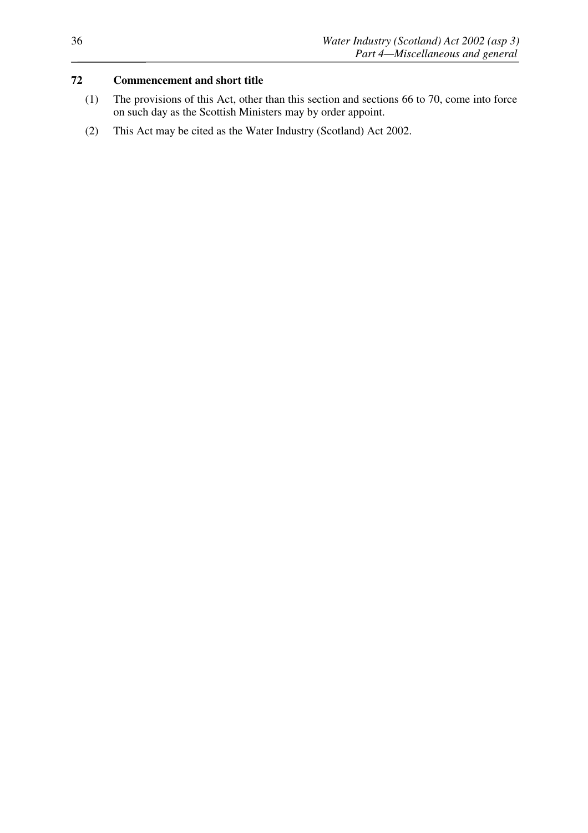## **72 Commencement and short title**

- (1) The provisions of this Act, other than this section and sections 66 to 70, come into force on such day as the Scottish Ministers may by order appoint.
- (2) This Act may be cited as the Water Industry (Scotland) Act 2002.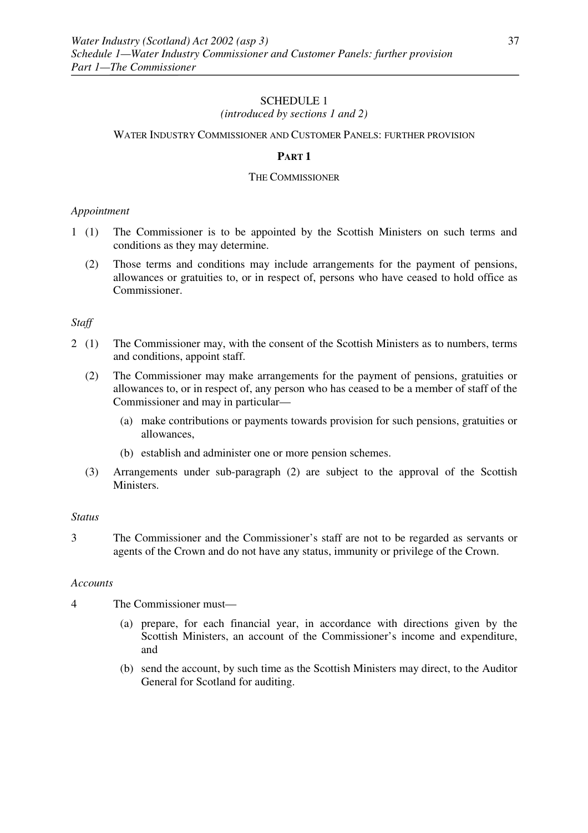## *(introduced by sections 1 and 2)*

### WATER INDUSTRY COMMISSIONER AND CUSTOMER PANELS: FURTHER PROVISION

### **PART 1**

### THE COMMISSIONER

### *Appointment*

- 1 (1) The Commissioner is to be appointed by the Scottish Ministers on such terms and conditions as they may determine.
	- (2) Those terms and conditions may include arrangements for the payment of pensions, allowances or gratuities to, or in respect of, persons who have ceased to hold office as Commissioner.

### *Staff*

- 2 (1) The Commissioner may, with the consent of the Scottish Ministers as to numbers, terms and conditions, appoint staff.
	- (2) The Commissioner may make arrangements for the payment of pensions, gratuities or allowances to, or in respect of, any person who has ceased to be a member of staff of the Commissioner and may in particular—
		- (a) make contributions or payments towards provision for such pensions, gratuities or allowances,
		- (b) establish and administer one or more pension schemes.
	- (3) Arrangements under sub-paragraph (2) are subject to the approval of the Scottish **Ministers**

### *Status*

3 The Commissioner and the Commissioner's staff are not to be regarded as servants or agents of the Crown and do not have any status, immunity or privilege of the Crown.

### *Accounts*

- 4 The Commissioner must—
	- (a) prepare, for each financial year, in accordance with directions given by the Scottish Ministers, an account of the Commissioner's income and expenditure, and
	- (b) send the account, by such time as the Scottish Ministers may direct, to the Auditor General for Scotland for auditing.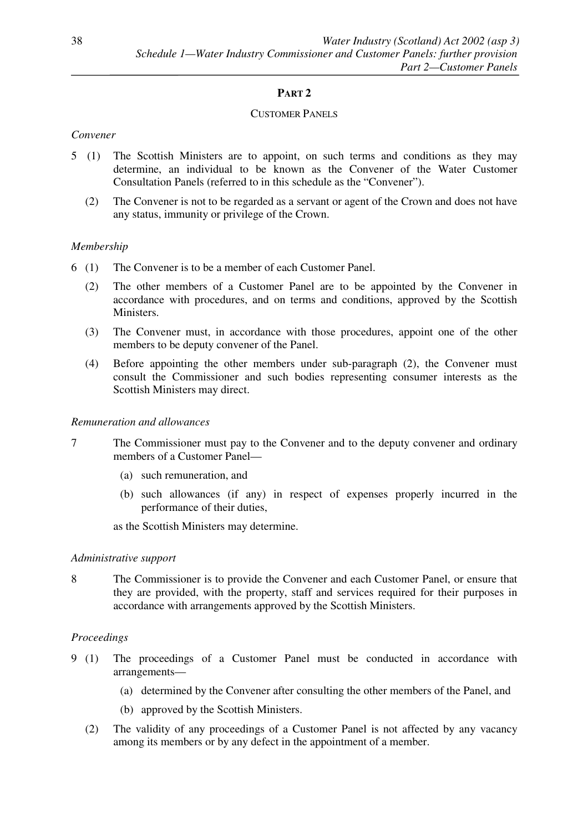# **PART 2**

## CUSTOMER PANELS

### *Convener*

- 5 (1) The Scottish Ministers are to appoint, on such terms and conditions as they may determine, an individual to be known as the Convener of the Water Customer Consultation Panels (referred to in this schedule as the "Convener").
	- (2) The Convener is not to be regarded as a servant or agent of the Crown and does not have any status, immunity or privilege of the Crown.

### *Membership*

- 6 (1) The Convener is to be a member of each Customer Panel.
	- (2) The other members of a Customer Panel are to be appointed by the Convener in accordance with procedures, and on terms and conditions, approved by the Scottish Ministers.
	- (3) The Convener must, in accordance with those procedures, appoint one of the other members to be deputy convener of the Panel.
	- (4) Before appointing the other members under sub-paragraph (2), the Convener must consult the Commissioner and such bodies representing consumer interests as the Scottish Ministers may direct.

### *Remuneration and allowances*

- 7 The Commissioner must pay to the Convener and to the deputy convener and ordinary members of a Customer Panel—
	- (a) such remuneration, and
	- (b) such allowances (if any) in respect of expenses properly incurred in the performance of their duties,

as the Scottish Ministers may determine.

### *Administrative support*

8 The Commissioner is to provide the Convener and each Customer Panel, or ensure that they are provided, with the property, staff and services required for their purposes in accordance with arrangements approved by the Scottish Ministers.

## *Proceedings*

- 9 (1) The proceedings of a Customer Panel must be conducted in accordance with arrangements—
	- (a) determined by the Convener after consulting the other members of the Panel, and
	- (b) approved by the Scottish Ministers.
	- (2) The validity of any proceedings of a Customer Panel is not affected by any vacancy among its members or by any defect in the appointment of a member.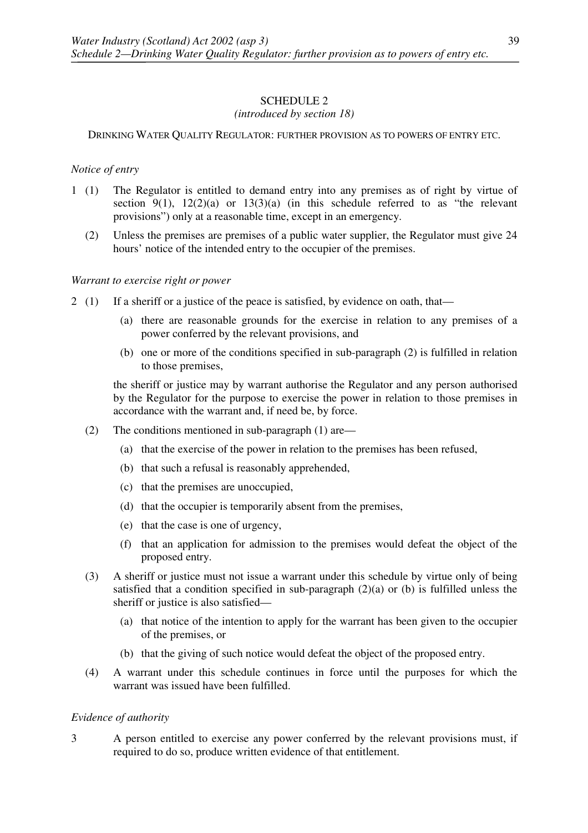### *(introduced by section 18)*

### DRINKING WATER QUALITY REGULATOR: FURTHER PROVISION AS TO POWERS OF ENTRY ETC.

### *Notice of entry*

- 1 (1) The Regulator is entitled to demand entry into any premises as of right by virtue of section  $9(1)$ ,  $12(2)(a)$  or  $13(3)(a)$  (in this schedule referred to as "the relevant" provisions") only at a reasonable time, except in an emergency.
	- (2) Unless the premises are premises of a public water supplier, the Regulator must give 24 hours' notice of the intended entry to the occupier of the premises.

### *Warrant to exercise right or power*

- 2 (1) If a sheriff or a justice of the peace is satisfied, by evidence on oath, that—
	- (a) there are reasonable grounds for the exercise in relation to any premises of a power conferred by the relevant provisions, and
	- (b) one or more of the conditions specified in sub-paragraph (2) is fulfilled in relation to those premises,

the sheriff or justice may by warrant authorise the Regulator and any person authorised by the Regulator for the purpose to exercise the power in relation to those premises in accordance with the warrant and, if need be, by force.

- (2) The conditions mentioned in sub-paragraph (1) are—
	- (a) that the exercise of the power in relation to the premises has been refused,
	- (b) that such a refusal is reasonably apprehended,
	- (c) that the premises are unoccupied,
	- (d) that the occupier is temporarily absent from the premises,
	- (e) that the case is one of urgency,
	- (f) that an application for admission to the premises would defeat the object of the proposed entry.
- (3) A sheriff or justice must not issue a warrant under this schedule by virtue only of being satisfied that a condition specified in sub-paragraph  $(2)(a)$  or  $(b)$  is fulfilled unless the sheriff or justice is also satisfied—
	- (a) that notice of the intention to apply for the warrant has been given to the occupier of the premises, or
	- (b) that the giving of such notice would defeat the object of the proposed entry.
- (4) A warrant under this schedule continues in force until the purposes for which the warrant was issued have been fulfilled.

### *Evidence of authority*

3 A person entitled to exercise any power conferred by the relevant provisions must, if required to do so, produce written evidence of that entitlement.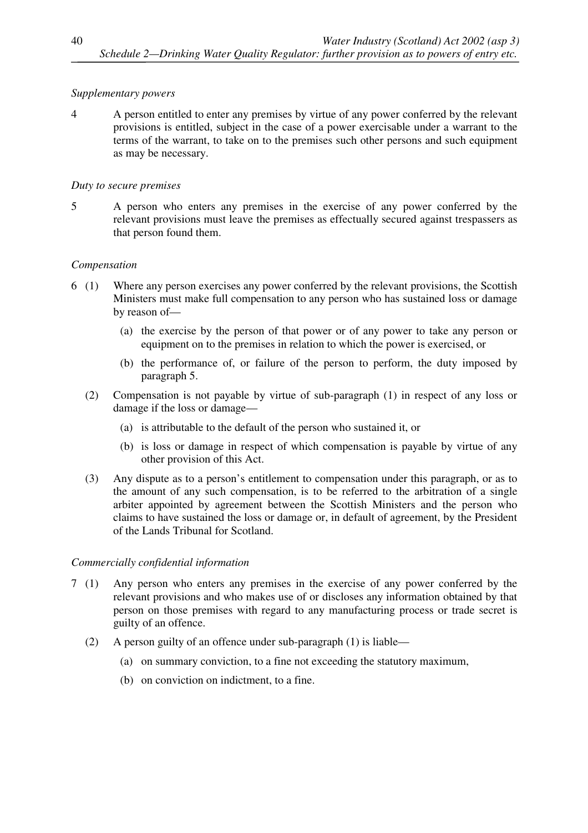## *Supplementary powers*

4 A person entitled to enter any premises by virtue of any power conferred by the relevant provisions is entitled, subject in the case of a power exercisable under a warrant to the terms of the warrant, to take on to the premises such other persons and such equipment as may be necessary.

### *Duty to secure premises*

5 A person who enters any premises in the exercise of any power conferred by the relevant provisions must leave the premises as effectually secured against trespassers as that person found them.

### *Compensation*

- 6 (1) Where any person exercises any power conferred by the relevant provisions, the Scottish Ministers must make full compensation to any person who has sustained loss or damage by reason of—
	- (a) the exercise by the person of that power or of any power to take any person or equipment on to the premises in relation to which the power is exercised, or
	- (b) the performance of, or failure of the person to perform, the duty imposed by paragraph 5.
	- (2) Compensation is not payable by virtue of sub-paragraph (1) in respect of any loss or damage if the loss or damage—
		- (a) is attributable to the default of the person who sustained it, or
		- (b) is loss or damage in respect of which compensation is payable by virtue of any other provision of this Act.
	- (3) Any dispute as to a person's entitlement to compensation under this paragraph, or as to the amount of any such compensation, is to be referred to the arbitration of a single arbiter appointed by agreement between the Scottish Ministers and the person who claims to have sustained the loss or damage or, in default of agreement, by the President of the Lands Tribunal for Scotland.

### *Commercially confidential information*

- 7 (1) Any person who enters any premises in the exercise of any power conferred by the relevant provisions and who makes use of or discloses any information obtained by that person on those premises with regard to any manufacturing process or trade secret is guilty of an offence.
	- (2) A person guilty of an offence under sub-paragraph (1) is liable—
		- (a) on summary conviction, to a fine not exceeding the statutory maximum,
		- (b) on conviction on indictment, to a fine.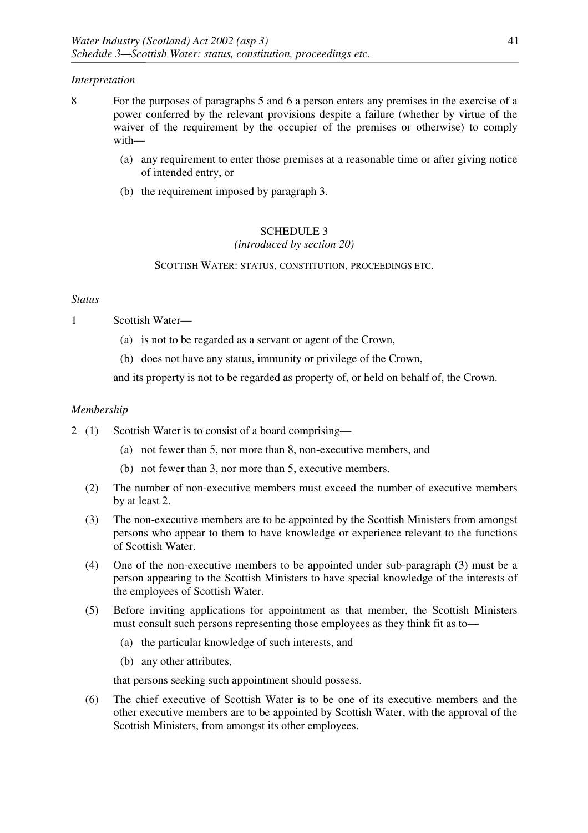### *Interpretation*

- 8 For the purposes of paragraphs 5 and 6 a person enters any premises in the exercise of a power conferred by the relevant provisions despite a failure (whether by virtue of the waiver of the requirement by the occupier of the premises or otherwise) to comply with—
	- (a) any requirement to enter those premises at a reasonable time or after giving notice of intended entry, or
	- (b) the requirement imposed by paragraph 3.

## SCHEDULE 3

*(introduced by section 20)*

SCOTTISH WATER: STATUS, CONSTITUTION, PROCEEDINGS ETC.

### *Status*

1 Scottish Water—

- (a) is not to be regarded as a servant or agent of the Crown,
- (b) does not have any status, immunity or privilege of the Crown,

and its property is not to be regarded as property of, or held on behalf of, the Crown.

### *Membership*

- 2 (1) Scottish Water is to consist of a board comprising—
	- (a) not fewer than 5, nor more than 8, non-executive members, and
	- (b) not fewer than 3, nor more than 5, executive members.
	- (2) The number of non-executive members must exceed the number of executive members by at least 2.
	- (3) The non-executive members are to be appointed by the Scottish Ministers from amongst persons who appear to them to have knowledge or experience relevant to the functions of Scottish Water.
	- (4) One of the non-executive members to be appointed under sub-paragraph (3) must be a person appearing to the Scottish Ministers to have special knowledge of the interests of the employees of Scottish Water.
	- (5) Before inviting applications for appointment as that member, the Scottish Ministers must consult such persons representing those employees as they think fit as to—
		- (a) the particular knowledge of such interests, and
		- (b) any other attributes,

that persons seeking such appointment should possess.

(6) The chief executive of Scottish Water is to be one of its executive members and the other executive members are to be appointed by Scottish Water, with the approval of the Scottish Ministers, from amongst its other employees.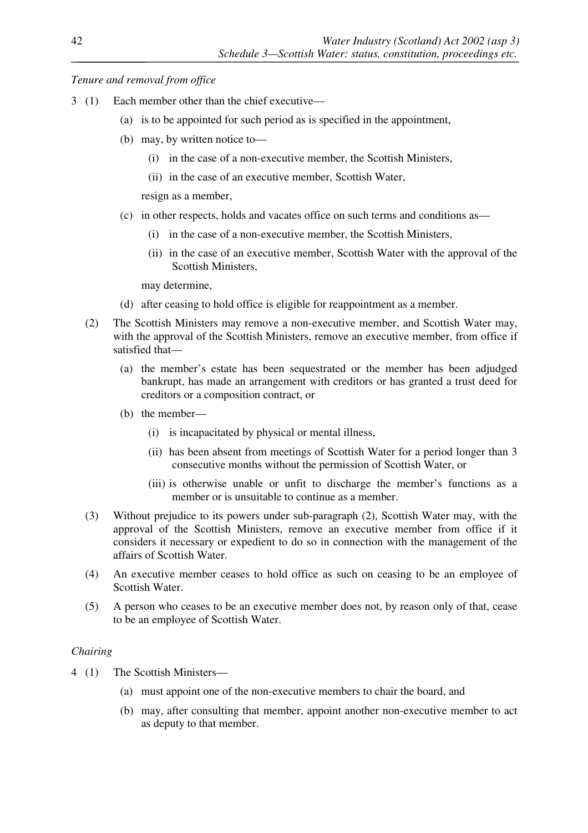### *Tenure and removal from office*

- 3 (1) Each member other than the chief executive—
	- (a) is to be appointed for such period as is specified in the appointment,
	- (b) may, by written notice to—
		- (i) in the case of a non-executive member, the Scottish Ministers,
		- (ii) in the case of an executive member, Scottish Water,

resign as a member,

- (c) in other respects, holds and vacates office on such terms and conditions as—
	- (i) in the case of a non-executive member, the Scottish Ministers,
	- (ii) in the case of an executive member, Scottish Water with the approval of the Scottish Ministers,

may determine,

- (d) after ceasing to hold office is eligible for reappointment as a member.
- (2) The Scottish Ministers may remove a non-executive member, and Scottish Water may, with the approval of the Scottish Ministers, remove an executive member, from office if satisfied that—
	- (a) the member's estate has been sequestrated or the member has been adjudged bankrupt, has made an arrangement with creditors or has granted a trust deed for creditors or a composition contract, or
	- (b) the member—
		- (i) is incapacitated by physical or mental illness,
		- (ii) has been absent from meetings of Scottish Water for a period longer than 3 consecutive months without the permission of Scottish Water, or
		- (iii) is otherwise unable or unfit to discharge the member's functions as a member or is unsuitable to continue as a member.
- (3) Without prejudice to its powers under sub-paragraph (2), Scottish Water may, with the approval of the Scottish Ministers, remove an executive member from office if it considers it necessary or expedient to do so in connection with the management of the affairs of Scottish Water.
- (4) An executive member ceases to hold office as such on ceasing to be an employee of Scottish Water.
- (5) A person who ceases to be an executive member does not, by reason only of that, cease to be an employee of Scottish Water.

## *Chairing*

- 4 (1) The Scottish Ministers—
	- (a) must appoint one of the non-executive members to chair the board, and
	- (b) may, after consulting that member, appoint another non-executive member to act as deputy to that member.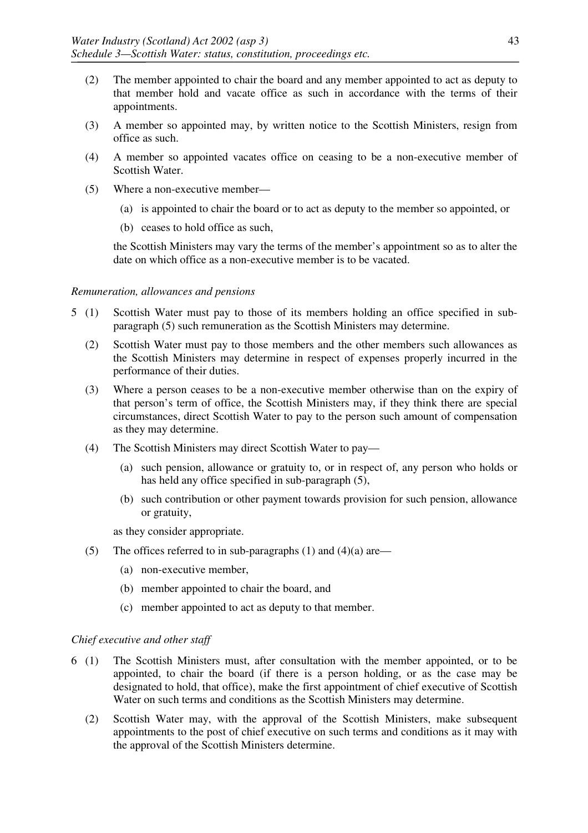- (2) The member appointed to chair the board and any member appointed to act as deputy to that member hold and vacate office as such in accordance with the terms of their appointments.
- (3) A member so appointed may, by written notice to the Scottish Ministers, resign from office as such.
- (4) A member so appointed vacates office on ceasing to be a non-executive member of Scottish Water.
- (5) Where a non-executive member—
	- (a) is appointed to chair the board or to act as deputy to the member so appointed, or
	- (b) ceases to hold office as such,

the Scottish Ministers may vary the terms of the member's appointment so as to alter the date on which office as a non-executive member is to be vacated.

#### *Remuneration, allowances and pensions*

- 5 (1) Scottish Water must pay to those of its members holding an office specified in subparagraph (5) such remuneration as the Scottish Ministers may determine.
	- (2) Scottish Water must pay to those members and the other members such allowances as the Scottish Ministers may determine in respect of expenses properly incurred in the performance of their duties.
	- (3) Where a person ceases to be a non-executive member otherwise than on the expiry of that person's term of office, the Scottish Ministers may, if they think there are special circumstances, direct Scottish Water to pay to the person such amount of compensation as they may determine.
	- (4) The Scottish Ministers may direct Scottish Water to pay—
		- (a) such pension, allowance or gratuity to, or in respect of, any person who holds or has held any office specified in sub-paragraph (5),
		- (b) such contribution or other payment towards provision for such pension, allowance or gratuity,

as they consider appropriate.

- (5) The offices referred to in sub-paragraphs (1) and (4)(a) are—
	- (a) non-executive member,
	- (b) member appointed to chair the board, and
	- (c) member appointed to act as deputy to that member.

#### *Chief executive and other staff*

- 6 (1) The Scottish Ministers must, after consultation with the member appointed, or to be appointed, to chair the board (if there is a person holding, or as the case may be designated to hold, that office), make the first appointment of chief executive of Scottish Water on such terms and conditions as the Scottish Ministers may determine.
	- (2) Scottish Water may, with the approval of the Scottish Ministers, make subsequent appointments to the post of chief executive on such terms and conditions as it may with the approval of the Scottish Ministers determine.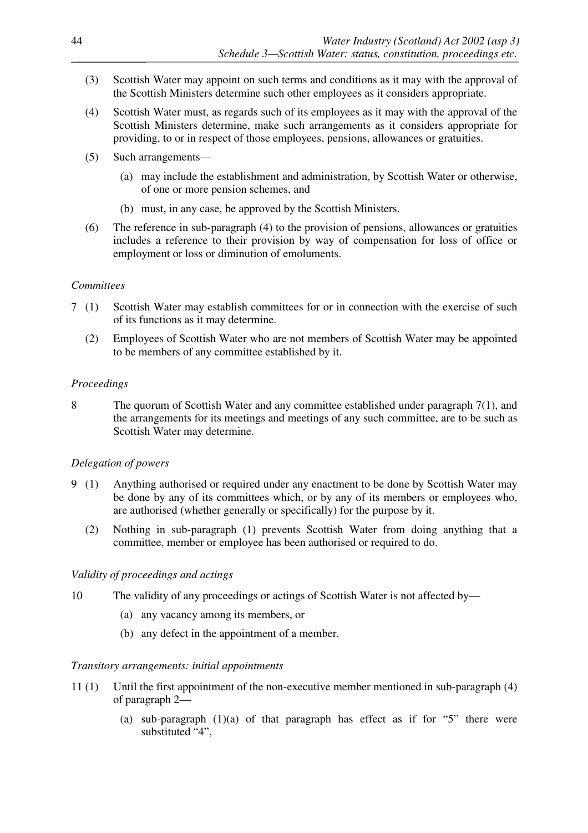- (3) Scottish Water may appoint on such terms and conditions as it may with the approval of the Scottish Ministers determine such other employees as it considers appropriate.
- (4) Scottish Water must, as regards such of its employees as it may with the approval of the Scottish Ministers determine, make such arrangements as it considers appropriate for providing, to or in respect of those employees, pensions, allowances or gratuities.
- (5) Such arrangements—
	- (a) may include the establishment and administration, by Scottish Water or otherwise, of one or more pension schemes, and
	- (b) must, in any case, be approved by the Scottish Ministers.
- (6) The reference in sub-paragraph (4) to the provision of pensions, allowances or gratuities includes a reference to their provision by way of compensation for loss of office or employment or loss or diminution of emoluments.

### *Committees*

- 7 (1) Scottish Water may establish committees for or in connection with the exercise of such of its functions as it may determine.
	- (2) Employees of Scottish Water who are not members of Scottish Water may be appointed to be members of any committee established by it.

### *Proceedings*

8 The quorum of Scottish Water and any committee established under paragraph 7(1), and the arrangements for its meetings and meetings of any such committee, are to be such as Scottish Water may determine.

## *Delegation of powers*

- 9 (1) Anything authorised or required under any enactment to be done by Scottish Water may be done by any of its committees which, or by any of its members or employees who, are authorised (whether generally or specifically) for the purpose by it.
	- (2) Nothing in sub-paragraph (1) prevents Scottish Water from doing anything that a committee, member or employee has been authorised or required to do.

### *Validity of proceedings and actings*

- 10 The validity of any proceedings or actings of Scottish Water is not affected by—
	- (a) any vacancy among its members, or
	- (b) any defect in the appointment of a member.

### *Transitory arrangements: initial appointments*

- 11 (1) Until the first appointment of the non-executive member mentioned in sub-paragraph (4) of paragraph 2—
	- (a) sub-paragraph  $(1)(a)$  of that paragraph has effect as if for "5" there were substituted "4",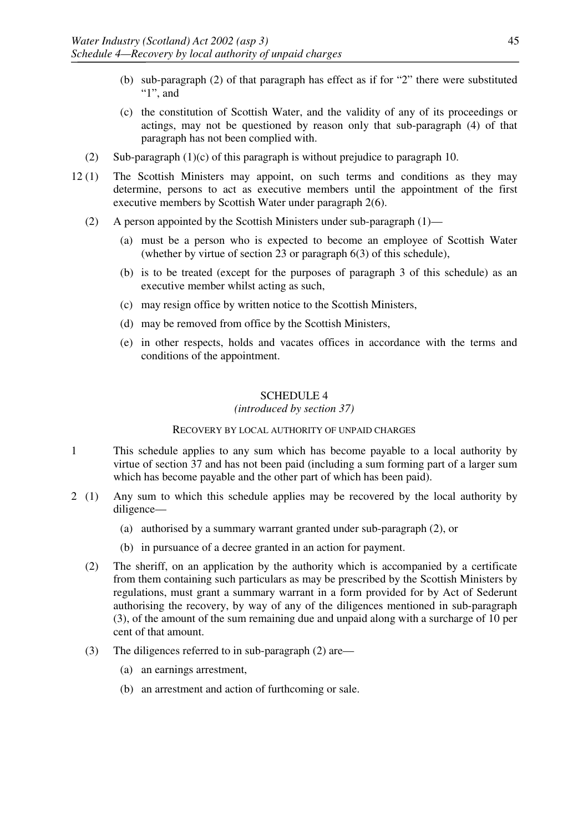- (b) sub-paragraph (2) of that paragraph has effect as if for "2" there were substituted " $1$ ", and
- (c) the constitution of Scottish Water, and the validity of any of its proceedings or actings, may not be questioned by reason only that sub-paragraph (4) of that paragraph has not been complied with.
- (2) Sub-paragraph  $(1)(c)$  of this paragraph is without prejudice to paragraph 10.
- 12 (1) The Scottish Ministers may appoint, on such terms and conditions as they may determine, persons to act as executive members until the appointment of the first executive members by Scottish Water under paragraph 2(6).
	- (2) A person appointed by the Scottish Ministers under sub-paragraph (1)—
		- (a) must be a person who is expected to become an employee of Scottish Water (whether by virtue of section 23 or paragraph 6(3) of this schedule),
		- (b) is to be treated (except for the purposes of paragraph 3 of this schedule) as an executive member whilst acting as such,
		- (c) may resign office by written notice to the Scottish Ministers,
		- (d) may be removed from office by the Scottish Ministers,
		- (e) in other respects, holds and vacates offices in accordance with the terms and conditions of the appointment.

### *(introduced by section 37)*

#### RECOVERY BY LOCAL AUTHORITY OF UNPAID CHARGES

- 1 This schedule applies to any sum which has become payable to a local authority by virtue of section 37 and has not been paid (including a sum forming part of a larger sum which has become payable and the other part of which has been paid).
- 2 (1) Any sum to which this schedule applies may be recovered by the local authority by diligence—
	- (a) authorised by a summary warrant granted under sub-paragraph (2), or
	- (b) in pursuance of a decree granted in an action for payment.
	- (2) The sheriff, on an application by the authority which is accompanied by a certificate from them containing such particulars as may be prescribed by the Scottish Ministers by regulations, must grant a summary warrant in a form provided for by Act of Sederunt authorising the recovery, by way of any of the diligences mentioned in sub-paragraph (3), of the amount of the sum remaining due and unpaid along with a surcharge of 10 per cent of that amount.
	- (3) The diligences referred to in sub-paragraph (2) are—
		- (a) an earnings arrestment,
		- (b) an arrestment and action of furthcoming or sale.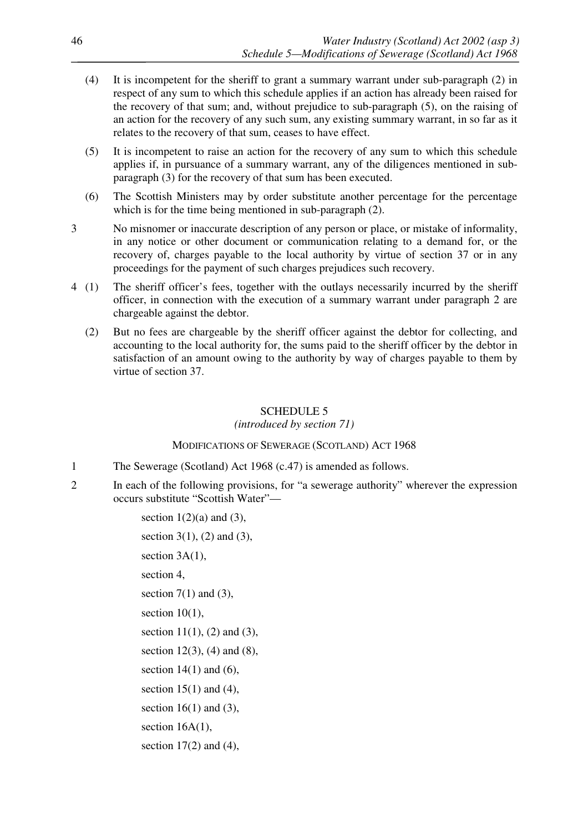- (4) It is incompetent for the sheriff to grant a summary warrant under sub-paragraph (2) in respect of any sum to which this schedule applies if an action has already been raised for the recovery of that sum; and, without prejudice to sub-paragraph (5), on the raising of an action for the recovery of any such sum, any existing summary warrant, in so far as it relates to the recovery of that sum, ceases to have effect.
- (5) It is incompetent to raise an action for the recovery of any sum to which this schedule applies if, in pursuance of a summary warrant, any of the diligences mentioned in subparagraph (3) for the recovery of that sum has been executed.
- (6) The Scottish Ministers may by order substitute another percentage for the percentage which is for the time being mentioned in sub-paragraph (2).
- 3 No misnomer or inaccurate description of any person or place, or mistake of informality, in any notice or other document or communication relating to a demand for, or the recovery of, charges payable to the local authority by virtue of section 37 or in any proceedings for the payment of such charges prejudices such recovery.
- 4 (1) The sheriff officer's fees, together with the outlays necessarily incurred by the sheriff officer, in connection with the execution of a summary warrant under paragraph 2 are chargeable against the debtor.
	- (2) But no fees are chargeable by the sheriff officer against the debtor for collecting, and accounting to the local authority for, the sums paid to the sheriff officer by the debtor in satisfaction of an amount owing to the authority by way of charges payable to them by virtue of section 37.

*(introduced by section 71)*

### MODIFICATIONS OF SEWERAGE (SCOTLAND) ACT 1968

- 1 The Sewerage (Scotland) Act 1968 (c.47) is amended as follows.
- 2 In each of the following provisions, for "a sewerage authority" wherever the expression occurs substitute "Scottish Water"—

section  $1(2)(a)$  and  $(3)$ , section 3(1), (2) and (3), section  $3A(1)$ , section 4, section  $7(1)$  and  $(3)$ , section  $10(1)$ , section  $11(1)$ ,  $(2)$  and  $(3)$ , section  $12(3)$ ,  $(4)$  and  $(8)$ , section  $14(1)$  and  $(6)$ , section  $15(1)$  and  $(4)$ , section  $16(1)$  and  $(3)$ , section  $16A(1)$ , section  $17(2)$  and  $(4)$ ,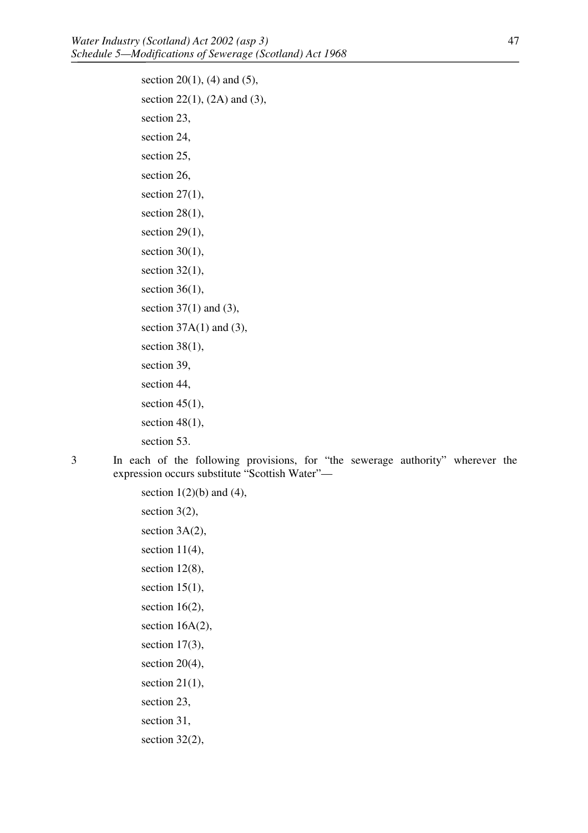section 20(1), (4) and (5), section 22(1), (2A) and (3), section 23, section 24, section 25, section 26, section  $27(1)$ , section  $28(1)$ , section  $29(1)$ , section  $30(1)$ , section  $32(1)$ , section  $36(1)$ , section  $37(1)$  and  $(3)$ , section  $37A(1)$  and  $(3)$ , section  $38(1)$ , section 39, section 44, section  $45(1)$ , section  $48(1)$ , section 53.

3 In each of the following provisions, for "the sewerage authority" wherever the expression occurs substitute "Scottish Water"—

> section  $1(2)(b)$  and  $(4)$ , section 3(2), section  $3A(2)$ , section  $11(4)$ , section 12(8), section  $15(1)$ , section  $16(2)$ , section 16A(2), section 17(3), section 20(4), section  $21(1)$ , section 23, section 31, section 32(2),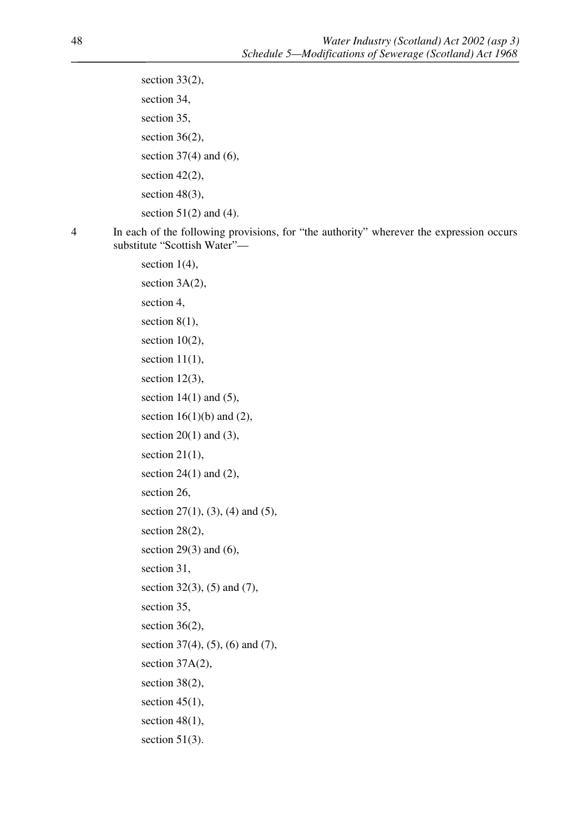section 33(2), section 34, section 35, section  $36(2)$ , section  $37(4)$  and  $(6)$ , section 42(2), section 48(3), section  $51(2)$  and  $(4)$ .

4 In each of the following provisions, for "the authority" wherever the expression occurs substitute "Scottish Water"—

> section  $1(4)$ , section 3A(2), section 4, section 8(1). section  $10(2)$ , section  $11(1)$ , section 12(3), section  $14(1)$  and  $(5)$ , section  $16(1)(b)$  and  $(2)$ , section  $20(1)$  and  $(3)$ , section  $21(1)$ , section  $24(1)$  and  $(2)$ , section 26, section 27(1), (3), (4) and (5), section 28(2), section  $29(3)$  and  $(6)$ , section 31, section 32(3), (5) and (7), section 35, section 36(2), section 37(4), (5), (6) and (7), section 37A(2), section 38(2), section  $45(1)$ , section 48(1), section 51(3).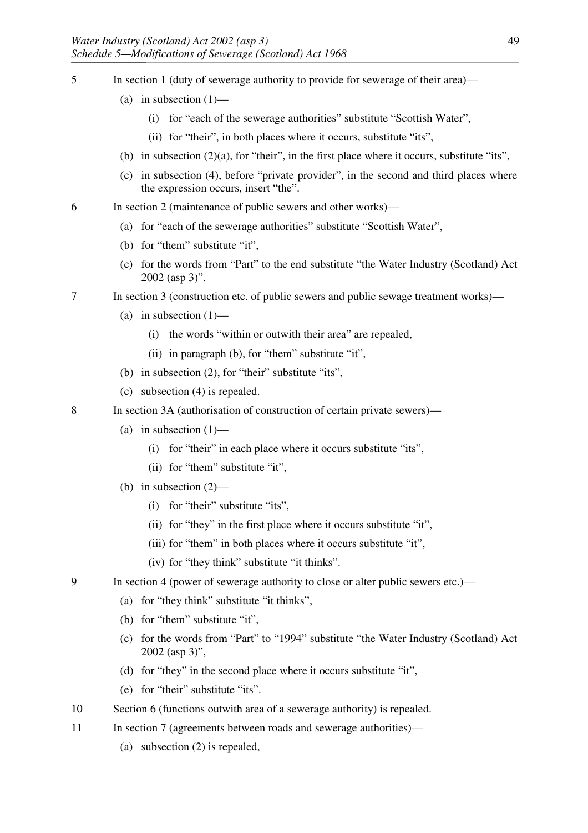- 5 In section 1 (duty of sewerage authority to provide for sewerage of their area)—
	- (a) in subsection  $(1)$ 
		- (i) for "each of the sewerage authorities" substitute "Scottish Water",
		- (ii) for "their", in both places where it occurs, substitute "its",
	- (b) in subsection  $(2)(a)$ , for "their", in the first place where it occurs, substitute "its",
	- (c) in subsection (4), before "private provider", in the second and third places where the expression occurs, insert "the".
- 6 In section 2 (maintenance of public sewers and other works)—
	- (a) for "each of the sewerage authorities" substitute "Scottish Water",
	- (b) for "them" substitute "it",
	- (c) for the words from "Part" to the end substitute "the Water Industry (Scotland) Act 2002 (asp 3)".
- 7 In section 3 (construction etc. of public sewers and public sewage treatment works)—
	- (a) in subsection  $(1)$ 
		- (i) the words "within or outwith their area" are repealed,
		- (ii) in paragraph (b), for "them" substitute "it",
	- (b) in subsection (2), for "their" substitute "its",
	- (c) subsection (4) is repealed.
- 8 In section 3A (authorisation of construction of certain private sewers)—
	- (a) in subsection  $(1)$ 
		- (i) for "their" in each place where it occurs substitute "its",
		- (ii) for "them" substitute "it",
	- (b) in subsection (2)—
		- (i) for "their" substitute "its",
		- (ii) for "they" in the first place where it occurs substitute "it",
		- (iii) for "them" in both places where it occurs substitute "it",
		- (iv) for "they think" substitute "it thinks".
- 9 In section 4 (power of sewerage authority to close or alter public sewers etc.)—
	- (a) for "they think" substitute "it thinks",
	- (b) for "them" substitute "it",
	- (c) for the words from "Part" to "1994" substitute "the Water Industry (Scotland) Act 2002 (asp 3)",
	- (d) for "they" in the second place where it occurs substitute "it",
	- (e) for "their" substitute "its".
- 10 Section 6 (functions outwith area of a sewerage authority) is repealed.
- 11 In section 7 (agreements between roads and sewerage authorities)—
	- (a) subsection (2) is repealed,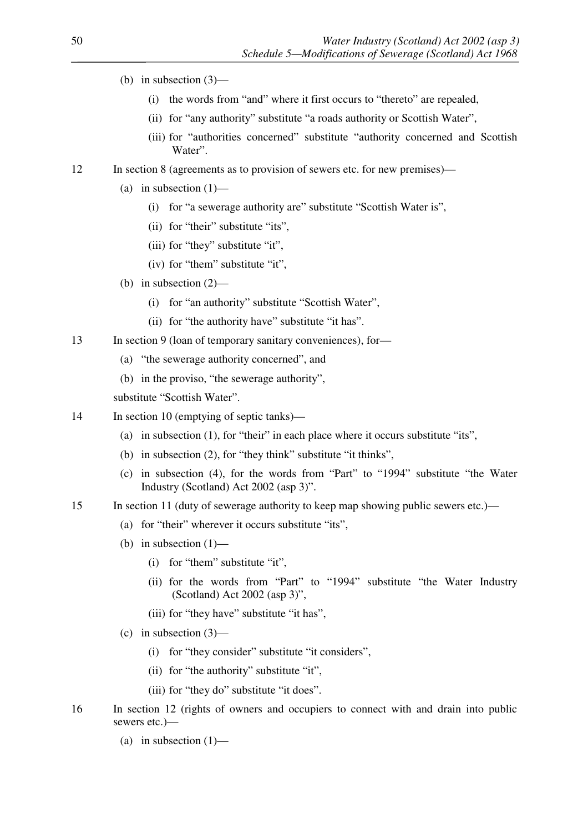- (b) in subsection (3)—
	- (i) the words from "and" where it first occurs to "thereto" are repealed,
	- (ii) for "any authority" substitute "a roads authority or Scottish Water",
	- (iii) for "authorities concerned" substitute "authority concerned and Scottish Water".
- 12 In section 8 (agreements as to provision of sewers etc. for new premises)—
	- (a) in subsection  $(1)$ 
		- (i) for "a sewerage authority are" substitute "Scottish Water is",
		- (ii) for "their" substitute "its",
		- (iii) for "they" substitute "it",
		- (iv) for "them" substitute "it",
	- (b) in subsection (2)—
		- (i) for "an authority" substitute "Scottish Water",
		- (ii) for "the authority have" substitute "it has".
- 13 In section 9 (loan of temporary sanitary conveniences), for-
	- (a) "the sewerage authority concerned", and
	- (b) in the proviso, "the sewerage authority",

substitute "Scottish Water".

- 14 In section 10 (emptying of septic tanks)—
	- (a) in subsection (1), for "their" in each place where it occurs substitute "its",
	- (b) in subsection (2), for "they think" substitute "it thinks",
	- (c) in subsection (4), for the words from "Part" to "1994" substitute "the Water Industry (Scotland) Act 2002 (asp 3)".
- 15 In section 11 (duty of sewerage authority to keep map showing public sewers etc.)—
	- (a) for "their" wherever it occurs substitute "its",
	- (b) in subsection  $(1)$ 
		- (i) for "them" substitute "it",
		- (ii) for the words from "Part" to "1994" substitute "the Water Industry (Scotland) Act 2002 (asp 3)",
		- (iii) for "they have" substitute "it has",
	- (c) in subsection  $(3)$ 
		- (i) for "they consider" substitute "it considers",
		- (ii) for "the authority" substitute "it",
		- (iii) for "they do" substitute "it does".
- 16 In section 12 (rights of owners and occupiers to connect with and drain into public sewers etc.)—
	- (a) in subsection  $(1)$ —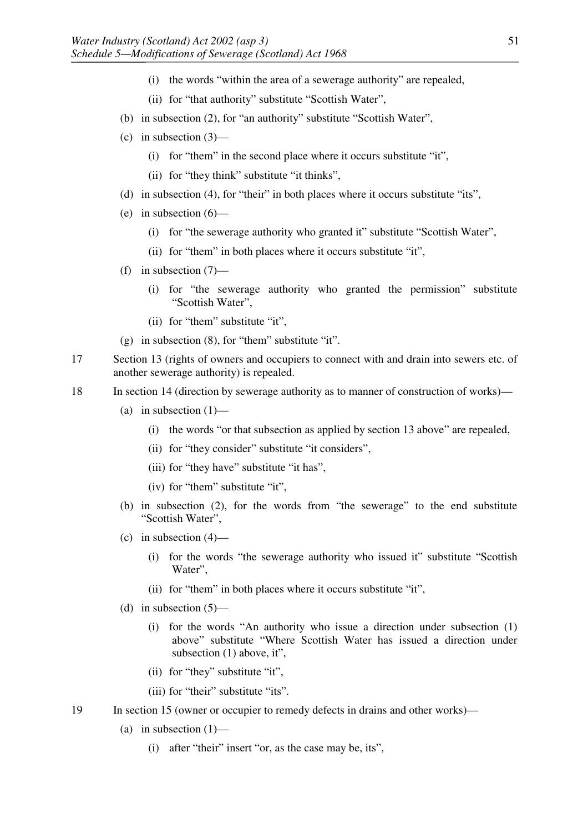- (i) the words "within the area of a sewerage authority" are repealed,
- (ii) for "that authority" substitute "Scottish Water",
- (b) in subsection (2), for "an authority" substitute "Scottish Water",
- (c) in subsection  $(3)$ 
	- (i) for "them" in the second place where it occurs substitute "it",
	- (ii) for "they think" substitute "it thinks",
- (d) in subsection (4), for "their" in both places where it occurs substitute "its",
- (e) in subsection  $(6)$ 
	- (i) for "the sewerage authority who granted it" substitute "Scottish Water",
	- (ii) for "them" in both places where it occurs substitute "it",
- (f) in subsection (7)—
	- (i) for "the sewerage authority who granted the permission" substitute "Scottish Water",
	- (ii) for "them" substitute "it",
- (g) in subsection (8), for "them" substitute "it".
- 17 Section 13 (rights of owners and occupiers to connect with and drain into sewers etc. of another sewerage authority) is repealed.
- 18 In section 14 (direction by sewerage authority as to manner of construction of works)—
	- (a) in subsection  $(1)$ 
		- (i) the words "or that subsection as applied by section 13 above" are repealed,
		- (ii) for "they consider" substitute "it considers",
		- (iii) for "they have" substitute "it has",
		- (iv) for "them" substitute "it",
	- (b) in subsection (2), for the words from "the sewerage" to the end substitute "Scottish Water",
	- (c) in subsection (4)—
		- (i) for the words "the sewerage authority who issued it" substitute "Scottish Water",
		- (ii) for "them" in both places where it occurs substitute "it",
	- (d) in subsection  $(5)$ 
		- (i) for the words "An authority who issue a direction under subsection (1) above" substitute "Where Scottish Water has issued a direction under subsection (1) above, it",
		- (ii) for "they" substitute "it",
		- (iii) for "their" substitute "its".
- 19 In section 15 (owner or occupier to remedy defects in drains and other works)—
	- (a) in subsection  $(1)$ 
		- (i) after "their" insert "or, as the case may be, its",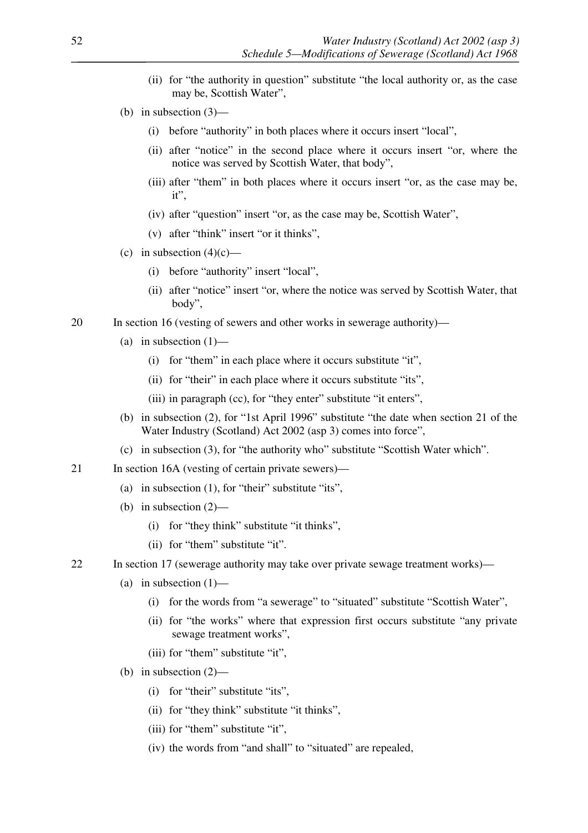- (ii) for "the authority in question" substitute "the local authority or, as the case may be, Scottish Water",
- (b) in subsection (3)—
	- (i) before "authority" in both places where it occurs insert "local",
	- (ii) after "notice" in the second place where it occurs insert "or, where the notice was served by Scottish Water, that body",
	- (iii) after "them" in both places where it occurs insert "or, as the case may be, it",
	- (iv) after "question" insert "or, as the case may be, Scottish Water",
	- (v) after "think" insert "or it thinks",
- (c) in subsection  $(4)(c)$ 
	- (i) before "authority" insert "local",
	- (ii) after "notice" insert "or, where the notice was served by Scottish Water, that body",
- 20 In section 16 (vesting of sewers and other works in sewerage authority)—
	- (a) in subsection  $(1)$ 
		- (i) for "them" in each place where it occurs substitute "it",
		- (ii) for "their" in each place where it occurs substitute "its",
		- (iii) in paragraph (cc), for "they enter" substitute "it enters",
	- (b) in subsection (2), for "1st April 1996" substitute "the date when section 21 of the Water Industry (Scotland) Act 2002 (asp 3) comes into force",
	- (c) in subsection (3), for "the authority who" substitute "Scottish Water which".
- 21 In section 16A (vesting of certain private sewers)—
	- (a) in subsection (1), for "their" substitute "its",
	- (b) in subsection (2)—
		- (i) for "they think" substitute "it thinks",
		- (ii) for "them" substitute "it".
- 22 In section 17 (sewerage authority may take over private sewage treatment works)—
	- (a) in subsection  $(1)$ 
		- (i) for the words from "a sewerage" to "situated" substitute "Scottish Water",
		- (ii) for "the works" where that expression first occurs substitute "any private sewage treatment works",
		- (iii) for "them" substitute "it",
	- (b) in subsection (2)—
		- (i) for "their" substitute "its",
		- (ii) for "they think" substitute "it thinks",
		- (iii) for "them" substitute "it",
		- (iv) the words from "and shall" to "situated" are repealed,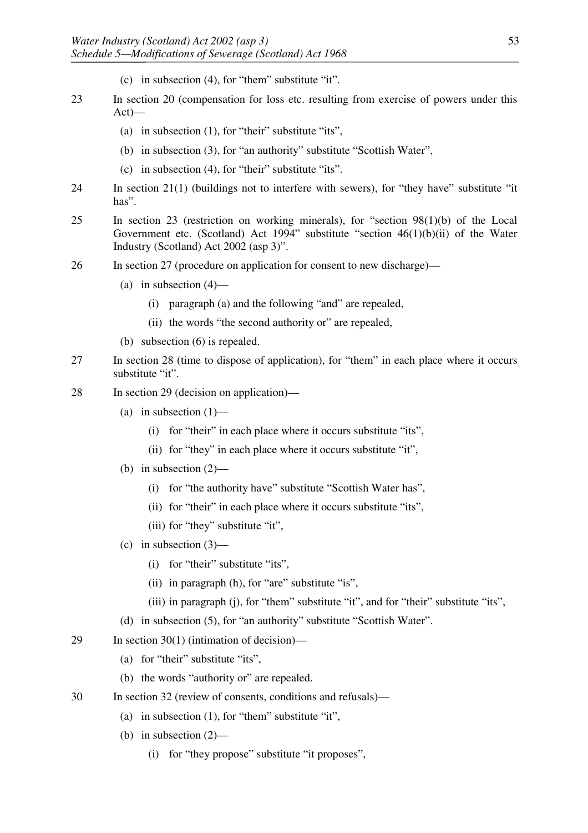- (c) in subsection (4), for "them" substitute "it".
- 23 In section 20 (compensation for loss etc. resulting from exercise of powers under this Act)—
	- (a) in subsection (1), for "their" substitute "its",
	- (b) in subsection (3), for "an authority" substitute "Scottish Water",
	- (c) in subsection (4), for "their" substitute "its".
- 24 In section 21(1) (buildings not to interfere with sewers), for "they have" substitute "it has".
- 25 In section 23 (restriction on working minerals), for "section 98(1)(b) of the Local Government etc. (Scotland) Act 1994" substitute "section 46(1)(b)(ii) of the Water Industry (Scotland) Act 2002 (asp 3)".
- 26 In section 27 (procedure on application for consent to new discharge)—
	- (a) in subsection  $(4)$ 
		- (i) paragraph (a) and the following "and" are repealed,
		- (ii) the words "the second authority or" are repealed,
	- (b) subsection (6) is repealed.
- 27 In section 28 (time to dispose of application), for "them" in each place where it occurs substitute "it".
- 28 In section 29 (decision on application)—
	- (a) in subsection  $(1)$ 
		- (i) for "their" in each place where it occurs substitute "its",
		- (ii) for "they" in each place where it occurs substitute "it",
	- (b) in subsection (2)—
		- (i) for "the authority have" substitute "Scottish Water has",
		- (ii) for "their" in each place where it occurs substitute "its",
		- (iii) for "they" substitute "it",
	- (c) in subsection  $(3)$ 
		- (i) for "their" substitute "its",
		- (ii) in paragraph (h), for "are" substitute "is",
		- (iii) in paragraph (j), for "them" substitute "it", and for "their" substitute "its",
	- (d) in subsection (5), for "an authority" substitute "Scottish Water".
- 29 In section 30(1) (intimation of decision)—
	- (a) for "their" substitute "its",
	- (b) the words "authority or" are repealed.
- 30 In section 32 (review of consents, conditions and refusals)—
	- (a) in subsection (1), for "them" substitute "it",
	- (b) in subsection (2)—
		- (i) for "they propose" substitute "it proposes",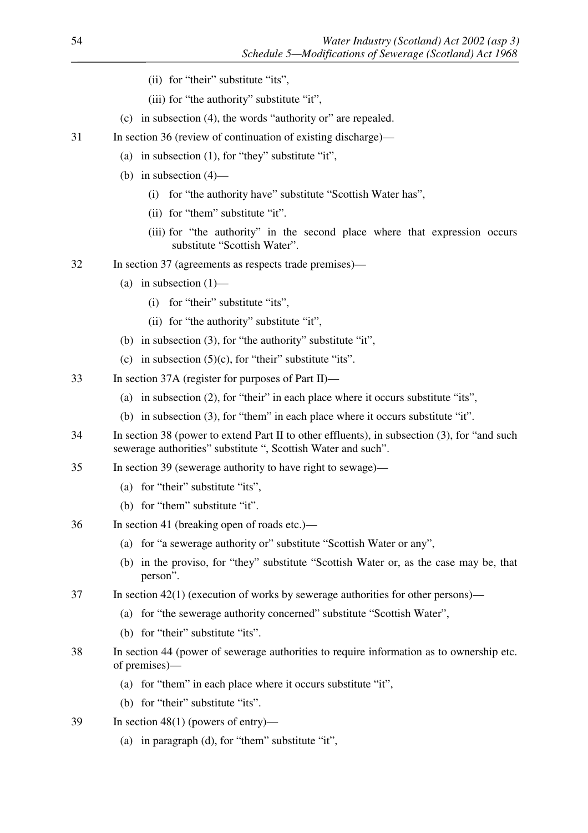- (ii) for "their" substitute "its",
- (iii) for "the authority" substitute "it",
- (c) in subsection (4), the words "authority or" are repealed.
- 31 In section 36 (review of continuation of existing discharge)—
	- (a) in subsection (1), for "they" substitute "it",
	- (b) in subsection (4)—
		- (i) for "the authority have" substitute "Scottish Water has",
		- (ii) for "them" substitute "it".
		- (iii) for "the authority" in the second place where that expression occurs substitute "Scottish Water".
- 32 In section 37 (agreements as respects trade premises)—
	- (a) in subsection  $(1)$ 
		- (i) for "their" substitute "its",
		- (ii) for "the authority" substitute "it",
	- (b) in subsection (3), for "the authority" substitute "it",
	- (c) in subsection  $(5)(c)$ , for "their" substitute "its".
- 33 In section 37A (register for purposes of Part II)—
	- (a) in subsection (2), for "their" in each place where it occurs substitute "its",
	- (b) in subsection (3), for "them" in each place where it occurs substitute "it".
- 34 In section 38 (power to extend Part II to other effluents), in subsection (3), for "and such sewerage authorities" substitute ", Scottish Water and such".
- 35 In section 39 (sewerage authority to have right to sewage)—
	- (a) for "their" substitute "its",
	- (b) for "them" substitute "it".
- 36 In section 41 (breaking open of roads etc.)—
	- (a) for "a sewerage authority or" substitute "Scottish Water or any",
	- (b) in the proviso, for "they" substitute "Scottish Water or, as the case may be, that person".
- 37 In section 42(1) (execution of works by sewerage authorities for other persons)—
	- (a) for "the sewerage authority concerned" substitute "Scottish Water",
	- (b) for "their" substitute "its".
- 38 In section 44 (power of sewerage authorities to require information as to ownership etc. of premises)—
	- (a) for "them" in each place where it occurs substitute "it",
	- (b) for "their" substitute "its".
- 39 In section 48(1) (powers of entry)—
	- (a) in paragraph (d), for "them" substitute "it",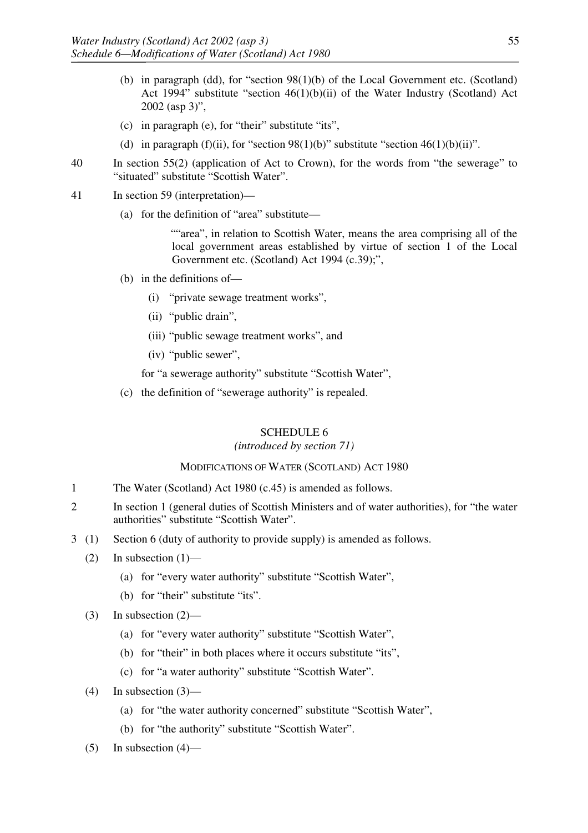- (b) in paragraph (dd), for "section 98(1)(b) of the Local Government etc. (Scotland) Act 1994" substitute "section 46(1)(b)(ii) of the Water Industry (Scotland) Act 2002 (asp 3)",
- (c) in paragraph (e), for "their" substitute "its",
- (d) in paragraph (f)(ii), for "section 98(1)(b)" substitute "section 46(1)(b)(ii)".
- 40 In section 55(2) (application of Act to Crown), for the words from "the sewerage" to "situated" substitute "Scottish Water".
- 41 In section 59 (interpretation)—
	- (a) for the definition of "area" substitute—

""area", in relation to Scottish Water, means the area comprising all of the local government areas established by virtue of section 1 of the Local Government etc. (Scotland) Act 1994 (c.39);",

- (b) in the definitions of—
	- (i) "private sewage treatment works",
	- (ii) "public drain",
	- (iii) "public sewage treatment works", and
	- (iv) "public sewer",

for "a sewerage authority" substitute "Scottish Water",

(c) the definition of "sewerage authority" is repealed.

### SCHEDULE 6

#### *(introduced by section 71)*

#### MODIFICATIONS OF WATER (SCOTLAND) ACT 1980

- 1 The Water (Scotland) Act 1980 (c.45) is amended as follows.
- 2 In section 1 (general duties of Scottish Ministers and of water authorities), for "the water authorities" substitute "Scottish Water".
- 3 (1) Section 6 (duty of authority to provide supply) is amended as follows.
	- (2) In subsection  $(1)$ 
		- (a) for "every water authority" substitute "Scottish Water",
		- (b) for "their" substitute "its".
	- (3) In subsection (2)—
		- (a) for "every water authority" substitute "Scottish Water",
		- (b) for "their" in both places where it occurs substitute "its",
		- (c) for "a water authority" substitute "Scottish Water".
	- $(4)$  In subsection  $(3)$ 
		- (a) for "the water authority concerned" substitute "Scottish Water",
		- (b) for "the authority" substitute "Scottish Water".
	- $(5)$  In subsection  $(4)$ —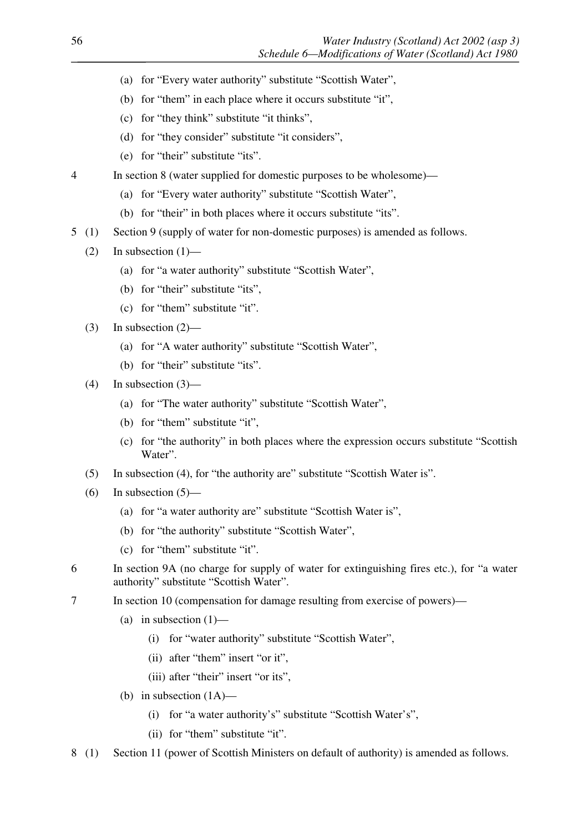- (a) for "Every water authority" substitute "Scottish Water",
- (b) for "them" in each place where it occurs substitute "it",
- (c) for "they think" substitute "it thinks",
- (d) for "they consider" substitute "it considers",
- (e) for "their" substitute "its".
- 4 In section 8 (water supplied for domestic purposes to be wholesome)—
	- (a) for "Every water authority" substitute "Scottish Water",
	- (b) for "their" in both places where it occurs substitute "its".
- 5 (1) Section 9 (supply of water for non-domestic purposes) is amended as follows.
	- (2) In subsection  $(1)$ 
		- (a) for "a water authority" substitute "Scottish Water",
		- (b) for "their" substitute "its",
		- (c) for "them" substitute "it".
	- (3) In subsection  $(2)$ 
		- (a) for "A water authority" substitute "Scottish Water",
		- (b) for "their" substitute "its".
	- $(4)$  In subsection  $(3)$ 
		- (a) for "The water authority" substitute "Scottish Water",
		- (b) for "them" substitute "it",
		- (c) for "the authority" in both places where the expression occurs substitute "Scottish Water".
	- (5) In subsection (4), for "the authority are" substitute "Scottish Water is".
	- (6) In subsection  $(5)$ 
		- (a) for "a water authority are" substitute "Scottish Water is",
		- (b) for "the authority" substitute "Scottish Water",
		- (c) for "them" substitute "it".
- 6 In section 9A (no charge for supply of water for extinguishing fires etc.), for "a water authority" substitute "Scottish Water".
- 7 In section 10 (compensation for damage resulting from exercise of powers)—
	- (a) in subsection  $(1)$ 
		- (i) for "water authority" substitute "Scottish Water",
		- (ii) after "them" insert "or it",
		- (iii) after "their" insert "or its",
	- (b) in subsection  $(1A)$ 
		- (i) for "a water authority's" substitute "Scottish Water's",
		- (ii) for "them" substitute "it".
- 8 (1) Section 11 (power of Scottish Ministers on default of authority) is amended as follows.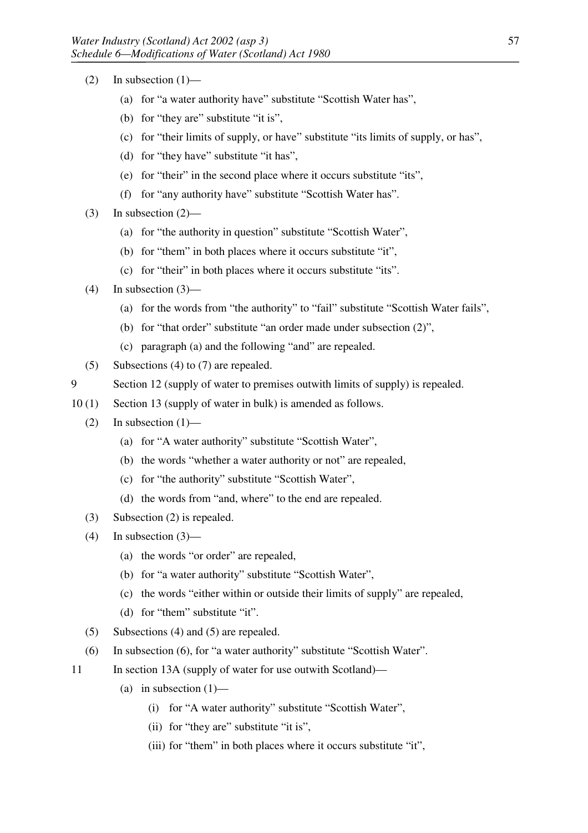- $(2)$  In subsection  $(1)$ 
	- (a) for "a water authority have" substitute "Scottish Water has",
	- (b) for "they are" substitute "it is",
	- (c) for "their limits of supply, or have" substitute "its limits of supply, or has",
	- (d) for "they have" substitute "it has",
	- (e) for "their" in the second place where it occurs substitute "its",
	- (f) for "any authority have" substitute "Scottish Water has".
- (3) In subsection (2)—
	- (a) for "the authority in question" substitute "Scottish Water",
	- (b) for "them" in both places where it occurs substitute "it",
	- (c) for "their" in both places where it occurs substitute "its".
- (4) In subsection (3)—
	- (a) for the words from "the authority" to "fail" substitute "Scottish Water fails",
	- (b) for "that order" substitute "an order made under subsection (2)",
	- (c) paragraph (a) and the following "and" are repealed.
- (5) Subsections (4) to (7) are repealed.
- 9 Section 12 (supply of water to premises outwith limits of supply) is repealed.
- 10 (1) Section 13 (supply of water in bulk) is amended as follows.
	- (2) In subsection  $(1)$ 
		- (a) for "A water authority" substitute "Scottish Water",
		- (b) the words "whether a water authority or not" are repealed,
		- (c) for "the authority" substitute "Scottish Water",
		- (d) the words from "and, where" to the end are repealed.
	- (3) Subsection (2) is repealed.
	- $(4)$  In subsection  $(3)$ 
		- (a) the words "or order" are repealed,
		- (b) for "a water authority" substitute "Scottish Water",
		- (c) the words "either within or outside their limits of supply" are repealed,
		- (d) for "them" substitute "it".
	- (5) Subsections (4) and (5) are repealed.
	- (6) In subsection (6), for "a water authority" substitute "Scottish Water".
- 11 In section 13A (supply of water for use outwith Scotland)—
	- (a) in subsection  $(1)$ 
		- (i) for "A water authority" substitute "Scottish Water",
		- (ii) for "they are" substitute "it is",
		- (iii) for "them" in both places where it occurs substitute "it",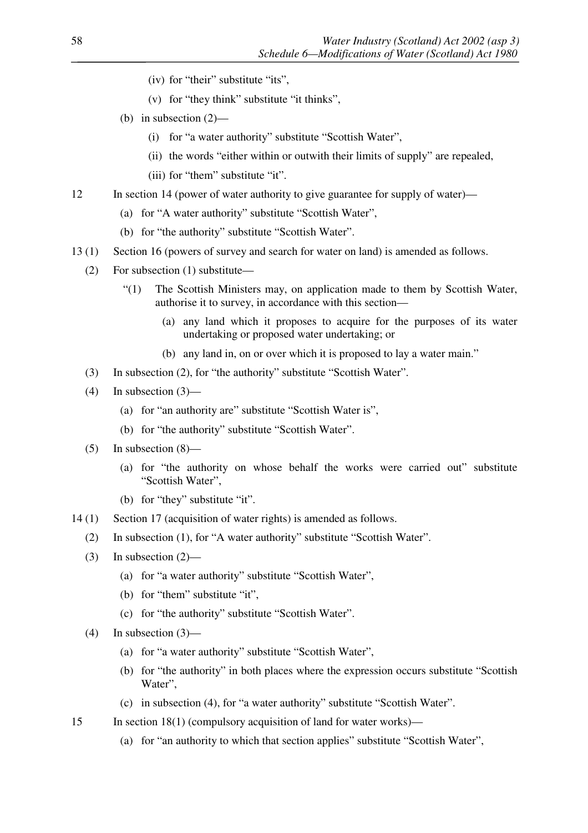- (iv) for "their" substitute "its",
- (v) for "they think" substitute "it thinks",
- (b) in subsection (2)—
	- (i) for "a water authority" substitute "Scottish Water",
	- (ii) the words "either within or outwith their limits of supply" are repealed,
	- (iii) for "them" substitute "it".
- 12 In section 14 (power of water authority to give guarantee for supply of water)—
	- (a) for "A water authority" substitute "Scottish Water",
	- (b) for "the authority" substitute "Scottish Water".
- 13 (1) Section 16 (powers of survey and search for water on land) is amended as follows.
	- (2) For subsection (1) substitute—
		- "(1) The Scottish Ministers may, on application made to them by Scottish Water, authorise it to survey, in accordance with this section—
			- (a) any land which it proposes to acquire for the purposes of its water undertaking or proposed water undertaking; or
			- (b) any land in, on or over which it is proposed to lay a water main."
	- (3) In subsection (2), for "the authority" substitute "Scottish Water".
	- $(4)$  In subsection  $(3)$ 
		- (a) for "an authority are" substitute "Scottish Water is",
		- (b) for "the authority" substitute "Scottish Water".
	- (5) In subsection  $(8)$ 
		- (a) for "the authority on whose behalf the works were carried out" substitute "Scottish Water",
		- (b) for "they" substitute "it".
- 14 (1) Section 17 (acquisition of water rights) is amended as follows.
	- (2) In subsection (1), for "A water authority" substitute "Scottish Water".
	- (3) In subsection  $(2)$ 
		- (a) for "a water authority" substitute "Scottish Water",
		- (b) for "them" substitute "it",
		- (c) for "the authority" substitute "Scottish Water".
	- (4) In subsection  $(3)$ 
		- (a) for "a water authority" substitute "Scottish Water",
		- (b) for "the authority" in both places where the expression occurs substitute "Scottish Water",
		- (c) in subsection (4), for "a water authority" substitute "Scottish Water".
- 15 In section 18(1) (compulsory acquisition of land for water works)—
	- (a) for "an authority to which that section applies" substitute "Scottish Water",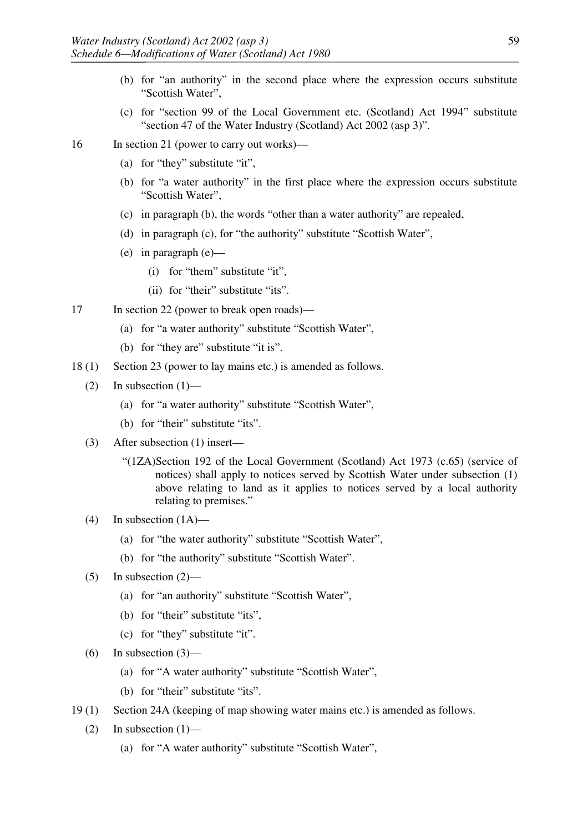- (b) for "an authority" in the second place where the expression occurs substitute "Scottish Water",
- (c) for "section 99 of the Local Government etc. (Scotland) Act 1994" substitute "section 47 of the Water Industry (Scotland) Act 2002 (asp 3)".
- 16 In section 21 (power to carry out works)—
	- (a) for "they" substitute "it",
	- (b) for "a water authority" in the first place where the expression occurs substitute "Scottish Water",
	- (c) in paragraph (b), the words "other than a water authority" are repealed,
	- (d) in paragraph (c), for "the authority" substitute "Scottish Water",
	- (e) in paragraph (e)—
		- (i) for "them" substitute "it",
		- (ii) for "their" substitute "its".
- 17 In section 22 (power to break open roads)—
	- (a) for "a water authority" substitute "Scottish Water",
	- (b) for "they are" substitute "it is".
- 18 (1) Section 23 (power to lay mains etc.) is amended as follows.
	- (2) In subsection  $(1)$ 
		- (a) for "a water authority" substitute "Scottish Water",
		- (b) for "their" substitute "its".
	- (3) After subsection (1) insert—
		- "(1ZA)Section 192 of the Local Government (Scotland) Act 1973 (c.65) (service of notices) shall apply to notices served by Scottish Water under subsection (1) above relating to land as it applies to notices served by a local authority relating to premises."
	- (4) In subsection  $(1A)$ 
		- (a) for "the water authority" substitute "Scottish Water",
		- (b) for "the authority" substitute "Scottish Water".
	- $(5)$  In subsection  $(2)$ 
		- (a) for "an authority" substitute "Scottish Water",
		- (b) for "their" substitute "its",
		- (c) for "they" substitute "it".
	- (6) In subsection  $(3)$ 
		- (a) for "A water authority" substitute "Scottish Water",
		- (b) for "their" substitute "its".
- 19 (1) Section 24A (keeping of map showing water mains etc.) is amended as follows.
	- (2) In subsection  $(1)$ 
		- (a) for "A water authority" substitute "Scottish Water",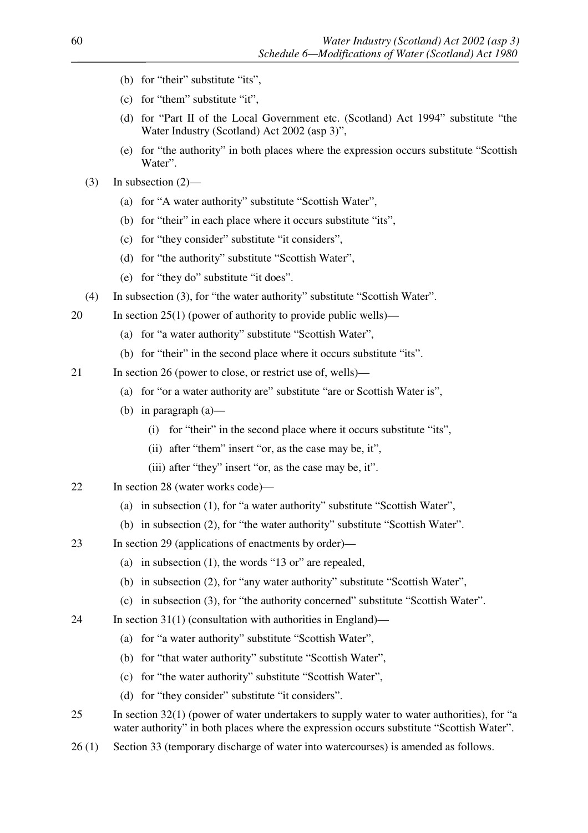- (b) for "their" substitute "its",
- (c) for "them" substitute "it",
- (d) for "Part II of the Local Government etc. (Scotland) Act 1994" substitute "the Water Industry (Scotland) Act 2002 (asp 3)",
- (e) for "the authority" in both places where the expression occurs substitute "Scottish Water".
- $(3)$  In subsection  $(2)$ 
	- (a) for "A water authority" substitute "Scottish Water",
	- (b) for "their" in each place where it occurs substitute "its",
	- (c) for "they consider" substitute "it considers",
	- (d) for "the authority" substitute "Scottish Water",
	- (e) for "they do" substitute "it does".
- (4) In subsection (3), for "the water authority" substitute "Scottish Water".
- 20 In section 25(1) (power of authority to provide public wells)—
	- (a) for "a water authority" substitute "Scottish Water",
	- (b) for "their" in the second place where it occurs substitute "its".
- 21 In section 26 (power to close, or restrict use of, wells)—
	- (a) for "or a water authority are" substitute "are or Scottish Water is",
	- (b) in paragraph (a)—
		- (i) for "their" in the second place where it occurs substitute "its",
		- (ii) after "them" insert "or, as the case may be, it",
		- (iii) after "they" insert "or, as the case may be, it".
- 22 In section 28 (water works code)—
	- (a) in subsection (1), for "a water authority" substitute "Scottish Water",
	- (b) in subsection (2), for "the water authority" substitute "Scottish Water".
- 23 In section 29 (applications of enactments by order)—
	- (a) in subsection (1), the words "13 or" are repealed,
	- (b) in subsection (2), for "any water authority" substitute "Scottish Water",
	- (c) in subsection (3), for "the authority concerned" substitute "Scottish Water".
- 24 In section 31(1) (consultation with authorities in England)—
	- (a) for "a water authority" substitute "Scottish Water",
	- (b) for "that water authority" substitute "Scottish Water",
	- (c) for "the water authority" substitute "Scottish Water",
	- (d) for "they consider" substitute "it considers".
- 25 In section 32(1) (power of water undertakers to supply water to water authorities), for "a water authority" in both places where the expression occurs substitute "Scottish Water".
- 26 (1) Section 33 (temporary discharge of water into watercourses) is amended as follows.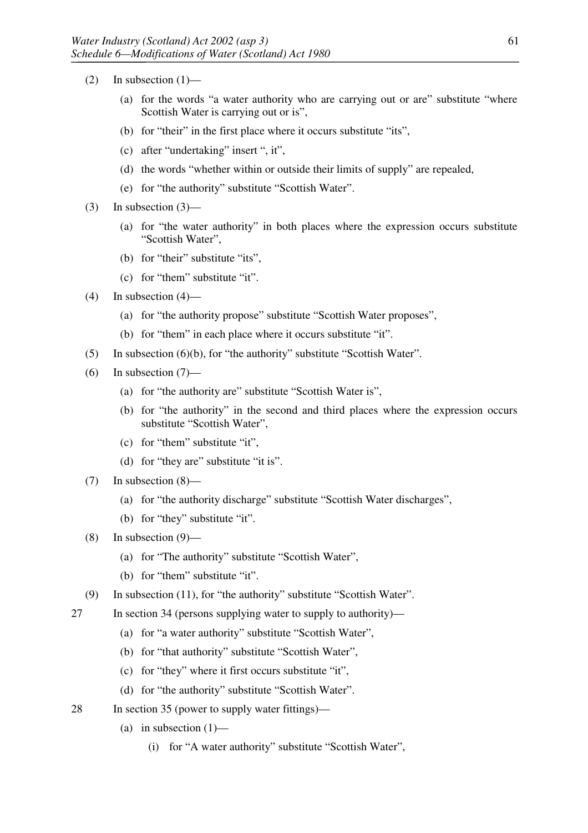- $(2)$  In subsection  $(1)$ 
	- (a) for the words "a water authority who are carrying out or are" substitute "where Scottish Water is carrying out or is",
	- (b) for "their" in the first place where it occurs substitute "its",
	- (c) after "undertaking" insert ", it",
	- (d) the words "whether within or outside their limits of supply" are repealed,
	- (e) for "the authority" substitute "Scottish Water".
- (3) In subsection  $(3)$ 
	- (a) for "the water authority" in both places where the expression occurs substitute "Scottish Water",
	- (b) for "their" substitute "its",
	- (c) for "them" substitute "it".
- $(4)$  In subsection  $(4)$ 
	- (a) for "the authority propose" substitute "Scottish Water proposes",
	- (b) for "them" in each place where it occurs substitute "it".
- (5) In subsection (6)(b), for "the authority" substitute "Scottish Water".
- (6) In subsection  $(7)$ 
	- (a) for "the authority are" substitute "Scottish Water is",
	- (b) for "the authority" in the second and third places where the expression occurs substitute "Scottish Water",
	- (c) for "them" substitute "it",
	- (d) for "they are" substitute "it is".
- (7) In subsection (8)—
	- (a) for "the authority discharge" substitute "Scottish Water discharges",
	- (b) for "they" substitute "it".
- (8) In subsection (9)—
	- (a) for "The authority" substitute "Scottish Water",
	- (b) for "them" substitute "it".
- (9) In subsection (11), for "the authority" substitute "Scottish Water".
- 27 In section 34 (persons supplying water to supply to authority)—
	- (a) for "a water authority" substitute "Scottish Water",
	- (b) for "that authority" substitute "Scottish Water",
	- (c) for "they" where it first occurs substitute "it",
	- (d) for "the authority" substitute "Scottish Water".
- 28 In section 35 (power to supply water fittings)—
	- (a) in subsection  $(1)$ 
		- (i) for "A water authority" substitute "Scottish Water",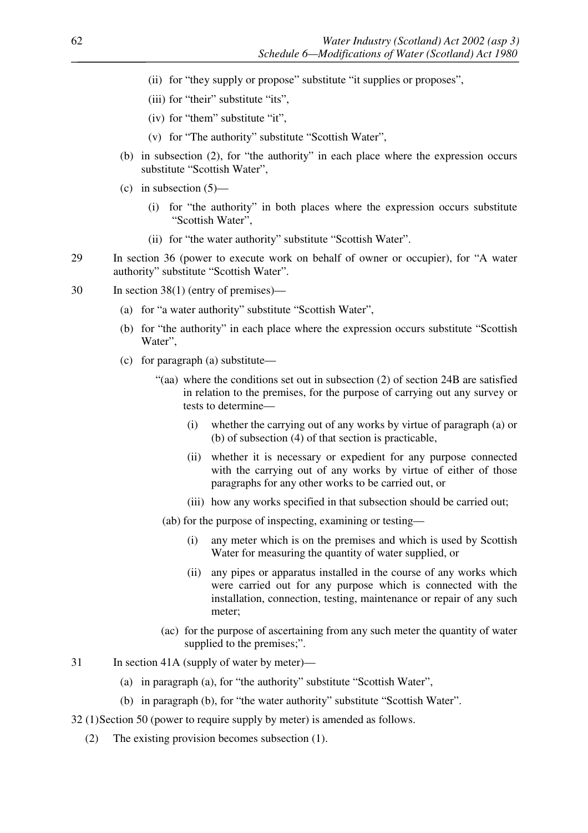- (ii) for "they supply or propose" substitute "it supplies or proposes",
- (iii) for "their" substitute "its",
- (iv) for "them" substitute "it",
- (v) for "The authority" substitute "Scottish Water",
- (b) in subsection (2), for "the authority" in each place where the expression occurs substitute "Scottish Water",
- (c) in subsection  $(5)$ 
	- (i) for "the authority" in both places where the expression occurs substitute "Scottish Water",
	- (ii) for "the water authority" substitute "Scottish Water".
- 29 In section 36 (power to execute work on behalf of owner or occupier), for "A water authority" substitute "Scottish Water".
- 30 In section 38(1) (entry of premises)—
	- (a) for "a water authority" substitute "Scottish Water",
	- (b) for "the authority" in each place where the expression occurs substitute "Scottish Water".
	- (c) for paragraph (a) substitute—
		- "(aa) where the conditions set out in subsection (2) of section 24B are satisfied in relation to the premises, for the purpose of carrying out any survey or tests to determine—
			- (i) whether the carrying out of any works by virtue of paragraph (a) or (b) of subsection (4) of that section is practicable,
			- (ii) whether it is necessary or expedient for any purpose connected with the carrying out of any works by virtue of either of those paragraphs for any other works to be carried out, or
			- (iii) how any works specified in that subsection should be carried out;
			- (ab) for the purpose of inspecting, examining or testing—
				- (i) any meter which is on the premises and which is used by Scottish Water for measuring the quantity of water supplied, or
				- (ii) any pipes or apparatus installed in the course of any works which were carried out for any purpose which is connected with the installation, connection, testing, maintenance or repair of any such meter;
		- (ac) for the purpose of ascertaining from any such meter the quantity of water supplied to the premises;".
- 31 In section 41A (supply of water by meter)—
	- (a) in paragraph (a), for "the authority" substitute "Scottish Water",
	- (b) in paragraph (b), for "the water authority" substitute "Scottish Water".
- 32 (1)Section 50 (power to require supply by meter) is amended as follows.
	- (2) The existing provision becomes subsection (1).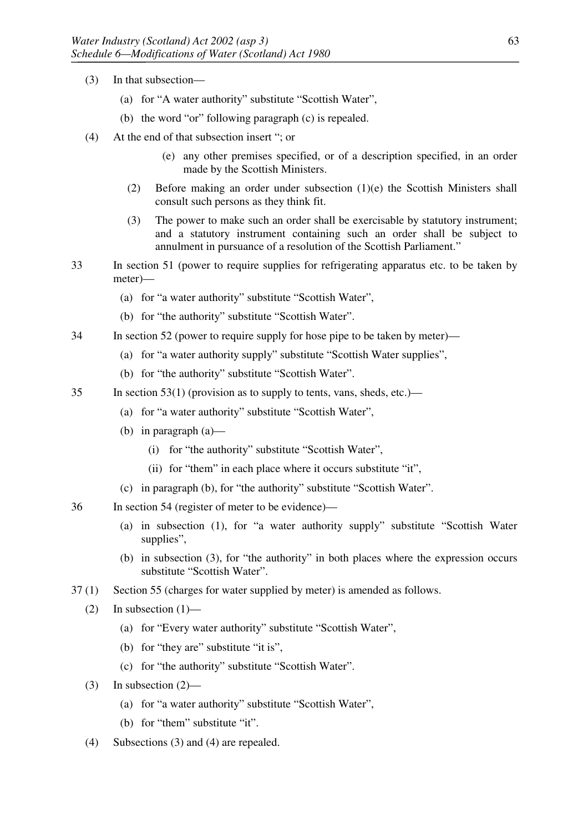- (3) In that subsection—
	- (a) for "A water authority" substitute "Scottish Water",
	- (b) the word "or" following paragraph (c) is repealed.
- (4) At the end of that subsection insert "; or
	- (e) any other premises specified, or of a description specified, in an order made by the Scottish Ministers.
	- (2) Before making an order under subsection (1)(e) the Scottish Ministers shall consult such persons as they think fit.
	- (3) The power to make such an order shall be exercisable by statutory instrument; and a statutory instrument containing such an order shall be subject to annulment in pursuance of a resolution of the Scottish Parliament."
- 33 In section 51 (power to require supplies for refrigerating apparatus etc. to be taken by meter)—
	- (a) for "a water authority" substitute "Scottish Water",
	- (b) for "the authority" substitute "Scottish Water".
- 34 In section 52 (power to require supply for hose pipe to be taken by meter)—
	- (a) for "a water authority supply" substitute "Scottish Water supplies",
	- (b) for "the authority" substitute "Scottish Water".
- 35 In section 53(1) (provision as to supply to tents, vans, sheds, etc.)—
	- (a) for "a water authority" substitute "Scottish Water",
	- (b) in paragraph (a)—
		- (i) for "the authority" substitute "Scottish Water",
		- (ii) for "them" in each place where it occurs substitute "it",
	- (c) in paragraph (b), for "the authority" substitute "Scottish Water".
- 36 In section 54 (register of meter to be evidence)—
	- (a) in subsection (1), for "a water authority supply" substitute "Scottish Water supplies",
	- (b) in subsection (3), for "the authority" in both places where the expression occurs substitute "Scottish Water".
- 37 (1) Section 55 (charges for water supplied by meter) is amended as follows.
	- $(2)$  In subsection  $(1)$ 
		- (a) for "Every water authority" substitute "Scottish Water",
		- (b) for "they are" substitute "it is",
		- (c) for "the authority" substitute "Scottish Water".
	- $(3)$  In subsection  $(2)$ 
		- (a) for "a water authority" substitute "Scottish Water",
		- (b) for "them" substitute "it".
	- (4) Subsections (3) and (4) are repealed.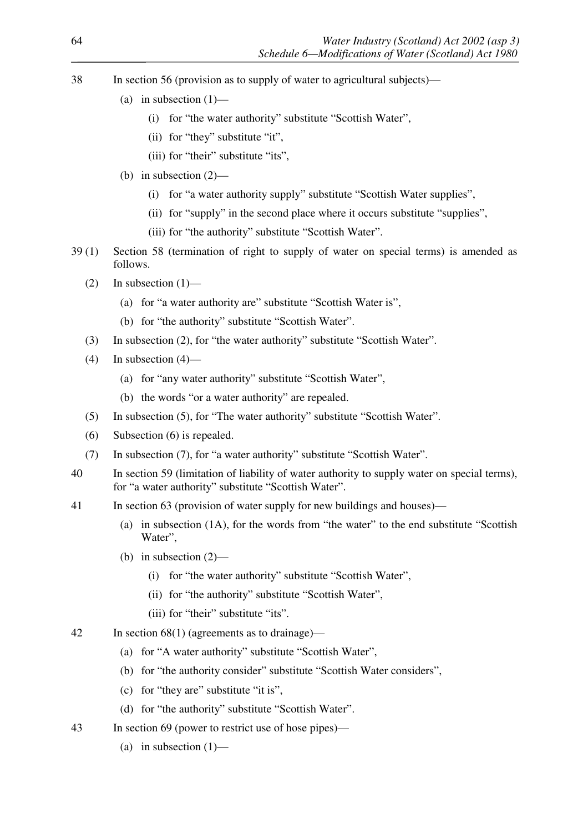- 38 In section 56 (provision as to supply of water to agricultural subjects)—
	- (a) in subsection  $(1)$ 
		- (i) for "the water authority" substitute "Scottish Water",
		- (ii) for "they" substitute "it",
		- (iii) for "their" substitute "its",
	- (b) in subsection (2)—
		- (i) for "a water authority supply" substitute "Scottish Water supplies",
		- (ii) for "supply" in the second place where it occurs substitute "supplies",
		- (iii) for "the authority" substitute "Scottish Water".
- 39 (1) Section 58 (termination of right to supply of water on special terms) is amended as follows.
	- (2) In subsection  $(1)$ 
		- (a) for "a water authority are" substitute "Scottish Water is",
		- (b) for "the authority" substitute "Scottish Water".
	- (3) In subsection (2), for "the water authority" substitute "Scottish Water".
	- $(4)$  In subsection  $(4)$ 
		- (a) for "any water authority" substitute "Scottish Water",
		- (b) the words "or a water authority" are repealed.
	- (5) In subsection (5), for "The water authority" substitute "Scottish Water".
	- (6) Subsection (6) is repealed.
	- (7) In subsection (7), for "a water authority" substitute "Scottish Water".
- 40 In section 59 (limitation of liability of water authority to supply water on special terms), for "a water authority" substitute "Scottish Water".
- 41 In section 63 (provision of water supply for new buildings and houses)—
	- (a) in subsection (1A), for the words from "the water" to the end substitute "Scottish Water",
	- (b) in subsection (2)—
		- (i) for "the water authority" substitute "Scottish Water",
		- (ii) for "the authority" substitute "Scottish Water",
		- (iii) for "their" substitute "its".
- 42 In section 68(1) (agreements as to drainage)—
	- (a) for "A water authority" substitute "Scottish Water",
	- (b) for "the authority consider" substitute "Scottish Water considers",
	- (c) for "they are" substitute "it is",
	- (d) for "the authority" substitute "Scottish Water".
- 43 In section 69 (power to restrict use of hose pipes)—
	- (a) in subsection  $(1)$ —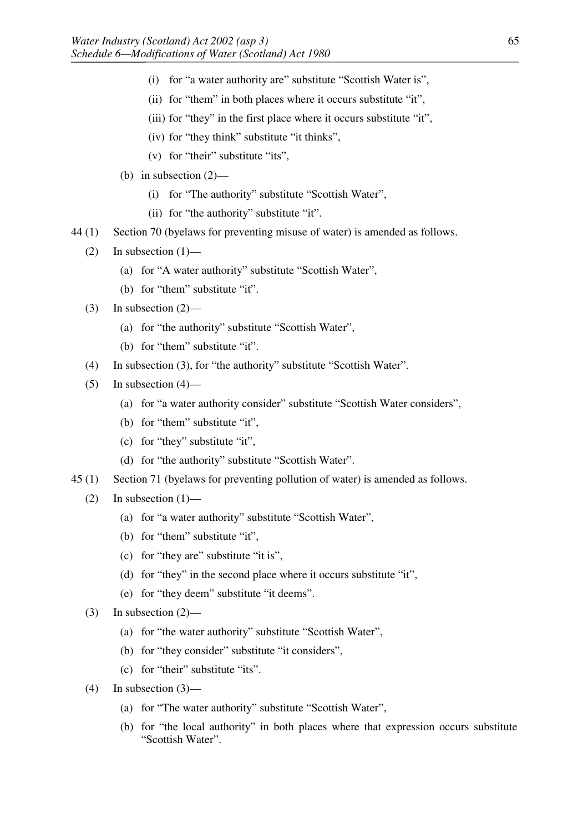- (i) for "a water authority are" substitute "Scottish Water is",
- (ii) for "them" in both places where it occurs substitute "it",
- (iii) for "they" in the first place where it occurs substitute "it",
- (iv) for "they think" substitute "it thinks",
- (v) for "their" substitute "its",
- (b) in subsection (2)—
	- (i) for "The authority" substitute "Scottish Water",
	- (ii) for "the authority" substitute "it".
- 44 (1) Section 70 (byelaws for preventing misuse of water) is amended as follows.
	- (2) In subsection  $(1)$ 
		- (a) for "A water authority" substitute "Scottish Water",
		- (b) for "them" substitute "it".
	- (3) In subsection  $(2)$ 
		- (a) for "the authority" substitute "Scottish Water",
		- (b) for "them" substitute "it".
	- (4) In subsection (3), for "the authority" substitute "Scottish Water".
	- (5) In subsection  $(4)$ 
		- (a) for "a water authority consider" substitute "Scottish Water considers",
		- (b) for "them" substitute "it",
		- (c) for "they" substitute "it",
		- (d) for "the authority" substitute "Scottish Water".
- 45 (1) Section 71 (byelaws for preventing pollution of water) is amended as follows.
	- (2) In subsection  $(1)$ 
		- (a) for "a water authority" substitute "Scottish Water",
		- (b) for "them" substitute "it",
		- (c) for "they are" substitute "it is",
		- (d) for "they" in the second place where it occurs substitute "it",
		- (e) for "they deem" substitute "it deems".
	- (3) In subsection (2)—
		- (a) for "the water authority" substitute "Scottish Water",
		- (b) for "they consider" substitute "it considers",
		- (c) for "their" substitute "its".

(4) In subsection (3)—

- (a) for "The water authority" substitute "Scottish Water",
- (b) for "the local authority" in both places where that expression occurs substitute "Scottish Water".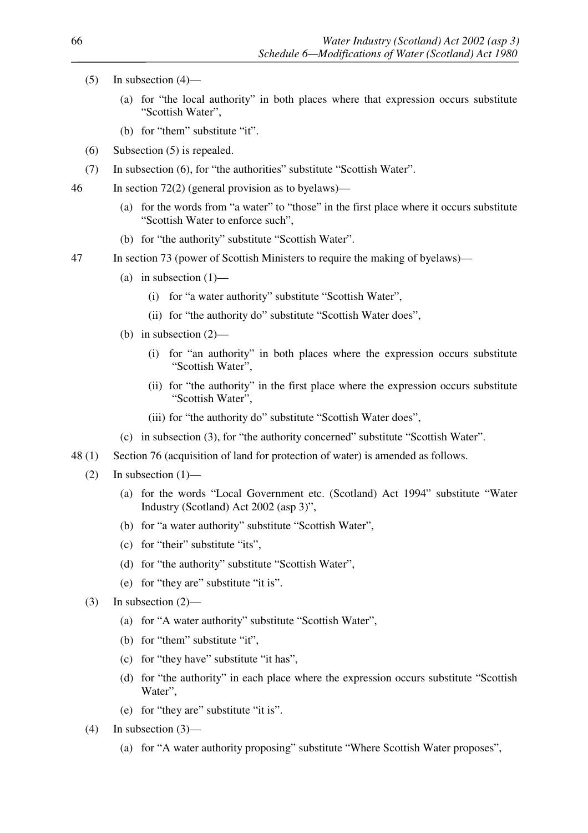- $(5)$  In subsection  $(4)$ 
	- (a) for "the local authority" in both places where that expression occurs substitute "Scottish Water",
	- (b) for "them" substitute "it".
- (6) Subsection (5) is repealed.
- (7) In subsection (6), for "the authorities" substitute "Scottish Water".
- 46 In section 72(2) (general provision as to byelaws)—
	- (a) for the words from "a water" to "those" in the first place where it occurs substitute "Scottish Water to enforce such",
	- (b) for "the authority" substitute "Scottish Water".
- 47 In section 73 (power of Scottish Ministers to require the making of byelaws)—
	- (a) in subsection  $(1)$ 
		- (i) for "a water authority" substitute "Scottish Water",
		- (ii) for "the authority do" substitute "Scottish Water does",
	- (b) in subsection (2)—
		- (i) for "an authority" in both places where the expression occurs substitute "Scottish Water".
		- (ii) for "the authority" in the first place where the expression occurs substitute "Scottish Water",
		- (iii) for "the authority do" substitute "Scottish Water does",
	- (c) in subsection (3), for "the authority concerned" substitute "Scottish Water".
- 48 (1) Section 76 (acquisition of land for protection of water) is amended as follows.
	- $(2)$  In subsection  $(1)$ 
		- (a) for the words "Local Government etc. (Scotland) Act 1994" substitute "Water Industry (Scotland) Act 2002 (asp 3)",
		- (b) for "a water authority" substitute "Scottish Water",
		- (c) for "their" substitute "its",
		- (d) for "the authority" substitute "Scottish Water",
		- (e) for "they are" substitute "it is".
	- (3) In subsection (2)—
		- (a) for "A water authority" substitute "Scottish Water",
		- (b) for "them" substitute "it",
		- (c) for "they have" substitute "it has",
		- (d) for "the authority" in each place where the expression occurs substitute "Scottish Water",
		- (e) for "they are" substitute "it is".
	- $(4)$  In subsection  $(3)$ 
		- (a) for "A water authority proposing" substitute "Where Scottish Water proposes",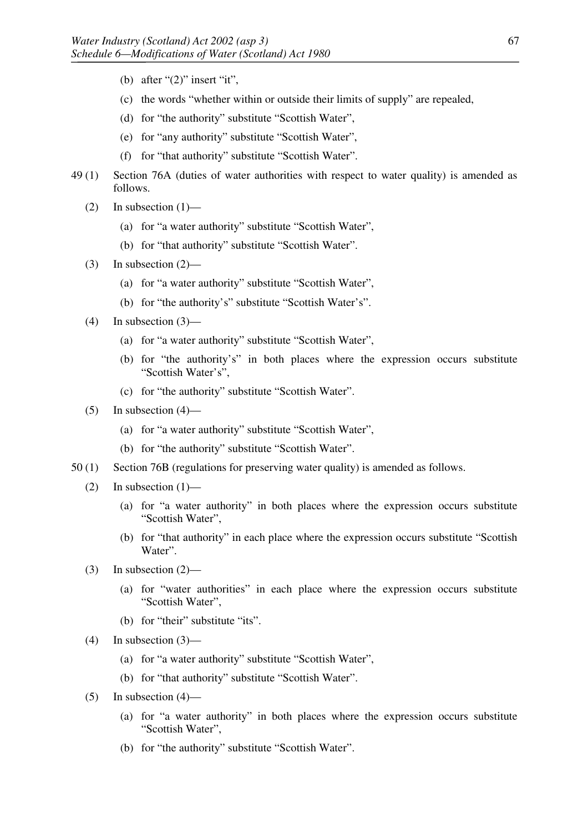- (b) after " $(2)$ " insert "it",
- (c) the words "whether within or outside their limits of supply" are repealed,
- (d) for "the authority" substitute "Scottish Water",
- (e) for "any authority" substitute "Scottish Water",
- (f) for "that authority" substitute "Scottish Water".
- 49 (1) Section 76A (duties of water authorities with respect to water quality) is amended as follows.
	- $(2)$  In subsection  $(1)$ 
		- (a) for "a water authority" substitute "Scottish Water",
		- (b) for "that authority" substitute "Scottish Water".
	- (3) In subsection  $(2)$ 
		- (a) for "a water authority" substitute "Scottish Water",
		- (b) for "the authority's" substitute "Scottish Water's".
	- $(4)$  In subsection  $(3)$ 
		- (a) for "a water authority" substitute "Scottish Water",
		- (b) for "the authority's" in both places where the expression occurs substitute "Scottish Water's",
		- (c) for "the authority" substitute "Scottish Water".
	- $(5)$  In subsection  $(4)$ 
		- (a) for "a water authority" substitute "Scottish Water",
		- (b) for "the authority" substitute "Scottish Water".
- 50 (1) Section 76B (regulations for preserving water quality) is amended as follows.
	- $(2)$  In subsection  $(1)$ 
		- (a) for "a water authority" in both places where the expression occurs substitute "Scottish Water",
		- (b) for "that authority" in each place where the expression occurs substitute "Scottish Water".
	- $(3)$  In subsection  $(2)$ 
		- (a) for "water authorities" in each place where the expression occurs substitute "Scottish Water",
		- (b) for "their" substitute "its".
	- $(4)$  In subsection  $(3)$ 
		- (a) for "a water authority" substitute "Scottish Water",
		- (b) for "that authority" substitute "Scottish Water".
	- $(5)$  In subsection  $(4)$ 
		- (a) for "a water authority" in both places where the expression occurs substitute "Scottish Water",
		- (b) for "the authority" substitute "Scottish Water".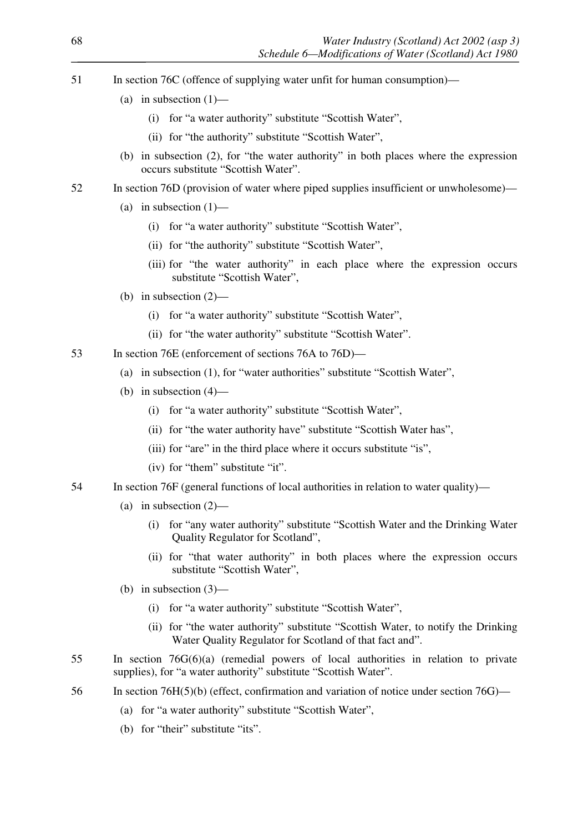- 51 In section 76C (offence of supplying water unfit for human consumption)—
	- (a) in subsection  $(1)$ 
		- (i) for "a water authority" substitute "Scottish Water",
		- (ii) for "the authority" substitute "Scottish Water",
	- (b) in subsection (2), for "the water authority" in both places where the expression occurs substitute "Scottish Water".
- 52 In section 76D (provision of water where piped supplies insufficient or unwholesome)—
	- (a) in subsection  $(1)$ 
		- (i) for "a water authority" substitute "Scottish Water",
		- (ii) for "the authority" substitute "Scottish Water",
		- (iii) for "the water authority" in each place where the expression occurs substitute "Scottish Water",
	- (b) in subsection (2)—
		- (i) for "a water authority" substitute "Scottish Water",
		- (ii) for "the water authority" substitute "Scottish Water".
- 53 In section 76E (enforcement of sections 76A to 76D)—
	- (a) in subsection (1), for "water authorities" substitute "Scottish Water",
	- (b) in subsection (4)—
		- (i) for "a water authority" substitute "Scottish Water",
		- (ii) for "the water authority have" substitute "Scottish Water has",
		- (iii) for "are" in the third place where it occurs substitute "is",
		- (iv) for "them" substitute "it".
- 54 In section 76F (general functions of local authorities in relation to water quality)—
	- (a) in subsection  $(2)$ 
		- (i) for "any water authority" substitute "Scottish Water and the Drinking Water Quality Regulator for Scotland",
		- (ii) for "that water authority" in both places where the expression occurs substitute "Scottish Water",
	- (b) in subsection (3)—
		- (i) for "a water authority" substitute "Scottish Water",
		- (ii) for "the water authority" substitute "Scottish Water, to notify the Drinking Water Quality Regulator for Scotland of that fact and".
- 55 In section 76G(6)(a) (remedial powers of local authorities in relation to private supplies), for "a water authority" substitute "Scottish Water".
- 56 In section 76H(5)(b) (effect, confirmation and variation of notice under section 76G)—
	- (a) for "a water authority" substitute "Scottish Water",
	- (b) for "their" substitute "its".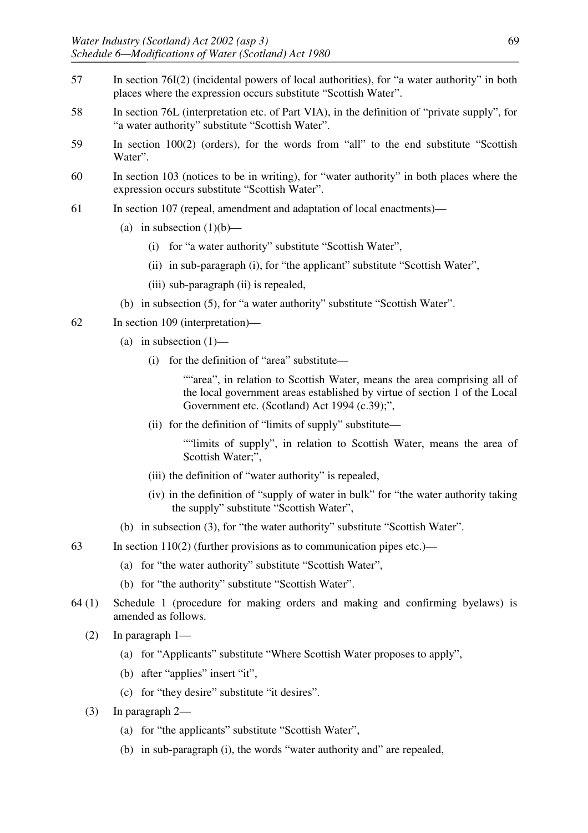- 57 In section 76I(2) (incidental powers of local authorities), for "a water authority" in both places where the expression occurs substitute "Scottish Water".
- 58 In section 76L (interpretation etc. of Part VIA), in the definition of "private supply", for "a water authority" substitute "Scottish Water".
- 59 In section 100(2) (orders), for the words from "all" to the end substitute "Scottish Water".
- 60 In section 103 (notices to be in writing), for "water authority" in both places where the expression occurs substitute "Scottish Water".
- 61 In section 107 (repeal, amendment and adaptation of local enactments)—
	- (a) in subsection  $(1)(b)$ 
		- (i) for "a water authority" substitute "Scottish Water",
		- (ii) in sub-paragraph (i), for "the applicant" substitute "Scottish Water",
		- (iii) sub-paragraph (ii) is repealed,
	- (b) in subsection (5), for "a water authority" substitute "Scottish Water".
- 62 In section 109 (interpretation)—
	- (a) in subsection  $(1)$ 
		- (i) for the definition of "area" substitute—
			- ""area", in relation to Scottish Water, means the area comprising all of the local government areas established by virtue of section 1 of the Local Government etc. (Scotland) Act 1994 (c.39);",
		- (ii) for the definition of "limits of supply" substitute—

""limits of supply", in relation to Scottish Water, means the area of Scottish Water;",

- (iii) the definition of "water authority" is repealed,
- (iv) in the definition of "supply of water in bulk" for "the water authority taking the supply" substitute "Scottish Water",
- (b) in subsection (3), for "the water authority" substitute "Scottish Water".
- 63 In section 110(2) (further provisions as to communication pipes etc.)—
	- (a) for "the water authority" substitute "Scottish Water",
	- (b) for "the authority" substitute "Scottish Water".
- 64 (1) Schedule 1 (procedure for making orders and making and confirming byelaws) is amended as follows.
	- (2) In paragraph 1—
		- (a) for "Applicants" substitute "Where Scottish Water proposes to apply",
		- (b) after "applies" insert "it",
		- (c) for "they desire" substitute "it desires".
	- (3) In paragraph 2—
		- (a) for "the applicants" substitute "Scottish Water",
		- (b) in sub-paragraph (i), the words "water authority and" are repealed,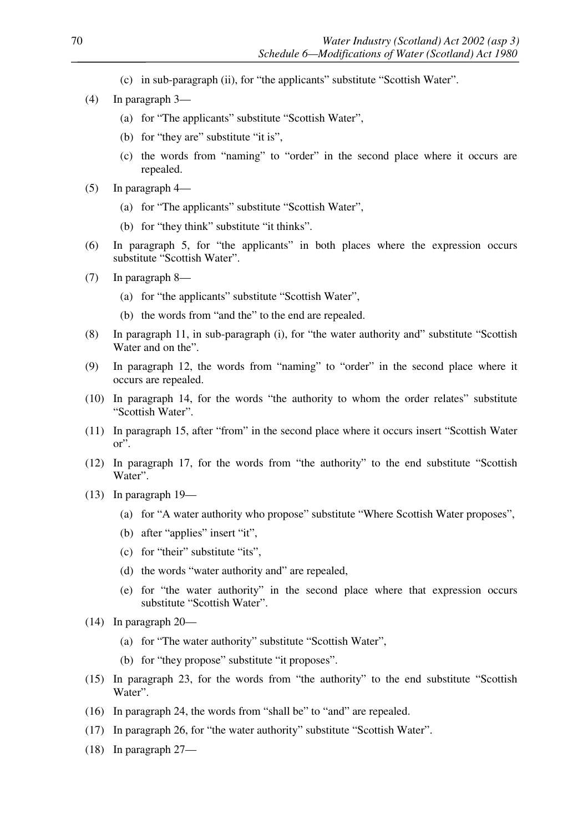- (c) in sub-paragraph (ii), for "the applicants" substitute "Scottish Water".
- (4) In paragraph 3—
	- (a) for "The applicants" substitute "Scottish Water",
	- (b) for "they are" substitute "it is",
	- (c) the words from "naming" to "order" in the second place where it occurs are repealed.
- (5) In paragraph 4—
	- (a) for "The applicants" substitute "Scottish Water",
	- (b) for "they think" substitute "it thinks".
- (6) In paragraph 5, for "the applicants" in both places where the expression occurs substitute "Scottish Water".
- (7) In paragraph 8—
	- (a) for "the applicants" substitute "Scottish Water",
	- (b) the words from "and the" to the end are repealed.
- (8) In paragraph 11, in sub-paragraph (i), for "the water authority and" substitute "Scottish Water and on the".
- (9) In paragraph 12, the words from "naming" to "order" in the second place where it occurs are repealed.
- (10) In paragraph 14, for the words "the authority to whom the order relates" substitute "Scottish Water".
- (11) In paragraph 15, after "from" in the second place where it occurs insert "Scottish Water or".
- (12) In paragraph 17, for the words from "the authority" to the end substitute "Scottish Water".
- (13) In paragraph 19—
	- (a) for "A water authority who propose" substitute "Where Scottish Water proposes",
	- (b) after "applies" insert "it",
	- (c) for "their" substitute "its",
	- (d) the words "water authority and" are repealed,
	- (e) for "the water authority" in the second place where that expression occurs substitute "Scottish Water".
- (14) In paragraph 20—
	- (a) for "The water authority" substitute "Scottish Water",
	- (b) for "they propose" substitute "it proposes".
- (15) In paragraph 23, for the words from "the authority" to the end substitute "Scottish Water".
- (16) In paragraph 24, the words from "shall be" to "and" are repealed.
- (17) In paragraph 26, for "the water authority" substitute "Scottish Water".
- (18) In paragraph 27—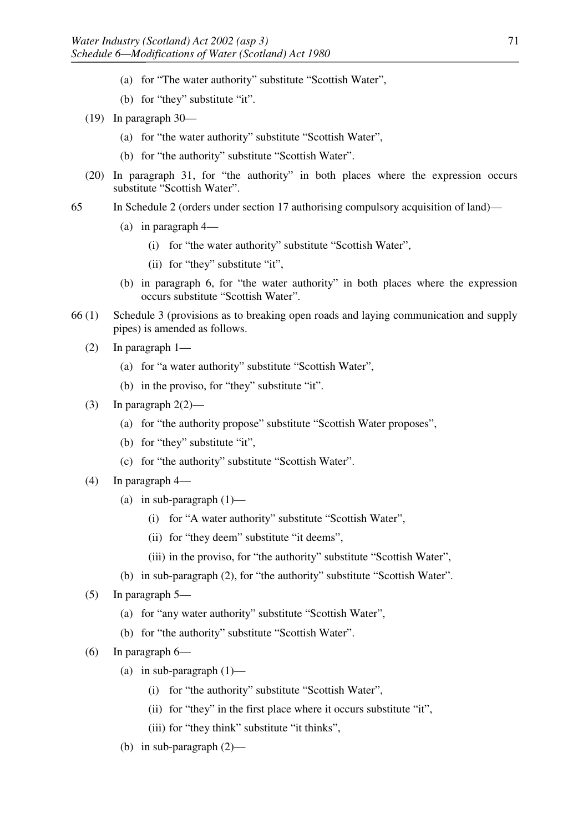- (a) for "The water authority" substitute "Scottish Water",
- (b) for "they" substitute "it".
- (19) In paragraph 30—
	- (a) for "the water authority" substitute "Scottish Water",
	- (b) for "the authority" substitute "Scottish Water".
- (20) In paragraph 31, for "the authority" in both places where the expression occurs substitute "Scottish Water".
- 65 In Schedule 2 (orders under section 17 authorising compulsory acquisition of land)—
	- (a) in paragraph 4—
		- (i) for "the water authority" substitute "Scottish Water",
		- (ii) for "they" substitute "it",
	- (b) in paragraph 6, for "the water authority" in both places where the expression occurs substitute "Scottish Water".
- 66 (1) Schedule 3 (provisions as to breaking open roads and laying communication and supply pipes) is amended as follows.
	- (2) In paragraph 1—
		- (a) for "a water authority" substitute "Scottish Water",
		- (b) in the proviso, for "they" substitute "it".
	- (3) In paragraph  $2(2)$ 
		- (a) for "the authority propose" substitute "Scottish Water proposes",
		- (b) for "they" substitute "it",
		- (c) for "the authority" substitute "Scottish Water".
	- (4) In paragraph 4—
		- (a) in sub-paragraph  $(1)$ 
			- (i) for "A water authority" substitute "Scottish Water",
			- (ii) for "they deem" substitute "it deems",
			- (iii) in the proviso, for "the authority" substitute "Scottish Water",
		- (b) in sub-paragraph (2), for "the authority" substitute "Scottish Water".
	- (5) In paragraph 5—
		- (a) for "any water authority" substitute "Scottish Water",
		- (b) for "the authority" substitute "Scottish Water".
	- (6) In paragraph 6—
		- (a) in sub-paragraph  $(1)$ 
			- (i) for "the authority" substitute "Scottish Water",
			- (ii) for "they" in the first place where it occurs substitute "it",
			- (iii) for "they think" substitute "it thinks",
		- (b) in sub-paragraph (2)—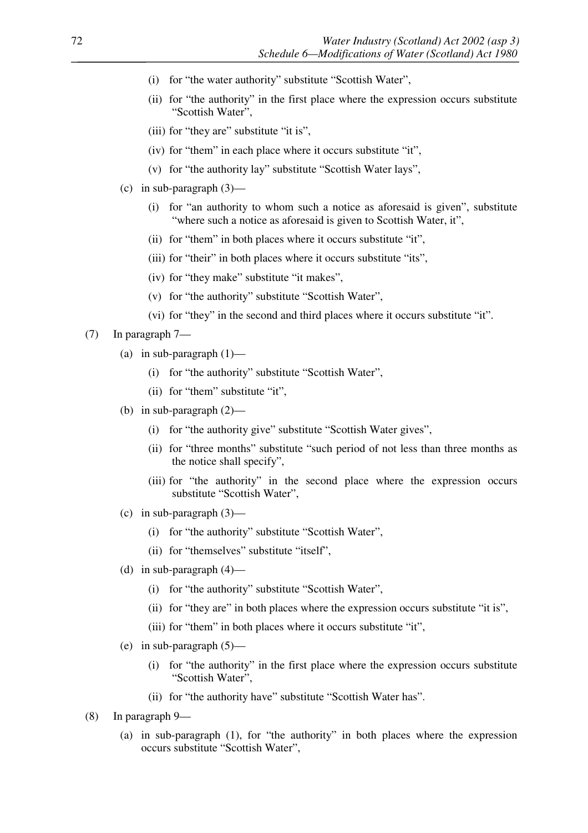- (i) for "the water authority" substitute "Scottish Water",
- (ii) for "the authority" in the first place where the expression occurs substitute "Scottish Water",
- (iii) for "they are" substitute "it is",
- (iv) for "them" in each place where it occurs substitute "it",
- (v) for "the authority lay" substitute "Scottish Water lays",
- (c) in sub-paragraph (3)—
	- (i) for "an authority to whom such a notice as aforesaid is given", substitute "where such a notice as aforesaid is given to Scottish Water, it",
	- (ii) for "them" in both places where it occurs substitute "it",
	- (iii) for "their" in both places where it occurs substitute "its",
	- (iv) for "they make" substitute "it makes",
	- (v) for "the authority" substitute "Scottish Water",
	- (vi) for "they" in the second and third places where it occurs substitute "it".
- (7) In paragraph 7—
	- (a) in sub-paragraph  $(1)$ 
		- (i) for "the authority" substitute "Scottish Water",
		- (ii) for "them" substitute "it",
	- (b) in sub-paragraph (2)—
		- (i) for "the authority give" substitute "Scottish Water gives",
		- (ii) for "three months" substitute "such period of not less than three months as the notice shall specify",
		- (iii) for "the authority" in the second place where the expression occurs substitute "Scottish Water",
	- (c) in sub-paragraph  $(3)$ 
		- (i) for "the authority" substitute "Scottish Water",
		- (ii) for "themselves" substitute "itself",
	- (d) in sub-paragraph  $(4)$ 
		- (i) for "the authority" substitute "Scottish Water",
		- (ii) for "they are" in both places where the expression occurs substitute "it is",
		- (iii) for "them" in both places where it occurs substitute "it",
	- (e) in sub-paragraph  $(5)$ 
		- (i) for "the authority" in the first place where the expression occurs substitute "Scottish Water",
		- (ii) for "the authority have" substitute "Scottish Water has".
- (8) In paragraph 9—
	- (a) in sub-paragraph (1), for "the authority" in both places where the expression occurs substitute "Scottish Water",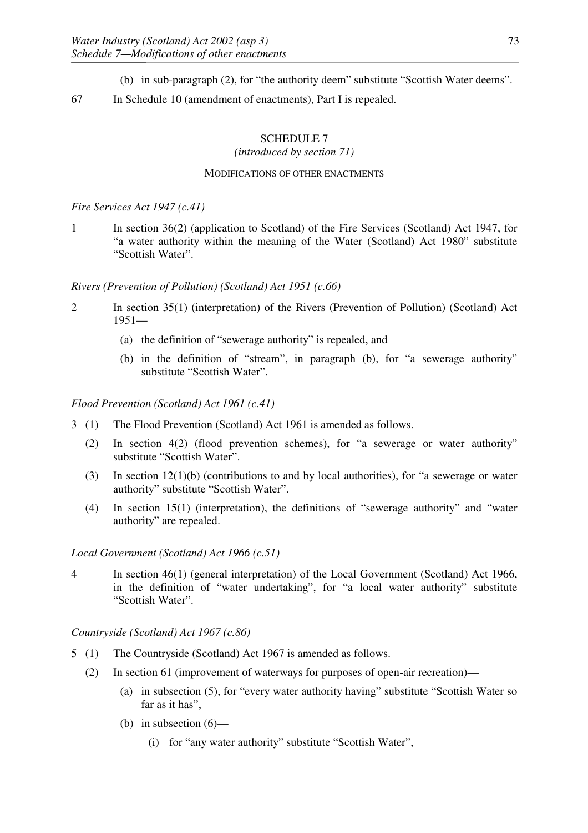- (b) in sub-paragraph (2), for "the authority deem" substitute "Scottish Water deems".
- 67 In Schedule 10 (amendment of enactments), Part I is repealed.

# SCHEDULE 7

*(introduced by section 71)*

## MODIFICATIONS OF OTHER ENACTMENTS

## *Fire Services Act 1947 (c.41)*

1 In section 36(2) (application to Scotland) of the Fire Services (Scotland) Act 1947, for "a water authority within the meaning of the Water (Scotland) Act 1980" substitute "Scottish Water".

# *Rivers (Prevention of Pollution) (Scotland) Act 1951 (c.66)*

- 2 In section 35(1) (interpretation) of the Rivers (Prevention of Pollution) (Scotland) Act 1951—
	- (a) the definition of "sewerage authority" is repealed, and
	- (b) in the definition of "stream", in paragraph (b), for "a sewerage authority" substitute "Scottish Water".

*Flood Prevention (Scotland) Act 1961 (c.41)*

- 3 (1) The Flood Prevention (Scotland) Act 1961 is amended as follows.
	- (2) In section 4(2) (flood prevention schemes), for "a sewerage or water authority" substitute "Scottish Water".
	- (3) In section 12(1)(b) (contributions to and by local authorities), for "a sewerage or water authority" substitute "Scottish Water".
	- (4) In section 15(1) (interpretation), the definitions of "sewerage authority" and "water authority" are repealed.

*Local Government (Scotland) Act 1966 (c.51)*

4 In section 46(1) (general interpretation) of the Local Government (Scotland) Act 1966, in the definition of "water undertaking", for "a local water authority" substitute "Scottish Water".

*Countryside (Scotland) Act 1967 (c.86)*

- 5 (1) The Countryside (Scotland) Act 1967 is amended as follows.
	- (2) In section 61 (improvement of waterways for purposes of open-air recreation)—
		- (a) in subsection (5), for "every water authority having" substitute "Scottish Water so far as it has",
		- (b) in subsection (6)—
			- (i) for "any water authority" substitute "Scottish Water",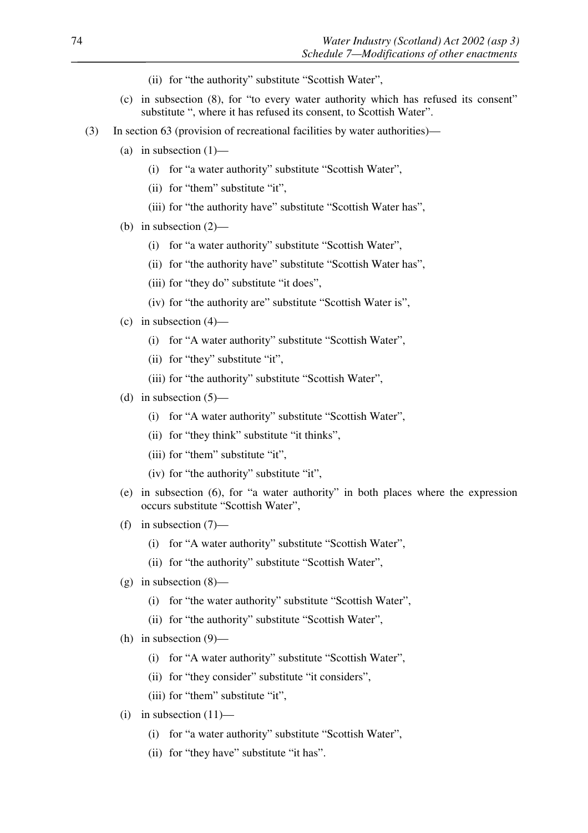- (ii) for "the authority" substitute "Scottish Water",
- (c) in subsection (8), for "to every water authority which has refused its consent" substitute ", where it has refused its consent, to Scottish Water".
- (3) In section 63 (provision of recreational facilities by water authorities)—
	- (a) in subsection  $(1)$ 
		- (i) for "a water authority" substitute "Scottish Water",
		- (ii) for "them" substitute "it",
		- (iii) for "the authority have" substitute "Scottish Water has",
	- (b) in subsection (2)—
		- (i) for "a water authority" substitute "Scottish Water",
		- (ii) for "the authority have" substitute "Scottish Water has",
		- (iii) for "they do" substitute "it does",
		- (iv) for "the authority are" substitute "Scottish Water is",
	- (c) in subsection  $(4)$ 
		- (i) for "A water authority" substitute "Scottish Water",
		- (ii) for "they" substitute "it",
		- (iii) for "the authority" substitute "Scottish Water",
	- (d) in subsection  $(5)$ 
		- (i) for "A water authority" substitute "Scottish Water",
		- (ii) for "they think" substitute "it thinks",
		- (iii) for "them" substitute "it",
		- (iv) for "the authority" substitute "it",
	- (e) in subsection (6), for "a water authority" in both places where the expression occurs substitute "Scottish Water",
	- (f) in subsection (7)—
		- (i) for "A water authority" substitute "Scottish Water",
		- (ii) for "the authority" substitute "Scottish Water",
	- $(g)$  in subsection  $(8)$ 
		- (i) for "the water authority" substitute "Scottish Water",
		- (ii) for "the authority" substitute "Scottish Water",
	- (h) in subsection (9)—
		- (i) for "A water authority" substitute "Scottish Water",
		- (ii) for "they consider" substitute "it considers",
		- (iii) for "them" substitute "it",
	- (i) in subsection  $(11)$ 
		- (i) for "a water authority" substitute "Scottish Water",
		- (ii) for "they have" substitute "it has".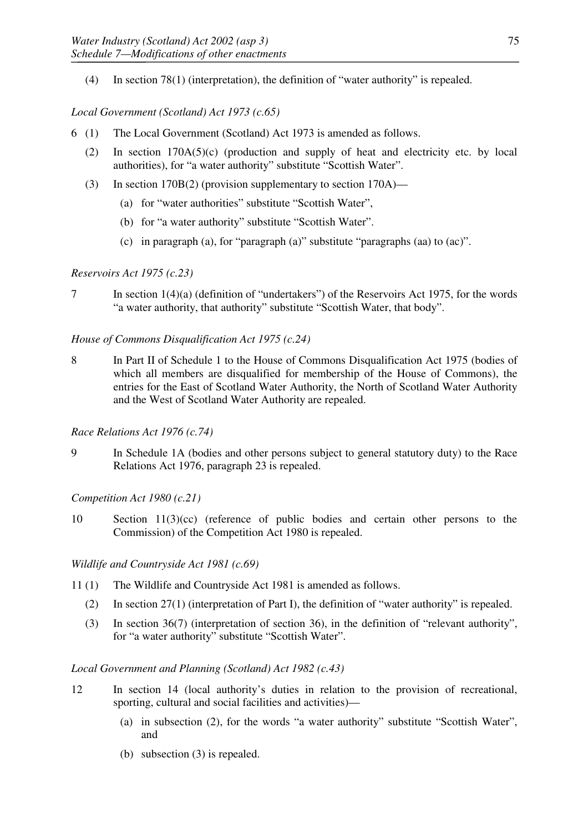(4) In section 78(1) (interpretation), the definition of "water authority" is repealed.

# *Local Government (Scotland) Act 1973 (c.65)*

- 6 (1) The Local Government (Scotland) Act 1973 is amended as follows.
	- (2) In section 170A(5)(c) (production and supply of heat and electricity etc. by local authorities), for "a water authority" substitute "Scottish Water".
	- (3) In section 170B(2) (provision supplementary to section 170A)—
		- (a) for "water authorities" substitute "Scottish Water",
		- (b) for "a water authority" substitute "Scottish Water".
		- (c) in paragraph (a), for "paragraph (a)" substitute "paragraphs (aa) to (ac)".

# *Reservoirs Act 1975 (c.23)*

7 In section 1(4)(a) (definition of "undertakers") of the Reservoirs Act 1975, for the words "a water authority, that authority" substitute "Scottish Water, that body".

# *House of Commons Disqualification Act 1975 (c.24)*

8 In Part II of Schedule 1 to the House of Commons Disqualification Act 1975 (bodies of which all members are disqualified for membership of the House of Commons), the entries for the East of Scotland Water Authority, the North of Scotland Water Authority and the West of Scotland Water Authority are repealed.

# *Race Relations Act 1976 (c.74)*

9 In Schedule 1A (bodies and other persons subject to general statutory duty) to the Race Relations Act 1976, paragraph 23 is repealed.

*Competition Act 1980 (c.21)*

10 Section 11(3)(cc) (reference of public bodies and certain other persons to the Commission) of the Competition Act 1980 is repealed.

### *Wildlife and Countryside Act 1981 (c.69)*

- 11 (1) The Wildlife and Countryside Act 1981 is amended as follows.
	- (2) In section 27(1) (interpretation of Part I), the definition of "water authority" is repealed.
	- (3) In section 36(7) (interpretation of section 36), in the definition of "relevant authority", for "a water authority" substitute "Scottish Water".

### *Local Government and Planning (Scotland) Act 1982 (c.43)*

- 12 In section 14 (local authority's duties in relation to the provision of recreational, sporting, cultural and social facilities and activities)—
	- (a) in subsection (2), for the words "a water authority" substitute "Scottish Water", and
	- (b) subsection (3) is repealed.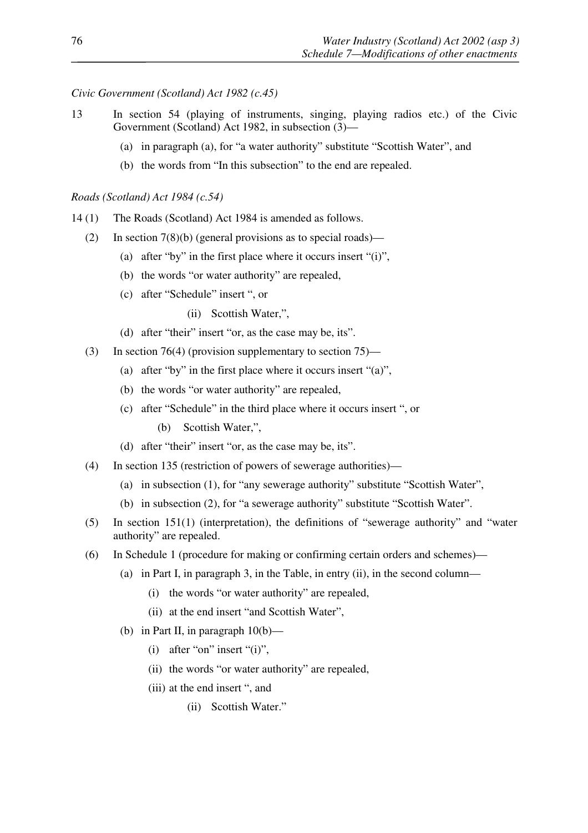*Civic Government (Scotland) Act 1982 (c.45)*

- 13 In section 54 (playing of instruments, singing, playing radios etc.) of the Civic Government (Scotland) Act 1982, in subsection (3)—
	- (a) in paragraph (a), for "a water authority" substitute "Scottish Water", and
	- (b) the words from "In this subsection" to the end are repealed.

#### *Roads (Scotland) Act 1984 (c.54)*

- 14 (1) The Roads (Scotland) Act 1984 is amended as follows.
	- (2) In section  $7(8)(b)$  (general provisions as to special roads)—
		- (a) after "by" in the first place where it occurs insert "(i)",
		- (b) the words "or water authority" are repealed,
		- (c) after "Schedule" insert ", or
			- (ii) Scottish Water,",
		- (d) after "their" insert "or, as the case may be, its".
	- (3) In section 76(4) (provision supplementary to section 75)—
		- (a) after "by" in the first place where it occurs insert "(a)",
		- (b) the words "or water authority" are repealed,
		- (c) after "Schedule" in the third place where it occurs insert ", or
			- (b) Scottish Water,",
		- (d) after "their" insert "or, as the case may be, its".
	- (4) In section 135 (restriction of powers of sewerage authorities)—
		- (a) in subsection (1), for "any sewerage authority" substitute "Scottish Water",
		- (b) in subsection (2), for "a sewerage authority" substitute "Scottish Water".
	- (5) In section 151(1) (interpretation), the definitions of "sewerage authority" and "water authority" are repealed.
	- (6) In Schedule 1 (procedure for making or confirming certain orders and schemes)—
		- (a) in Part I, in paragraph 3, in the Table, in entry (ii), in the second column—
			- (i) the words "or water authority" are repealed,
			- (ii) at the end insert "and Scottish Water",
		- (b) in Part II, in paragraph  $10(b)$ 
			- $(i)$  after "on" insert " $(i)$ ",
			- (ii) the words "or water authority" are repealed,
			- (iii) at the end insert ", and
				- (ii) Scottish Water."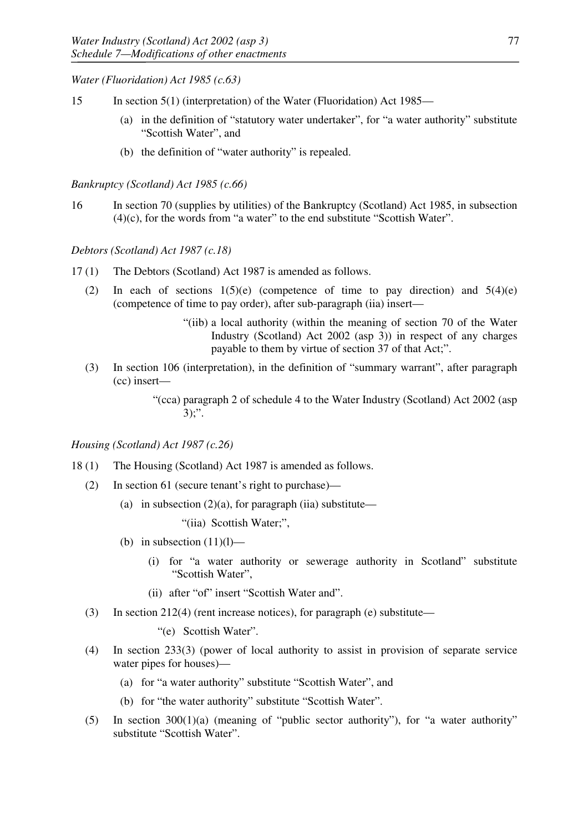*Water (Fluoridation) Act 1985 (c.63)*

- 15 In section 5(1) (interpretation) of the Water (Fluoridation) Act 1985—
	- (a) in the definition of "statutory water undertaker", for "a water authority" substitute "Scottish Water", and
	- (b) the definition of "water authority" is repealed.

# *Bankruptcy (Scotland) Act 1985 (c.66)*

16 In section 70 (supplies by utilities) of the Bankruptcy (Scotland) Act 1985, in subsection  $(4)(c)$ , for the words from "a water" to the end substitute "Scottish Water".

# *Debtors (Scotland) Act 1987 (c.18)*

- 17 (1) The Debtors (Scotland) Act 1987 is amended as follows.
	- (2) In each of sections  $1(5)(e)$  (competence of time to pay direction) and  $5(4)(e)$ (competence of time to pay order), after sub-paragraph (iia) insert—
		- "(iib) a local authority (within the meaning of section 70 of the Water Industry (Scotland) Act 2002 (asp 3)) in respect of any charges payable to them by virtue of section 37 of that Act;".
	- (3) In section 106 (interpretation), in the definition of "summary warrant", after paragraph (cc) insert—

"(cca) paragraph 2 of schedule 4 to the Water Industry (Scotland) Act 2002 (asp  $3)$ ;".

### *Housing (Scotland) Act 1987 (c.26)*

- 18 (1) The Housing (Scotland) Act 1987 is amended as follows.
	- (2) In section 61 (secure tenant's right to purchase)—
		- (a) in subsection  $(2)(a)$ , for paragraph (iia) substitute—

"(iia) Scottish Water;",

- (b) in subsection  $(11)(1)$ 
	- (i) for "a water authority or sewerage authority in Scotland" substitute "Scottish Water",
	- (ii) after "of" insert "Scottish Water and".
- (3) In section 212(4) (rent increase notices), for paragraph (e) substitute—
	- "(e) Scottish Water".
- (4) In section 233(3) (power of local authority to assist in provision of separate service water pipes for houses)—
	- (a) for "a water authority" substitute "Scottish Water", and
	- (b) for "the water authority" substitute "Scottish Water".
- (5) In section 300(1)(a) (meaning of "public sector authority"), for "a water authority" substitute "Scottish Water".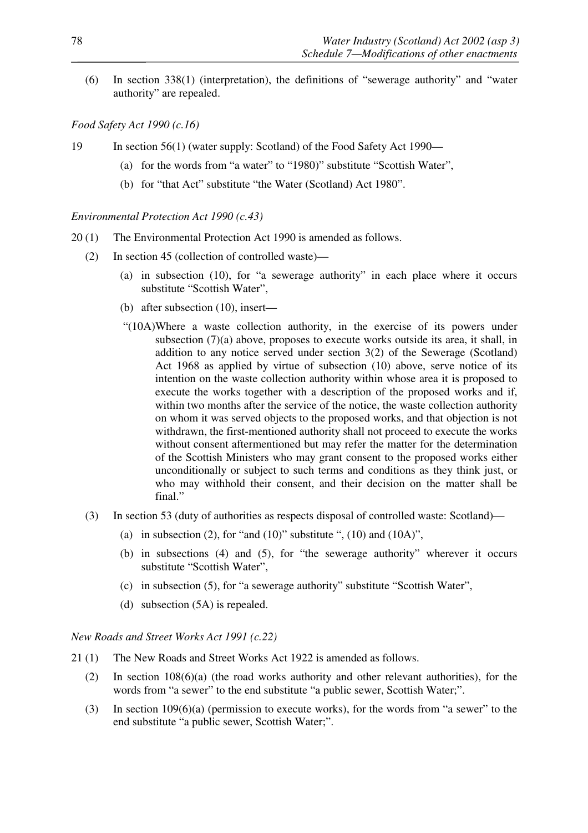(6) In section 338(1) (interpretation), the definitions of "sewerage authority" and "water authority" are repealed.

## *Food Safety Act 1990 (c.16)*

- 19 In section 56(1) (water supply: Scotland) of the Food Safety Act 1990—
	- (a) for the words from "a water" to "1980)" substitute "Scottish Water",
	- (b) for "that Act" substitute "the Water (Scotland) Act 1980".

#### *Environmental Protection Act 1990 (c.43)*

- 20 (1) The Environmental Protection Act 1990 is amended as follows.
	- (2) In section 45 (collection of controlled waste)—
		- (a) in subsection (10), for "a sewerage authority" in each place where it occurs substitute "Scottish Water",
		- (b) after subsection (10), insert—
		- "(10A)Where a waste collection authority, in the exercise of its powers under subsection (7)(a) above, proposes to execute works outside its area, it shall, in addition to any notice served under section 3(2) of the Sewerage (Scotland) Act 1968 as applied by virtue of subsection (10) above, serve notice of its intention on the waste collection authority within whose area it is proposed to execute the works together with a description of the proposed works and if, within two months after the service of the notice, the waste collection authority on whom it was served objects to the proposed works, and that objection is not withdrawn, the first-mentioned authority shall not proceed to execute the works without consent aftermentioned but may refer the matter for the determination of the Scottish Ministers who may grant consent to the proposed works either unconditionally or subject to such terms and conditions as they think just, or who may withhold their consent, and their decision on the matter shall be final."
	- (3) In section 53 (duty of authorities as respects disposal of controlled waste: Scotland)—
		- (a) in subsection (2), for "and (10)" substitute ", (10) and (10A)",
		- (b) in subsections (4) and (5), for "the sewerage authority" wherever it occurs substitute "Scottish Water",
		- (c) in subsection (5), for "a sewerage authority" substitute "Scottish Water",
		- (d) subsection (5A) is repealed.

*New Roads and Street Works Act 1991 (c.22)*

- 21 (1) The New Roads and Street Works Act 1922 is amended as follows.
	- (2) In section 108(6)(a) (the road works authority and other relevant authorities), for the words from "a sewer" to the end substitute "a public sewer, Scottish Water;".
	- (3) In section 109(6)(a) (permission to execute works), for the words from "a sewer" to the end substitute "a public sewer, Scottish Water;".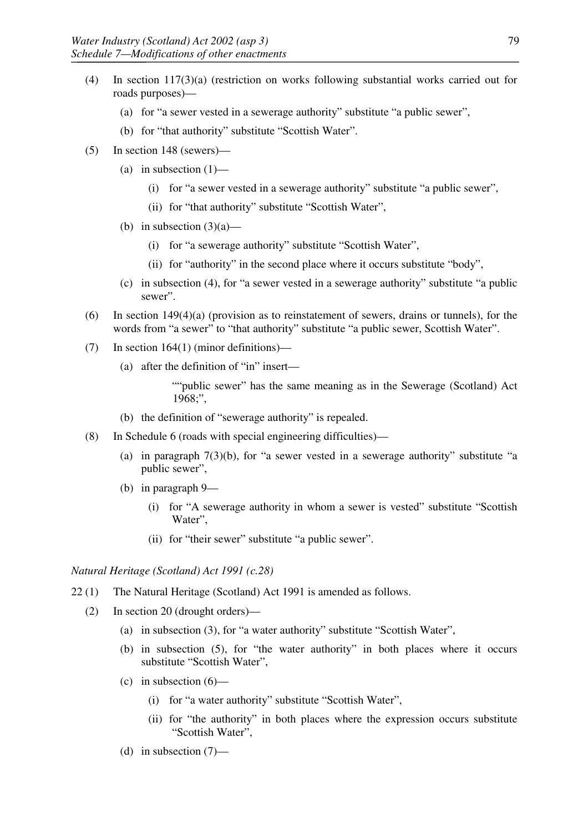- (4) In section 117(3)(a) (restriction on works following substantial works carried out for roads purposes)—
	- (a) for "a sewer vested in a sewerage authority" substitute "a public sewer",
	- (b) for "that authority" substitute "Scottish Water".
- (5) In section 148 (sewers)—
	- (a) in subsection  $(1)$ 
		- (i) for "a sewer vested in a sewerage authority" substitute "a public sewer",
		- (ii) for "that authority" substitute "Scottish Water",
	- (b) in subsection  $(3)(a)$ 
		- (i) for "a sewerage authority" substitute "Scottish Water",
		- (ii) for "authority" in the second place where it occurs substitute "body",
	- (c) in subsection (4), for "a sewer vested in a sewerage authority" substitute "a public sewer".
- (6) In section 149(4)(a) (provision as to reinstatement of sewers, drains or tunnels), for the words from "a sewer" to "that authority" substitute "a public sewer, Scottish Water".
- (7) In section 164(1) (minor definitions)—
	- (a) after the definition of "in" insert—

""public sewer" has the same meaning as in the Sewerage (Scotland) Act 1968;",

- (b) the definition of "sewerage authority" is repealed.
- (8) In Schedule 6 (roads with special engineering difficulties)—
	- (a) in paragraph  $7(3)(b)$ , for "a sewer vested in a sewerage authority" substitute "a public sewer",
	- (b) in paragraph 9—
		- (i) for "A sewerage authority in whom a sewer is vested" substitute "Scottish Water",
		- (ii) for "their sewer" substitute "a public sewer".

# *Natural Heritage (Scotland) Act 1991 (c.28)*

- 22 (1) The Natural Heritage (Scotland) Act 1991 is amended as follows.
	- (2) In section 20 (drought orders)—
		- (a) in subsection (3), for "a water authority" substitute "Scottish Water",
		- (b) in subsection (5), for "the water authority" in both places where it occurs substitute "Scottish Water",
		- (c) in subsection  $(6)$ 
			- (i) for "a water authority" substitute "Scottish Water",
			- (ii) for "the authority" in both places where the expression occurs substitute "Scottish Water",
		- (d) in subsection  $(7)$ —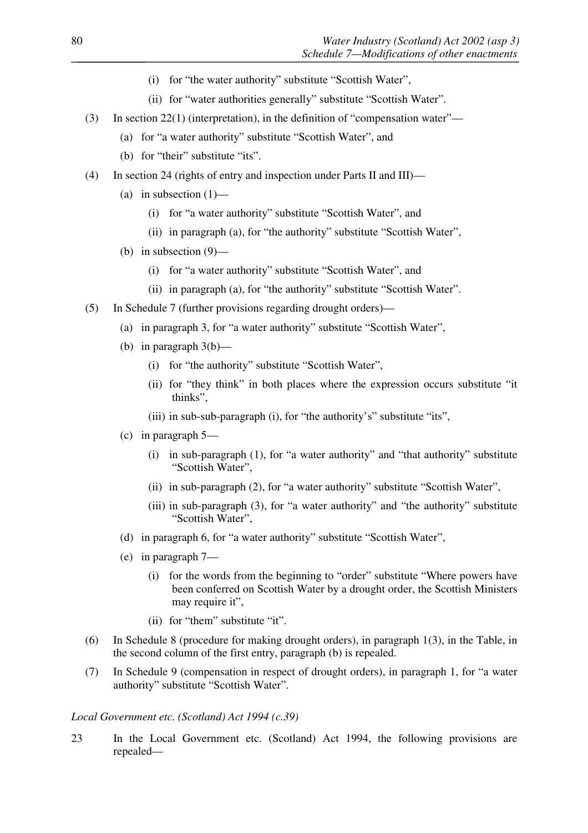- (i) for "the water authority" substitute "Scottish Water",
- (ii) for "water authorities generally" substitute "Scottish Water".
- (3) In section 22(1) (interpretation), in the definition of "compensation water"—
	- (a) for "a water authority" substitute "Scottish Water", and
	- (b) for "their" substitute "its".
- (4) In section 24 (rights of entry and inspection under Parts II and III)—
	- (a) in subsection  $(1)$ 
		- (i) for "a water authority" substitute "Scottish Water", and
		- (ii) in paragraph (a), for "the authority" substitute "Scottish Water",
	- (b) in subsection (9)—
		- (i) for "a water authority" substitute "Scottish Water", and
		- (ii) in paragraph (a), for "the authority" substitute "Scottish Water".
- (5) In Schedule 7 (further provisions regarding drought orders)—
	- (a) in paragraph 3, for "a water authority" substitute "Scottish Water",
	- (b) in paragraph  $3(b)$ 
		- (i) for "the authority" substitute "Scottish Water",
		- (ii) for "they think" in both places where the expression occurs substitute "it thinks",
		- (iii) in sub-sub-paragraph (i), for "the authority's" substitute "its",
	- (c) in paragraph 5—
		- (i) in sub-paragraph (1), for "a water authority" and "that authority" substitute "Scottish Water",
		- (ii) in sub-paragraph (2), for "a water authority" substitute "Scottish Water",
		- (iii) in sub-paragraph (3), for "a water authority" and "the authority" substitute "Scottish Water",
	- (d) in paragraph 6, for "a water authority" substitute "Scottish Water",
	- (e) in paragraph 7—
		- (i) for the words from the beginning to "order" substitute "Where powers have been conferred on Scottish Water by a drought order, the Scottish Ministers may require it",
		- (ii) for "them" substitute "it".
- (6) In Schedule 8 (procedure for making drought orders), in paragraph 1(3), in the Table, in the second column of the first entry, paragraph (b) is repealed.
- (7) In Schedule 9 (compensation in respect of drought orders), in paragraph 1, for "a water authority" substitute "Scottish Water".

#### *Local Government etc. (Scotland) Act 1994 (c.39)*

23 In the Local Government etc. (Scotland) Act 1994, the following provisions are repealed—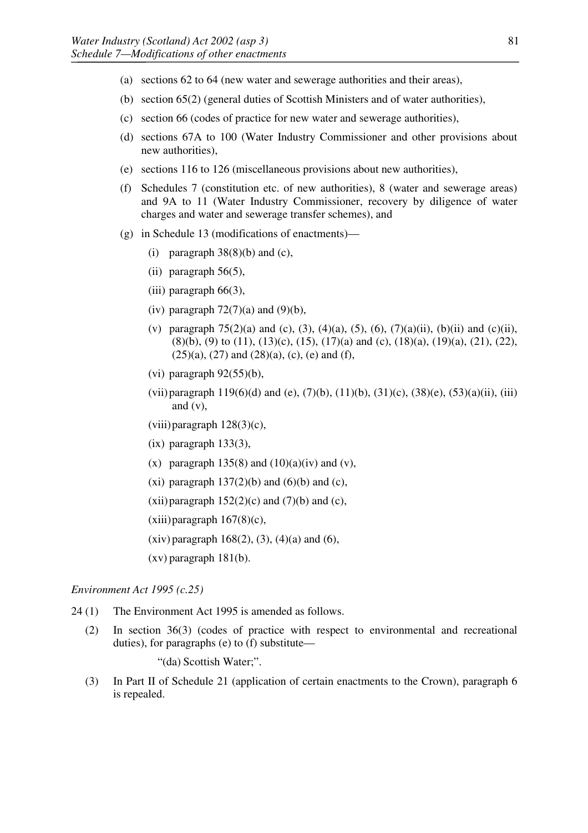- (a) sections 62 to 64 (new water and sewerage authorities and their areas),
- (b) section 65(2) (general duties of Scottish Ministers and of water authorities),
- (c) section 66 (codes of practice for new water and sewerage authorities),
- (d) sections 67A to 100 (Water Industry Commissioner and other provisions about new authorities),
- (e) sections 116 to 126 (miscellaneous provisions about new authorities),
- (f) Schedules 7 (constitution etc. of new authorities), 8 (water and sewerage areas) and 9A to 11 (Water Industry Commissioner, recovery by diligence of water charges and water and sewerage transfer schemes), and
- (g) in Schedule 13 (modifications of enactments)—
	- (i) paragraph  $38(8)(b)$  and (c),
	- (ii) paragraph  $56(5)$ ,
	- (iii) paragraph 66(3),
	- (iv) paragraph  $72(7)(a)$  and  $(9)(b)$ ,
	- (v) paragraph  $75(2)(a)$  and (c), (3), (4)(a), (5), (6), (7)(a)(ii), (b)(ii) and (c)(ii),  $(8)(b)$ ,  $(9)$  to  $(11)$ ,  $(13)(c)$ ,  $(15)$ ,  $(17)(a)$  and  $(c)$ ,  $(18)(a)$ ,  $(19)(a)$ ,  $(21)$ ,  $(22)$ ,  $(25)(a)$ ,  $(27)$  and  $(28)(a)$ ,  $(c)$ ,  $(e)$  and  $(f)$ ,
	- (vi) paragraph  $92(55)(b)$ ,
	- (vii) paragraph  $119(6)(d)$  and (e),  $(7)(b)$ ,  $(11)(b)$ ,  $(31)(c)$ ,  $(38)(e)$ ,  $(53)(a)(ii)$ , (iii) and (v),
	- (viii)paragraph 128(3)(c),
	- $(ix)$  paragraph  $133(3)$ ,
	- (x) paragraph  $135(8)$  and  $(10)(a)(iv)$  and  $(v)$ ,
	- (xi) paragraph  $137(2)(b)$  and  $(6)(b)$  and  $(c)$ ,
	- (xii) paragraph  $152(2)$ (c) and (7)(b) and (c),
	- $(xiii)$  paragraph  $167(8)(c)$ ,
	- $(xiv)$  paragraph 168(2), (3), (4)(a) and (6),
	- (xv) paragraph 181(b).

### *Environment Act 1995 (c.25)*

- 24 (1) The Environment Act 1995 is amended as follows.
	- (2) In section 36(3) (codes of practice with respect to environmental and recreational duties), for paragraphs (e) to (f) substitute—

"(da) Scottish Water;".

(3) In Part II of Schedule 21 (application of certain enactments to the Crown), paragraph 6 is repealed.